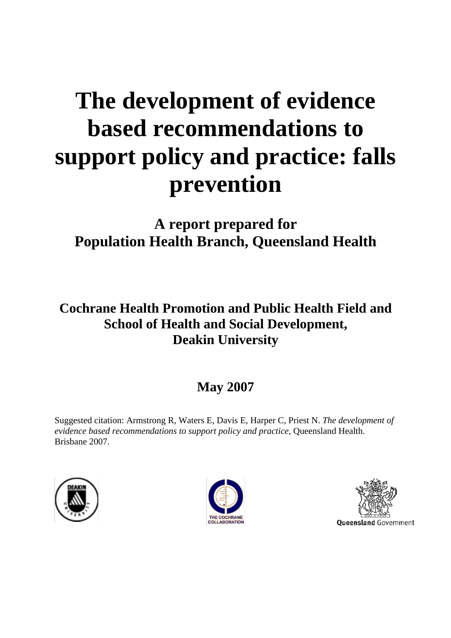# **The development of evidence based recommendations to support policy and practice: falls prevention**

**A report prepared for Population Health Branch, Queensland Health** 

**Cochrane Health Promotion and Public Health Field and School of Health and Social Development, Deakin University** 

# **May 2007**

Suggested citation: Armstrong R, Waters E, Davis E, Harper C, Priest N. *The development of evidence based recommendations to support policy and practice*, Queensland Health. Brisbane 2007.





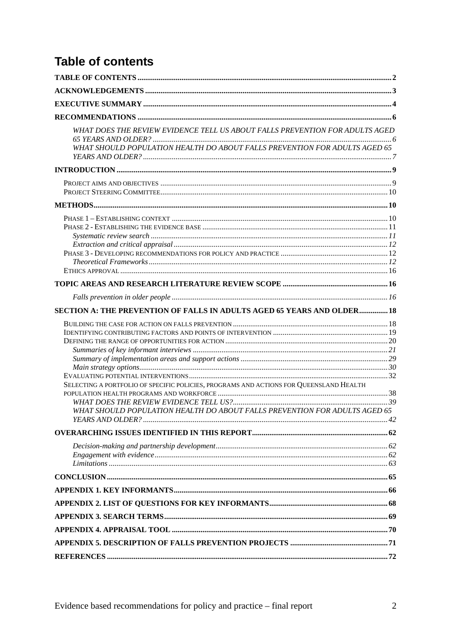# **Table of contents**

| WHAT DOES THE REVIEW EVIDENCE TELL US ABOUT FALLS PREVENTION FOR ADULTS AGED<br>WHAT SHOULD POPULATION HEALTH DO ABOUT FALLS PREVENTION FOR ADULTS AGED 65           |  |
|----------------------------------------------------------------------------------------------------------------------------------------------------------------------|--|
|                                                                                                                                                                      |  |
|                                                                                                                                                                      |  |
|                                                                                                                                                                      |  |
|                                                                                                                                                                      |  |
|                                                                                                                                                                      |  |
|                                                                                                                                                                      |  |
| SECTION A: THE PREVENTION OF FALLS IN ADULTS AGED 65 YEARS AND OLDER 18                                                                                              |  |
| SELECTING A PORTFOLIO OF SPECIFIC POLICIES, PROGRAMS AND ACTIONS FOR QUEENSLAND HEALTH<br>WHAT SHOULD POPULATION HEALTH DO ABOUT FALLS PREVENTION FOR ADULTS AGED 65 |  |
|                                                                                                                                                                      |  |
|                                                                                                                                                                      |  |
|                                                                                                                                                                      |  |
|                                                                                                                                                                      |  |
|                                                                                                                                                                      |  |
|                                                                                                                                                                      |  |
|                                                                                                                                                                      |  |
|                                                                                                                                                                      |  |
|                                                                                                                                                                      |  |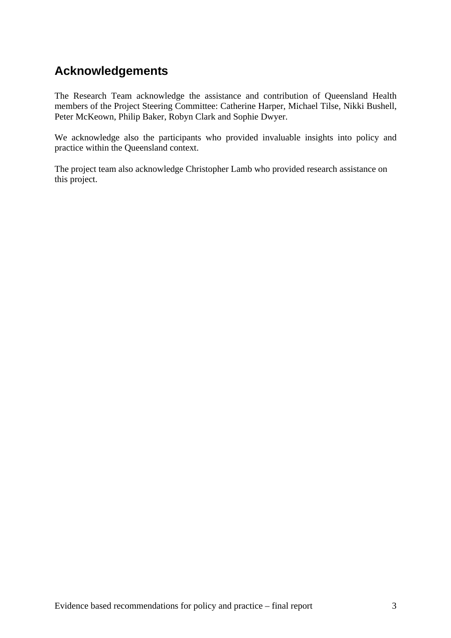# **Acknowledgements**

The Research Team acknowledge the assistance and contribution of Queensland Health members of the Project Steering Committee: Catherine Harper, Michael Tilse, Nikki Bushell, Peter McKeown, Philip Baker, Robyn Clark and Sophie Dwyer.

We acknowledge also the participants who provided invaluable insights into policy and practice within the Queensland context.

The project team also acknowledge Christopher Lamb who provided research assistance on this project.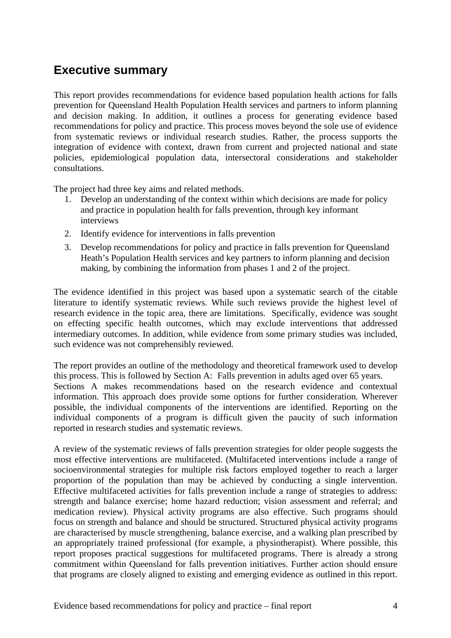# **Executive summary**

This report provides recommendations for evidence based population health actions for falls prevention for Queensland Health Population Health services and partners to inform planning and decision making. In addition, it outlines a process for generating evidence based recommendations for policy and practice. This process moves beyond the sole use of evidence from systematic reviews or individual research studies. Rather, the process supports the integration of evidence with context, drawn from current and projected national and state policies, epidemiological population data, intersectoral considerations and stakeholder consultations.

The project had three key aims and related methods.

- 1. Develop an understanding of the context within which decisions are made for policy and practice in population health for falls prevention, through key informant interviews
- 2. Identify evidence for interventions in falls prevention
- 3. Develop recommendations for policy and practice in falls prevention for Queensland Heath's Population Health services and key partners to inform planning and decision making, by combining the information from phases 1 and 2 of the project.

The evidence identified in this project was based upon a systematic search of the citable literature to identify systematic reviews. While such reviews provide the highest level of research evidence in the topic area, there are limitations. Specifically, evidence was sought on effecting specific health outcomes, which may exclude interventions that addressed intermediary outcomes. In addition, while evidence from some primary studies was included, such evidence was not comprehensibly reviewed.

The report provides an outline of the methodology and theoretical framework used to develop this process. This is followed by Section A: Falls prevention in adults aged over 65 years. Sections A makes recommendations based on the research evidence and contextual information. This approach does provide some options for further consideration. Wherever possible, the individual components of the interventions are identified. Reporting on the individual components of a program is difficult given the paucity of such information reported in research studies and systematic reviews.

A review of the systematic reviews of falls prevention strategies for older people suggests the most effective interventions are multifaceted. (Multifaceted interventions include a range of socioenvironmental strategies for multiple risk factors employed together to reach a larger proportion of the population than may be achieved by conducting a single intervention. Effective multifaceted activities for falls prevention include a range of strategies to address: strength and balance exercise; home hazard reduction; vision assessment and referral; and medication review). Physical activity programs are also effective. Such programs should focus on strength and balance and should be structured. Structured physical activity programs are characterised by muscle strengthening, balance exercise, and a walking plan prescribed by an appropriately trained professional (for example, a physiotherapist). Where possible, this report proposes practical suggestions for multifaceted programs. There is already a strong commitment within Queensland for falls prevention initiatives. Further action should ensure that programs are closely aligned to existing and emerging evidence as outlined in this report.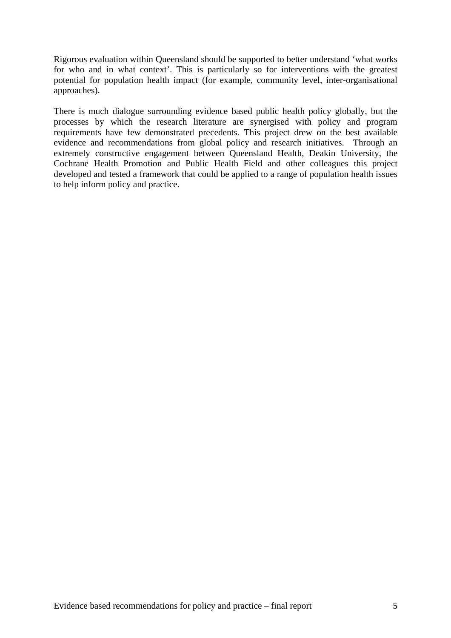Rigorous evaluation within Queensland should be supported to better understand 'what works for who and in what context'. This is particularly so for interventions with the greatest potential for population health impact (for example, community level, inter-organisational approaches).

There is much dialogue surrounding evidence based public health policy globally, but the processes by which the research literature are synergised with policy and program requirements have few demonstrated precedents. This project drew on the best available evidence and recommendations from global policy and research initiatives. Through an extremely constructive engagement between Queensland Health, Deakin University, the Cochrane Health Promotion and Public Health Field and other colleagues this project developed and tested a framework that could be applied to a range of population health issues to help inform policy and practice.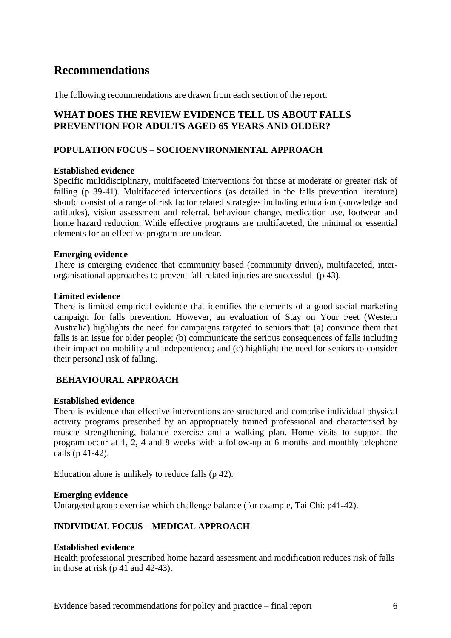# **Recommendations**

The following recommendations are drawn from each section of the report.

### **WHAT DOES THE REVIEW EVIDENCE TELL US ABOUT FALLS PREVENTION FOR ADULTS AGED 65 YEARS AND OLDER?**

#### **POPULATION FOCUS – SOCIOENVIRONMENTAL APPROACH**

#### **Established evidence**

Specific multidisciplinary, multifaceted interventions for those at moderate or greater risk of falling (p 39-41). Multifaceted interventions (as detailed in the falls prevention literature) should consist of a range of risk factor related strategies including education (knowledge and attitudes), vision assessment and referral, behaviour change, medication use, footwear and home hazard reduction. While effective programs are multifaceted, the minimal or essential elements for an effective program are unclear.

#### **Emerging evidence**

There is emerging evidence that community based (community driven), multifaceted, interorganisational approaches to prevent fall-related injuries are successful (p 43).

#### **Limited evidence**

There is limited empirical evidence that identifies the elements of a good social marketing campaign for falls prevention. However, an evaluation of Stay on Your Feet (Western Australia) highlights the need for campaigns targeted to seniors that: (a) convince them that falls is an issue for older people; (b) communicate the serious consequences of falls including their impact on mobility and independence; and (c) highlight the need for seniors to consider their personal risk of falling.

#### **BEHAVIOURAL APPROACH**

#### **Established evidence**

There is evidence that effective interventions are structured and comprise individual physical activity programs prescribed by an appropriately trained professional and characterised by muscle strengthening, balance exercise and a walking plan. Home visits to support the program occur at 1, 2, 4 and 8 weeks with a follow-up at 6 months and monthly telephone calls (p 41-42).

Education alone is unlikely to reduce falls (p 42).

#### **Emerging evidence**

Untargeted group exercise which challenge balance (for example, Tai Chi: p41-42).

#### **INDIVIDUAL FOCUS – MEDICAL APPROACH**

#### **Established evidence**

Health professional prescribed home hazard assessment and modification reduces risk of falls in those at risk (p 41 and 42-43).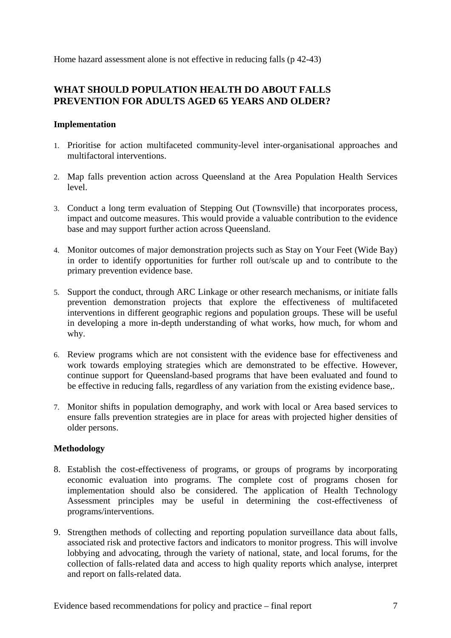Home hazard assessment alone is not effective in reducing falls (p 42-43)

#### **WHAT SHOULD POPULATION HEALTH DO ABOUT FALLS PREVENTION FOR ADULTS AGED 65 YEARS AND OLDER?**

#### **Implementation**

- 1. Prioritise for action multifaceted community-level inter-organisational approaches and multifactoral interventions.
- 2. Map falls prevention action across Queensland at the Area Population Health Services level.
- 3. Conduct a long term evaluation of Stepping Out (Townsville) that incorporates process, impact and outcome measures. This would provide a valuable contribution to the evidence base and may support further action across Queensland.
- 4. Monitor outcomes of major demonstration projects such as Stay on Your Feet (Wide Bay) in order to identify opportunities for further roll out/scale up and to contribute to the primary prevention evidence base.
- 5. Support the conduct, through ARC Linkage or other research mechanisms, or initiate falls prevention demonstration projects that explore the effectiveness of multifaceted interventions in different geographic regions and population groups. These will be useful in developing a more in-depth understanding of what works, how much, for whom and why.
- 6. Review programs which are not consistent with the evidence base for effectiveness and work towards employing strategies which are demonstrated to be effective. However, continue support for Queensland-based programs that have been evaluated and found to be effective in reducing falls, regardless of any variation from the existing evidence base,.
- 7. Monitor shifts in population demography, and work with local or Area based services to ensure falls prevention strategies are in place for areas with projected higher densities of older persons.

#### **Methodology**

- 8. Establish the cost-effectiveness of programs, or groups of programs by incorporating economic evaluation into programs. The complete cost of programs chosen for implementation should also be considered. The application of Health Technology Assessment principles may be useful in determining the cost-effectiveness of programs/interventions.
- 9. Strengthen methods of collecting and reporting population surveillance data about falls, associated risk and protective factors and indicators to monitor progress. This will involve lobbying and advocating, through the variety of national, state, and local forums, for the collection of falls-related data and access to high quality reports which analyse, interpret and report on falls-related data.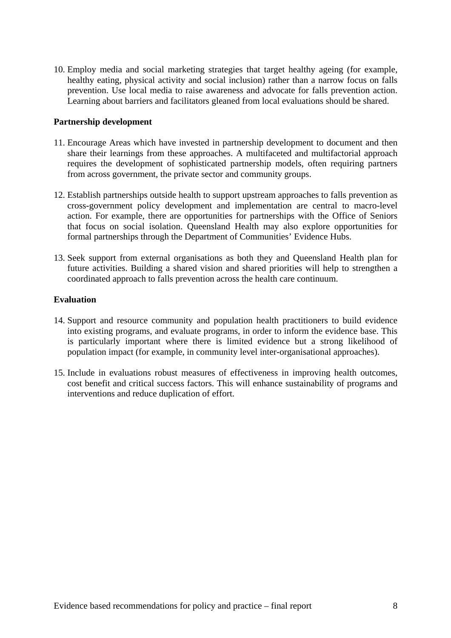10. Employ media and social marketing strategies that target healthy ageing (for example, healthy eating, physical activity and social inclusion) rather than a narrow focus on falls prevention. Use local media to raise awareness and advocate for falls prevention action. Learning about barriers and facilitators gleaned from local evaluations should be shared.

#### **Partnership development**

- 11. Encourage Areas which have invested in partnership development to document and then share their learnings from these approaches. A multifaceted and multifactorial approach requires the development of sophisticated partnership models, often requiring partners from across government, the private sector and community groups.
- 12. Establish partnerships outside health to support upstream approaches to falls prevention as cross-government policy development and implementation are central to macro-level action. For example, there are opportunities for partnerships with the Office of Seniors that focus on social isolation. Queensland Health may also explore opportunities for formal partnerships through the Department of Communities' Evidence Hubs.
- 13. Seek support from external organisations as both they and Queensland Health plan for future activities. Building a shared vision and shared priorities will help to strengthen a coordinated approach to falls prevention across the health care continuum.

#### **Evaluation**

- 14. Support and resource community and population health practitioners to build evidence into existing programs, and evaluate programs, in order to inform the evidence base. This is particularly important where there is limited evidence but a strong likelihood of population impact (for example, in community level inter-organisational approaches).
- 15. Include in evaluations robust measures of effectiveness in improving health outcomes, cost benefit and critical success factors. This will enhance sustainability of programs and interventions and reduce duplication of effort.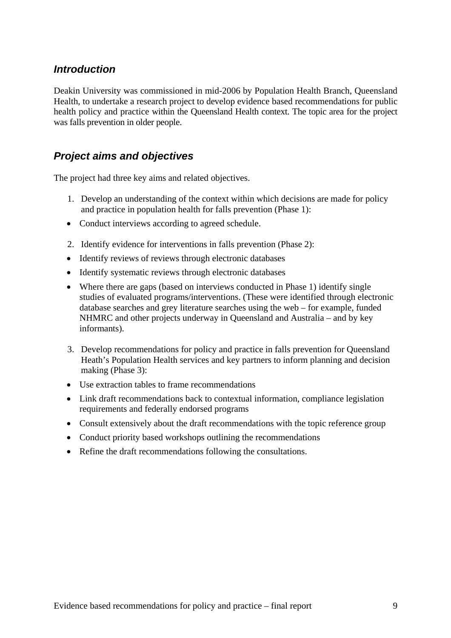# *Introduction*

Deakin University was commissioned in mid-2006 by Population Health Branch, Queensland Health, to undertake a research project to develop evidence based recommendations for public health policy and practice within the Queensland Health context. The topic area for the project was falls prevention in older people.

# *Project aims and objectives*

The project had three key aims and related objectives.

- 1. Develop an understanding of the context within which decisions are made for policy and practice in population health for falls prevention (Phase 1):
- Conduct interviews according to agreed schedule.
- 2. Identify evidence for interventions in falls prevention (Phase 2):
- Identify reviews of reviews through electronic databases
- Identify systematic reviews through electronic databases
- Where there are gaps (based on interviews conducted in Phase 1) identify single studies of evaluated programs/interventions. (These were identified through electronic database searches and grey literature searches using the web – for example, funded NHMRC and other projects underway in Queensland and Australia – and by key informants).
- 3. Develop recommendations for policy and practice in falls prevention for Queensland Heath's Population Health services and key partners to inform planning and decision making (Phase 3):
- Use extraction tables to frame recommendations
- Link draft recommendations back to contextual information, compliance legislation requirements and federally endorsed programs
- Consult extensively about the draft recommendations with the topic reference group
- Conduct priority based workshops outlining the recommendations
- Refine the draft recommendations following the consultations.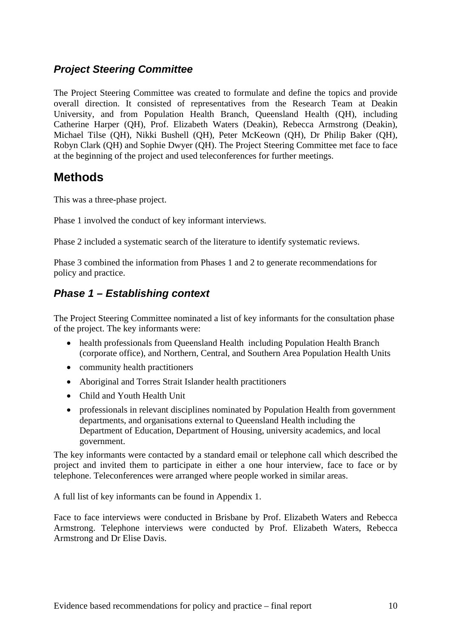# *Project Steering Committee*

The Project Steering Committee was created to formulate and define the topics and provide overall direction. It consisted of representatives from the Research Team at Deakin University, and from Population Health Branch, Queensland Health (QH), including Catherine Harper (QH), Prof. Elizabeth Waters (Deakin), Rebecca Armstrong (Deakin), Michael Tilse (QH), Nikki Bushell (QH), Peter McKeown (QH), Dr Philip Baker (QH), Robyn Clark (QH) and Sophie Dwyer (QH). The Project Steering Committee met face to face at the beginning of the project and used teleconferences for further meetings.

# **Methods**

This was a three-phase project.

Phase 1 involved the conduct of key informant interviews.

Phase 2 included a systematic search of the literature to identify systematic reviews.

Phase 3 combined the information from Phases 1 and 2 to generate recommendations for policy and practice.

# *Phase 1 – Establishing context*

The Project Steering Committee nominated a list of key informants for the consultation phase of the project. The key informants were:

- health professionals from Queensland Health including Population Health Branch (corporate office), and Northern, Central, and Southern Area Population Health Units
- community health practitioners
- Aboriginal and Torres Strait Islander health practitioners
- Child and Youth Health Unit
- professionals in relevant disciplines nominated by Population Health from government departments, and organisations external to Queensland Health including the Department of Education, Department of Housing, university academics, and local government.

The key informants were contacted by a standard email or telephone call which described the project and invited them to participate in either a one hour interview, face to face or by telephone. Teleconferences were arranged where people worked in similar areas.

A full list of key informants can be found in Appendix 1.

Face to face interviews were conducted in Brisbane by Prof. Elizabeth Waters and Rebecca Armstrong. Telephone interviews were conducted by Prof. Elizabeth Waters, Rebecca Armstrong and Dr Elise Davis.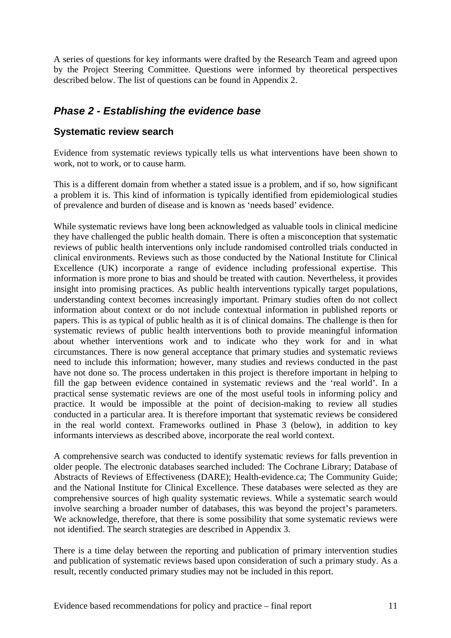A series of questions for key informants were drafted by the Research Team and agreed upon by the Project Steering Committee. Questions were informed by theoretical perspectives described below. The list of questions can be found in Appendix 2.

# *Phase 2 - Establishing the evidence base*

### **Systematic review search**

Evidence from systematic reviews typically tells us what interventions have been shown to work, not to work, or to cause harm.

This is a different domain from whether a stated issue is a problem, and if so, how significant a problem it is. This kind of information is typically identified from epidemiological studies of prevalence and burden of disease and is known as 'needs based' evidence.

While systematic reviews have long been acknowledged as valuable tools in clinical medicine they have challenged the public health domain. There is often a misconception that systematic reviews of public health interventions only include randomised controlled trials conducted in clinical environments. Reviews such as those conducted by the National Institute for Clinical Excellence (UK) incorporate a range of evidence including professional expertise. This information is more prone to bias and should be treated with caution. Nevertheless, it provides insight into promising practices. As public health interventions typically target populations, understanding context becomes increasingly important. Primary studies often do not collect information about context or do not include contextual information in published reports or papers. This is as typical of public health as it is of clinical domains. The challenge is then for systematic reviews of public health interventions both to provide meaningful information about whether interventions work and to indicate who they work for and in what circumstances. There is now general acceptance that primary studies and systematic reviews need to include this information; however, many studies and reviews conducted in the past have not done so. The process undertaken in this project is therefore important in helping to fill the gap between evidence contained in systematic reviews and the 'real world'. In a practical sense systematic reviews are one of the most useful tools in informing policy and practice. It would be impossible at the point of decision-making to review all studies conducted in a particular area. It is therefore important that systematic reviews be considered in the real world context. Frameworks outlined in Phase 3 (below), in addition to key informants interviews as described above, incorporate the real world context.

A comprehensive search was conducted to identify systematic reviews for falls prevention in older people. The electronic databases searched included: The Cochrane Library; Database of Abstracts of Reviews of Effectiveness (DARE); Health-evidence.ca; The Community Guide; and the National Institute for Clinical Excellence. These databases were selected as they are comprehensive sources of high quality systematic reviews. While a systematic search would involve searching a broader number of databases, this was beyond the project's parameters. We acknowledge, therefore, that there is some possibility that some systematic reviews were not identified. The search strategies are described in Appendix 3.

There is a time delay between the reporting and publication of primary intervention studies and publication of systematic reviews based upon consideration of such a primary study. As a result, recently conducted primary studies may not be included in this report.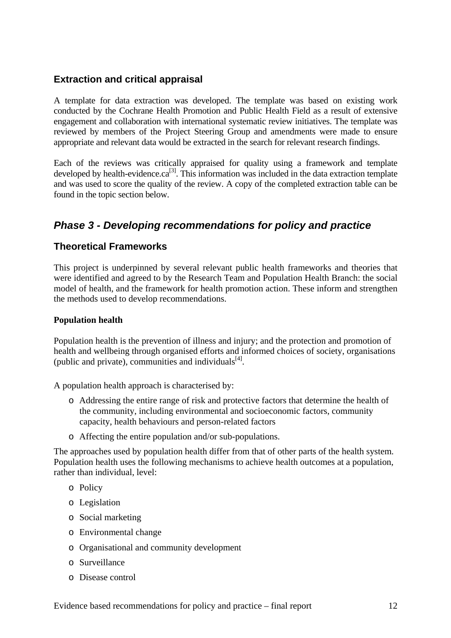### **Extraction and critical appraisal**

A template for data extraction was developed. The template was based on existing work conducted by the Cochrane Health Promotion and Public Health Field as a result of extensive engagement and collaboration with international systematic review initiatives. The template was reviewed by members of the Project Steering Group and amendments were made to ensure appropriate and relevant data would be extracted in the search for relevant research findings.

Each of the reviews was critically appraised for quality using a framework and template developed by health-evidence. $ca^{[3]}$ . This information was included in the data extraction template and was used to score the quality of the review. A copy of the completed extraction table can be found in the topic section below.

# *Phase 3 - Developing recommendations for policy and practice*

### **Theoretical Frameworks**

This project is underpinned by several relevant public health frameworks and theories that were identified and agreed to by the Research Team and Population Health Branch: the social model of health, and the framework for health promotion action. These inform and strengthen the methods used to develop recommendations.

#### **Population health**

Population health is the prevention of illness and injury; and the protection and promotion of health and wellbeing through organised efforts and informed choices of society, organisations (public and private), communities and individuals $^{[4]}$ .

A population health approach is characterised by:

- o Addressing the entire range of risk and protective factors that determine the health of the community, including environmental and socioeconomic factors, community capacity, health behaviours and person-related factors
- o Affecting the entire population and/or sub-populations.

The approaches used by population health differ from that of other parts of the health system. Population health uses the following mechanisms to achieve health outcomes at a population, rather than individual, level:

- o Policy
- o Legislation
- o Social marketing
- o Environmental change
- o Organisational and community development
- o Surveillance
- o Disease control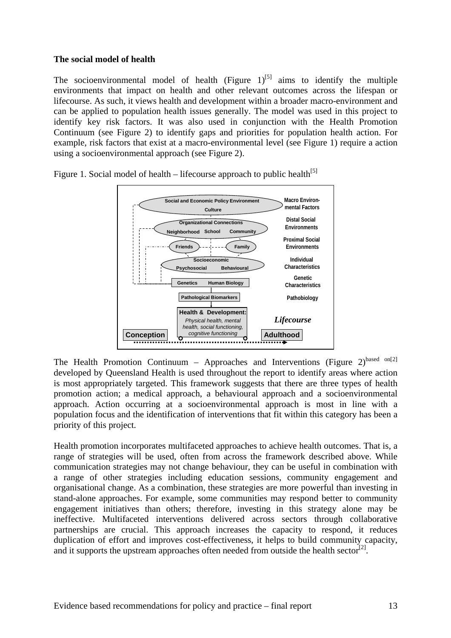#### **The social model of health**

The socioenvironmental model of health (Figure  $1$ )<sup>[5]</sup> aims to identify the multiple environments that impact on health and other relevant outcomes across the lifespan or lifecourse. As such, it views health and development within a broader macro-environment and can be applied to population health issues generally. The model was used in this project to identify key risk factors. It was also used in conjunction with the Health Promotion Continuum (see Figure 2) to identify gaps and priorities for population health action. For example, risk factors that exist at a macro-environmental level (see Figure 1) require a action using a socioenvironmental approach (see Figure 2).



Figure 1. Social model of health – lifecourse approach to public health<sup>[5]</sup>

The Health Promotion Continuum – Approaches and Interventions (Figure  $2$ )<sup>based on[2]</sup> developed by Queensland Health is used throughout the report to identify areas where action is most appropriately targeted. This framework suggests that there are three types of health promotion action; a medical approach, a behavioural approach and a socioenvironmental approach. Action occurring at a socioenvironmental approach is most in line with a population focus and the identification of interventions that fit within this category has been a priority of this project.

Health promotion incorporates multifaceted approaches to achieve health outcomes. That is, a range of strategies will be used, often from across the framework described above. While communication strategies may not change behaviour, they can be useful in combination with a range of other strategies including education sessions, community engagement and organisational change. As a combination, these strategies are more powerful than investing in stand-alone approaches. For example, some communities may respond better to community engagement initiatives than others; therefore, investing in this strategy alone may be ineffective. Multifaceted interventions delivered across sectors through collaborative partnerships are crucial. This approach increases the capacity to respond, it reduces duplication of effort and improves cost-effectiveness, it helps to build community capacity, and it supports the upstream approaches often needed from outside the health sector<sup>[2]</sup>.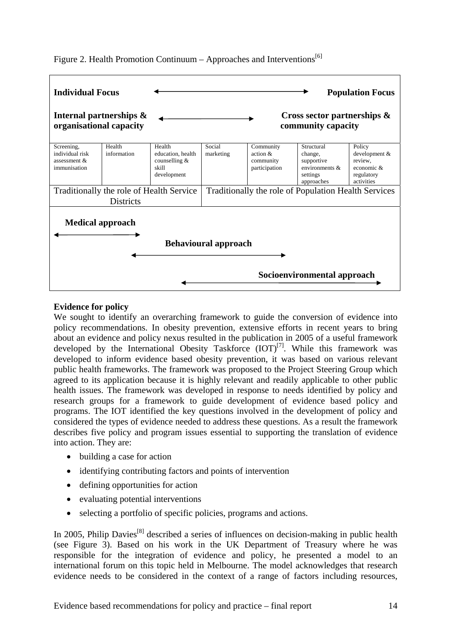



#### **Evidence for policy**

We sought to identify an overarching framework to guide the conversion of evidence into policy recommendations. In obesity prevention, extensive efforts in recent years to bring about an evidence and policy nexus resulted in the publication in 2005 of a useful framework developed by the International Obesity Taskforce  $(IOT)^{[7]}$ . While this framework was developed to inform evidence based obesity prevention, it was based on various relevant public health frameworks. The framework was proposed to the Project Steering Group which agreed to its application because it is highly relevant and readily applicable to other public health issues. The framework was developed in response to needs identified by policy and research groups for a framework to guide development of evidence based policy and programs. The IOT identified the key questions involved in the development of policy and considered the types of evidence needed to address these questions. As a result the framework describes five policy and program issues essential to supporting the translation of evidence into action. They are:

- building a case for action
- identifying contributing factors and points of intervention
- defining opportunities for action
- evaluating potential interventions
- selecting a portfolio of specific policies, programs and actions.

In 2005, Philip Davies<sup>[8]</sup> described a series of influences on decision-making in public health (see Figure 3). Based on his work in the UK Department of Treasury where he was responsible for the integration of evidence and policy, he presented a model to an international forum on this topic held in Melbourne. The model acknowledges that research evidence needs to be considered in the context of a range of factors including resources,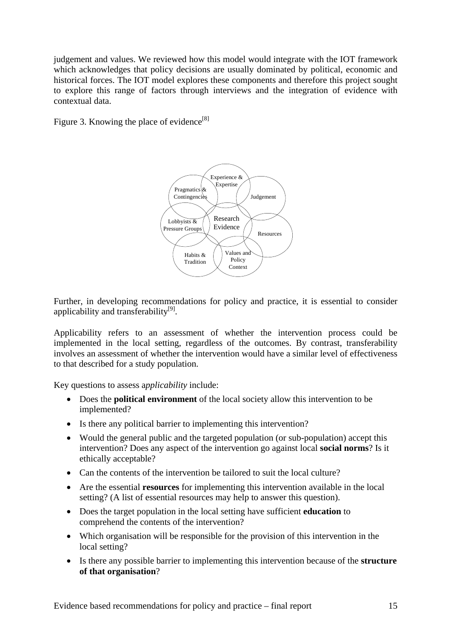judgement and values. We reviewed how this model would integrate with the IOT framework which acknowledges that policy decisions are usually dominated by political, economic and historical forces. The IOT model explores these components and therefore this project sought to explore this range of factors through interviews and the integration of evidence with contextual data.

Figure 3. Knowing the place of evidence<sup>[8]</sup>



Further, in developing recommendations for policy and practice, it is essential to consider applicability and transferability<sup>[9]</sup>.

Applicability refers to an assessment of whether the intervention process could be implemented in the local setting, regardless of the outcomes. By contrast, transferability involves an assessment of whether the intervention would have a similar level of effectiveness to that described for a study population.

Key questions to assess a*pplicability* include:

- Does the **political environment** of the local society allow this intervention to be implemented?
- Is there any political barrier to implementing this intervention?
- Would the general public and the targeted population (or sub-population) accept this intervention? Does any aspect of the intervention go against local **social norms**? Is it ethically acceptable?
- Can the contents of the intervention be tailored to suit the local culture?
- Are the essential **resources** for implementing this intervention available in the local setting? (A list of essential resources may help to answer this question).
- Does the target population in the local setting have sufficient **education** to comprehend the contents of the intervention?
- Which organisation will be responsible for the provision of this intervention in the local setting?
- Is there any possible barrier to implementing this intervention because of the **structure of that organisation**?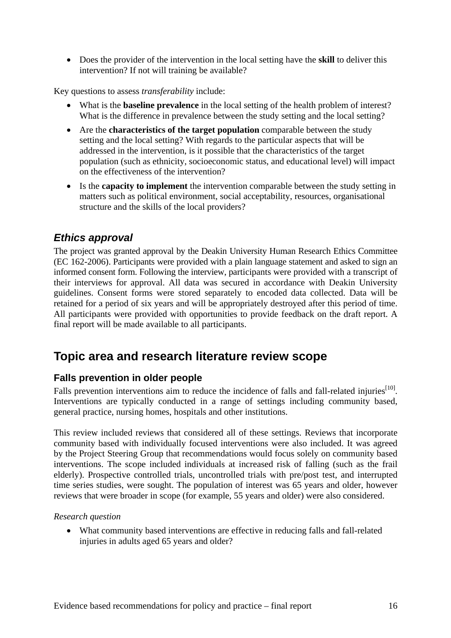• Does the provider of the intervention in the local setting have the **skill** to deliver this intervention? If not will training be available?

Key questions to assess *transferability* include:

- What is the **baseline prevalence** in the local setting of the health problem of interest? What is the difference in prevalence between the study setting and the local setting?
- Are the **characteristics of the target population** comparable between the study setting and the local setting? With regards to the particular aspects that will be addressed in the intervention, is it possible that the characteristics of the target population (such as ethnicity, socioeconomic status, and educational level) will impact on the effectiveness of the intervention?
- Is the **capacity to implement** the intervention comparable between the study setting in matters such as political environment, social acceptability, resources, organisational structure and the skills of the local providers?

# *Ethics approval*

The project was granted approval by the Deakin University Human Research Ethics Committee (EC 162-2006). Participants were provided with a plain language statement and asked to sign an informed consent form. Following the interview, participants were provided with a transcript of their interviews for approval. All data was secured in accordance with Deakin University guidelines. Consent forms were stored separately to encoded data collected. Data will be retained for a period of six years and will be appropriately destroyed after this period of time. All participants were provided with opportunities to provide feedback on the draft report. A final report will be made available to all participants.

# **Topic area and research literature review scope**

## **Falls prevention in older people**

Falls prevention interventions aim to reduce the incidence of falls and fall-related injuries<sup>[10]</sup>. Interventions are typically conducted in a range of settings including community based, general practice, nursing homes, hospitals and other institutions.

This review included reviews that considered all of these settings. Reviews that incorporate community based with individually focused interventions were also included. It was agreed by the Project Steering Group that recommendations would focus solely on community based interventions. The scope included individuals at increased risk of falling (such as the frail elderly). Prospective controlled trials, uncontrolled trials with pre/post test, and interrupted time series studies, were sought. The population of interest was 65 years and older, however reviews that were broader in scope (for example, 55 years and older) were also considered.

#### *Research question*

• What community based interventions are effective in reducing falls and fall-related injuries in adults aged 65 years and older?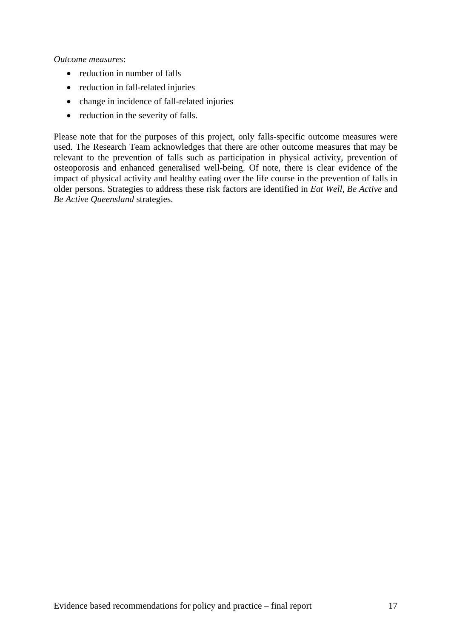*Outcome measures*:

- reduction in number of falls
- reduction in fall-related injuries
- change in incidence of fall-related injuries
- reduction in the severity of falls.

Please note that for the purposes of this project, only falls-specific outcome measures were used. The Research Team acknowledges that there are other outcome measures that may be relevant to the prevention of falls such as participation in physical activity, prevention of osteoporosis and enhanced generalised well-being. Of note, there is clear evidence of the impact of physical activity and healthy eating over the life course in the prevention of falls in older persons. Strategies to address these risk factors are identified in *Eat Well, Be Active* and *Be Active Queensland* strategies.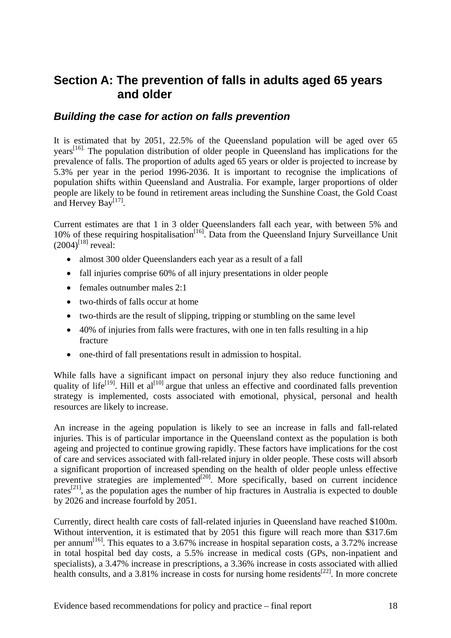# **Section A: The prevention of falls in adults aged 65 years and older**

## *Building the case for action on falls prevention*

It is estimated that by 2051, 22.5% of the Queensland population will be aged over 65 years<sup>[16].</sup> The population distribution of older people in Queensland has implications for the prevalence of falls. The proportion of adults aged 65 years or older is projected to increase by 5.3% per year in the period 1996-2036. It is important to recognise the implications of population shifts within Queensland and Australia. For example, larger proportions of older people are likely to be found in retirement areas including the Sunshine Coast, the Gold Coast and Hervey Bay<sup>[17]</sup>.

Current estimates are that 1 in 3 older Queenslanders fall each year, with between 5% and 10% of these requiring hospitalisation<sup>[16]</sup>. Data from the Queensland Injury Surveillance Unit  $(2004)^{[18]}$  reveal:

- almost 300 older Queenslanders each year as a result of a fall
- fall injuries comprise 60% of all injury presentations in older people
- females outnumber males 2:1
- two-thirds of falls occur at home
- two-thirds are the result of slipping, tripping or stumbling on the same level
- 40% of injuries from falls were fractures, with one in ten falls resulting in a hip fracture
- one-third of fall presentations result in admission to hospital.

While falls have a significant impact on personal injury they also reduce functioning and quality of life<sup>[19]</sup>. Hill et al<sup>[10]</sup> argue that unless an effective and coordinated falls prevention strategy is implemented, costs associated with emotional, physical, personal and health resources are likely to increase.

An increase in the ageing population is likely to see an increase in falls and fall-related injuries. This is of particular importance in the Queensland context as the population is both ageing and projected to continue growing rapidly. These factors have implications for the cost of care and services associated with fall-related injury in older people. These costs will absorb a significant proportion of increased spending on the health of older people unless effective preventive strategies are implemented $[20]$ . More specifically, based on current incidence rates<sup>[21]</sup>, as the population ages the number of hip fractures in Australia is expected to double by 2026 and increase fourfold by 2051.

Currently, direct health care costs of fall-related injuries in Queensland have reached \$100m. Without intervention, it is estimated that by 2051 this figure will reach more than \$317.6m per annum<sup>[16]</sup>. This equates to a 3.67% increase in hospital separation costs, a 3.72% increase in total hospital bed day costs, a 5.5% increase in medical costs (GPs, non-inpatient and specialists), a 3.47% increase in prescriptions, a 3.36% increase in costs associated with allied health consults, and a 3.81% increase in costs for nursing home residents<sup>[22]</sup>. In more concrete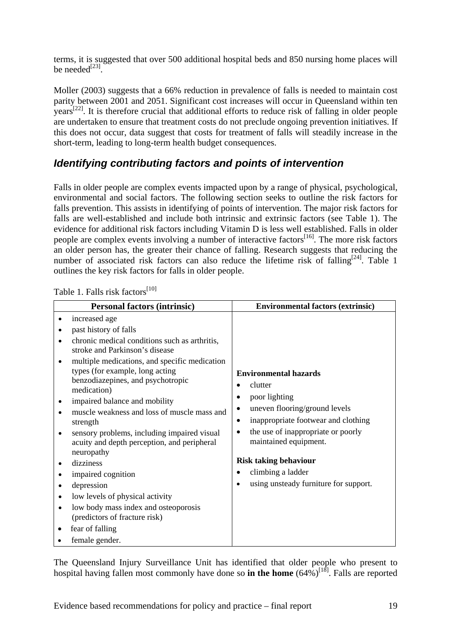terms, it is suggested that over 500 additional hospital beds and 850 nursing home places will be needed $^{[23]}$ .

Moller (2003) suggests that a 66% reduction in prevalence of falls is needed to maintain cost parity between 2001 and 2051. Significant cost increases will occur in Queensland within ten  $\text{years}^{[22]}$ . It is therefore crucial that additional efforts to reduce risk of falling in older people are undertaken to ensure that treatment costs do not preclude ongoing prevention initiatives. If this does not occur, data suggest that costs for treatment of falls will steadily increase in the short-term, leading to long-term health budget consequences.

# *Identifying contributing factors and points of intervention*

Falls in older people are complex events impacted upon by a range of physical, psychological, environmental and social factors. The following section seeks to outline the risk factors for falls prevention. This assists in identifying of points of intervention. The major risk factors for falls are well-established and include both intrinsic and extrinsic factors (see Table 1). The evidence for additional risk factors including Vitamin D is less well established. Falls in older people are complex events involving a number of interactive factors<sup>[16]</sup>. The more risk factors an older person has, the greater their chance of falling. Research suggests that reducing the number of associated risk factors can also reduce the lifetime risk of falling<sup>[24]</sup>. Table 1 outlines the key risk factors for falls in older people.

| <b>Personal factors (intrinsic)</b> |                                                                                                                                      | <b>Environmental factors (extrinsic)</b>                                          |  |
|-------------------------------------|--------------------------------------------------------------------------------------------------------------------------------------|-----------------------------------------------------------------------------------|--|
|                                     | increased age                                                                                                                        |                                                                                   |  |
|                                     | past history of falls                                                                                                                |                                                                                   |  |
|                                     | chronic medical conditions such as arthritis,<br>stroke and Parkinson's disease                                                      |                                                                                   |  |
|                                     | multiple medications, and specific medication<br>types (for example, long acting<br>benzodiazepines, and psychotropic<br>medication) | <b>Environmental hazards</b><br>clutter<br>poor lighting<br>$\bullet$             |  |
|                                     | impaired balance and mobility                                                                                                        | $\bullet$                                                                         |  |
| ٠                                   | muscle weakness and loss of muscle mass and<br>strength                                                                              | uneven flooring/ground levels<br>inappropriate footwear and clothing<br>$\bullet$ |  |
| ٠                                   | sensory problems, including impaired visual<br>acuity and depth perception, and peripheral<br>neuropathy                             | the use of inappropriate or poorly<br>$\bullet$<br>maintained equipment.          |  |
|                                     | dizziness                                                                                                                            | <b>Risk taking behaviour</b>                                                      |  |
|                                     | climbing a ladder<br>٠<br>impaired cognition                                                                                         |                                                                                   |  |
| ٠                                   | depression                                                                                                                           | using unsteady furniture for support.                                             |  |
| ٠                                   | low levels of physical activity                                                                                                      |                                                                                   |  |
| $\bullet$                           | low body mass index and osteoporosis<br>(predictors of fracture risk)                                                                |                                                                                   |  |
|                                     | fear of falling                                                                                                                      |                                                                                   |  |
|                                     | female gender.                                                                                                                       |                                                                                   |  |

Table 1. Falls risk factors<sup>[10]</sup>

The Queensland Injury Surveillance Unit has identified that older people who present to hospital having fallen most commonly have done so **in the home**  $(64\%)^{[18]}$ . Falls are reported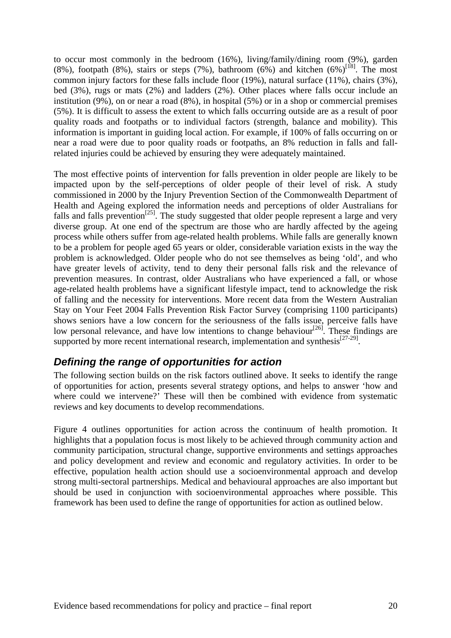to occur most commonly in the bedroom (16%), living/family/dining room (9%), garden (8%), footpath (8%), stairs or steps (7%), bathroom (6%) and kitchen (6%)<sup>[18]</sup>. The most common injury factors for these falls include floor (19%), natural surface (11%), chairs (3%), bed (3%), rugs or mats (2%) and ladders (2%). Other places where falls occur include an institution (9%), on or near a road (8%), in hospital (5%) or in a shop or commercial premises (5%). It is difficult to assess the extent to which falls occurring outside are as a result of poor quality roads and footpaths or to individual factors (strength, balance and mobility). This information is important in guiding local action. For example, if 100% of falls occurring on or near a road were due to poor quality roads or footpaths, an 8% reduction in falls and fallrelated injuries could be achieved by ensuring they were adequately maintained.

The most effective points of intervention for falls prevention in older people are likely to be impacted upon by the self-perceptions of older people of their level of risk. A study commissioned in 2000 by the Injury Prevention Section of the Commonwealth Department of Health and Ageing explored the information needs and perceptions of older Australians for falls and falls prevention<sup>[25]</sup>. The study suggested that older people represent a large and very diverse group. At one end of the spectrum are those who are hardly affected by the ageing process while others suffer from age-related health problems. While falls are generally known to be a problem for people aged 65 years or older, considerable variation exists in the way the problem is acknowledged. Older people who do not see themselves as being 'old', and who have greater levels of activity, tend to deny their personal falls risk and the relevance of prevention measures. In contrast, older Australians who have experienced a fall, or whose age-related health problems have a significant lifestyle impact, tend to acknowledge the risk of falling and the necessity for interventions. More recent data from the Western Australian Stay on Your Feet 2004 Falls Prevention Risk Factor Survey (comprising 1100 participants) shows seniors have a low concern for the seriousness of the falls issue, perceive falls have low personal relevance, and have low intentions to change behaviour<sup>[26]</sup>. These findings are supported by more recent international research, implementation and synthesis<sup>[27-29]</sup>.

# *Defining the range of opportunities for action*

The following section builds on the risk factors outlined above. It seeks to identify the range of opportunities for action, presents several strategy options, and helps to answer 'how and where could we intervene?' These will then be combined with evidence from systematic reviews and key documents to develop recommendations.

Figure 4 outlines opportunities for action across the continuum of health promotion. It highlights that a population focus is most likely to be achieved through community action and community participation, structural change, supportive environments and settings approaches and policy development and review and economic and regulatory activities. In order to be effective, population health action should use a socioenvironmental approach and develop strong multi-sectoral partnerships. Medical and behavioural approaches are also important but should be used in conjunction with socioenvironmental approaches where possible. This framework has been used to define the range of opportunities for action as outlined below.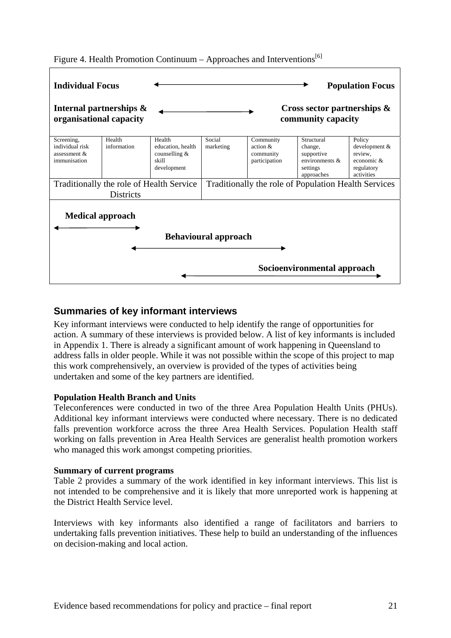

Figure 4. Health Promotion Continuum – Approaches and Interventions<sup>[6]</sup>

### **Summaries of key informant interviews**

Key informant interviews were conducted to help identify the range of opportunities for action. A summary of these interviews is provided below. A list of key informants is included in Appendix 1. There is already a significant amount of work happening in Queensland to address falls in older people. While it was not possible within the scope of this project to map this work comprehensively, an overview is provided of the types of activities being undertaken and some of the key partners are identified.

#### **Population Health Branch and Units**

Teleconferences were conducted in two of the three Area Population Health Units (PHUs). Additional key informant interviews were conducted where necessary. There is no dedicated falls prevention workforce across the three Area Health Services. Population Health staff working on falls prevention in Area Health Services are generalist health promotion workers who managed this work amongst competing priorities.

#### **Summary of current programs**

Table 2 provides a summary of the work identified in key informant interviews. This list is not intended to be comprehensive and it is likely that more unreported work is happening at the District Health Service level.

Interviews with key informants also identified a range of facilitators and barriers to undertaking falls prevention initiatives. These help to build an understanding of the influences on decision-making and local action.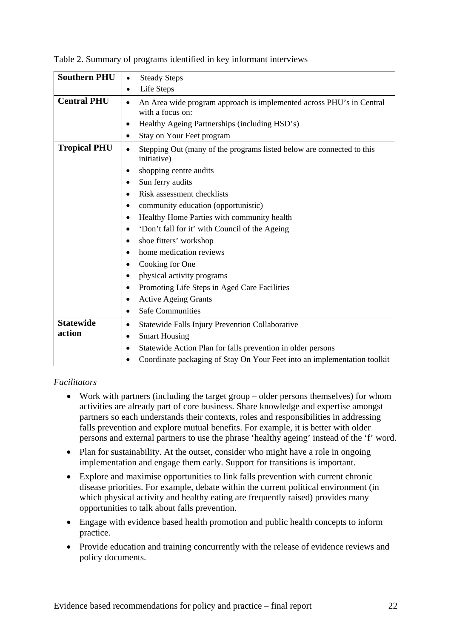| <b>Southern PHU</b> | <b>Steady Steps</b><br>$\bullet$                                                                      |  |  |
|---------------------|-------------------------------------------------------------------------------------------------------|--|--|
|                     | Life Steps<br>$\bullet$                                                                               |  |  |
| <b>Central PHU</b>  | An Area wide program approach is implemented across PHU's in Central<br>$\bullet$<br>with a focus on: |  |  |
|                     | Healthy Ageing Partnerships (including HSD's)<br>٠                                                    |  |  |
|                     | Stay on Your Feet program<br>٠                                                                        |  |  |
| <b>Tropical PHU</b> | Stepping Out (many of the programs listed below are connected to this<br>$\bullet$<br>initiative)     |  |  |
|                     | shopping centre audits<br>٠                                                                           |  |  |
|                     | Sun ferry audits<br>٠                                                                                 |  |  |
|                     | Risk assessment checklists<br>$\bullet$                                                               |  |  |
|                     | community education (opportunistic)<br>٠                                                              |  |  |
|                     | Healthy Home Parties with community health<br>٠                                                       |  |  |
|                     | 'Don't fall for it' with Council of the Ageing<br>٠                                                   |  |  |
|                     | shoe fitters' workshop<br>٠                                                                           |  |  |
|                     | home medication reviews                                                                               |  |  |
|                     | Cooking for One<br>٠                                                                                  |  |  |
|                     | physical activity programs<br>٠                                                                       |  |  |
|                     | Promoting Life Steps in Aged Care Facilities<br>٠                                                     |  |  |
|                     | <b>Active Ageing Grants</b><br>$\bullet$                                                              |  |  |
|                     | <b>Safe Communities</b><br>٠                                                                          |  |  |
| <b>Statewide</b>    | Statewide Falls Injury Prevention Collaborative<br>٠                                                  |  |  |
| action              | <b>Smart Housing</b><br>٠                                                                             |  |  |
|                     | Statewide Action Plan for falls prevention in older persons<br>٠                                      |  |  |
|                     | Coordinate packaging of Stay On Your Feet into an implementation toolkit                              |  |  |

Table 2. Summary of programs identified in key informant interviews

#### *Facilitators*

- Work with partners (including the target group older persons themselves) for whom activities are already part of core business. Share knowledge and expertise amongst partners so each understands their contexts, roles and responsibilities in addressing falls prevention and explore mutual benefits. For example, it is better with older persons and external partners to use the phrase 'healthy ageing' instead of the 'f' word.
- Plan for sustainability. At the outset, consider who might have a role in ongoing implementation and engage them early. Support for transitions is important.
- Explore and maximise opportunities to link falls prevention with current chronic disease priorities. For example, debate within the current political environment (in which physical activity and healthy eating are frequently raised) provides many opportunities to talk about falls prevention.
- Engage with evidence based health promotion and public health concepts to inform practice.
- Provide education and training concurrently with the release of evidence reviews and policy documents.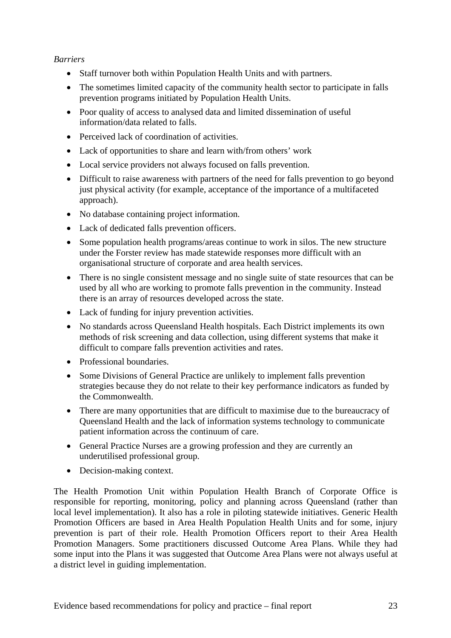#### *Barriers*

- Staff turnover both within Population Health Units and with partners.
- The sometimes limited capacity of the community health sector to participate in falls prevention programs initiated by Population Health Units.
- Poor quality of access to analysed data and limited dissemination of useful information/data related to falls.
- Perceived lack of coordination of activities.
- Lack of opportunities to share and learn with/from others' work
- Local service providers not always focused on falls prevention.
- Difficult to raise awareness with partners of the need for falls prevention to go beyond just physical activity (for example, acceptance of the importance of a multifaceted approach).
- No database containing project information.
- Lack of dedicated falls prevention officers.
- Some population health programs/areas continue to work in silos. The new structure under the Forster review has made statewide responses more difficult with an organisational structure of corporate and area health services.
- There is no single consistent message and no single suite of state resources that can be used by all who are working to promote falls prevention in the community. Instead there is an array of resources developed across the state.
- Lack of funding for injury prevention activities.
- No standards across Queensland Health hospitals. Each District implements its own methods of risk screening and data collection, using different systems that make it difficult to compare falls prevention activities and rates.
- Professional boundaries.
- Some Divisions of General Practice are unlikely to implement falls prevention strategies because they do not relate to their key performance indicators as funded by the Commonwealth.
- There are many opportunities that are difficult to maximise due to the bureaucracy of Queensland Health and the lack of information systems technology to communicate patient information across the continuum of care.
- General Practice Nurses are a growing profession and they are currently an underutilised professional group.
- Decision-making context.

The Health Promotion Unit within Population Health Branch of Corporate Office is responsible for reporting, monitoring, policy and planning across Queensland (rather than local level implementation). It also has a role in piloting statewide initiatives. Generic Health Promotion Officers are based in Area Health Population Health Units and for some, injury prevention is part of their role. Health Promotion Officers report to their Area Health Promotion Managers. Some practitioners discussed Outcome Area Plans. While they had some input into the Plans it was suggested that Outcome Area Plans were not always useful at a district level in guiding implementation.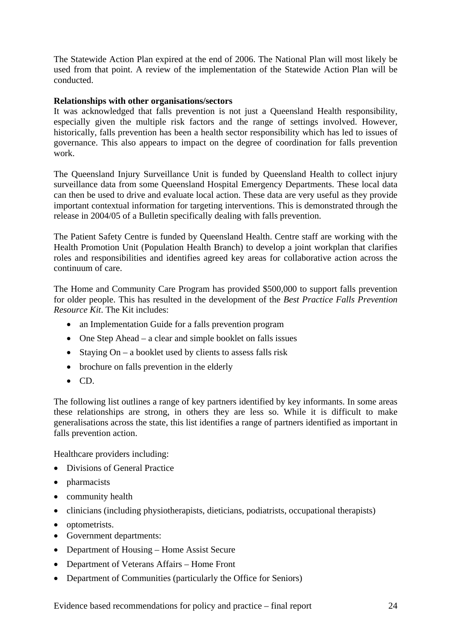The Statewide Action Plan expired at the end of 2006. The National Plan will most likely be used from that point. A review of the implementation of the Statewide Action Plan will be conducted.

#### **Relationships with other organisations/sectors**

It was acknowledged that falls prevention is not just a Queensland Health responsibility, especially given the multiple risk factors and the range of settings involved. However, historically, falls prevention has been a health sector responsibility which has led to issues of governance. This also appears to impact on the degree of coordination for falls prevention work.

The Queensland Injury Surveillance Unit is funded by Queensland Health to collect injury surveillance data from some Queensland Hospital Emergency Departments. These local data can then be used to drive and evaluate local action. These data are very useful as they provide important contextual information for targeting interventions. This is demonstrated through the release in 2004/05 of a Bulletin specifically dealing with falls prevention.

The Patient Safety Centre is funded by Queensland Health. Centre staff are working with the Health Promotion Unit (Population Health Branch) to develop a joint workplan that clarifies roles and responsibilities and identifies agreed key areas for collaborative action across the continuum of care.

The Home and Community Care Program has provided \$500,000 to support falls prevention for older people. This has resulted in the development of the *Best Practice Falls Prevention Resource Kit*. The Kit includes:

- an Implementation Guide for a falls prevention program
- One Step Ahead a clear and simple booklet on falls issues
- Staying  $On a$  booklet used by clients to assess falls risk
- brochure on falls prevention in the elderly
- CD.

The following list outlines a range of key partners identified by key informants. In some areas these relationships are strong, in others they are less so. While it is difficult to make generalisations across the state, this list identifies a range of partners identified as important in falls prevention action.

Healthcare providers including:

- Divisions of General Practice
- pharmacists
- community health
- clinicians (including physiotherapists, dieticians, podiatrists, occupational therapists)
- optometrists.
- Government departments:
- Department of Housing Home Assist Secure
- Department of Veterans Affairs Home Front
- Department of Communities (particularly the Office for Seniors)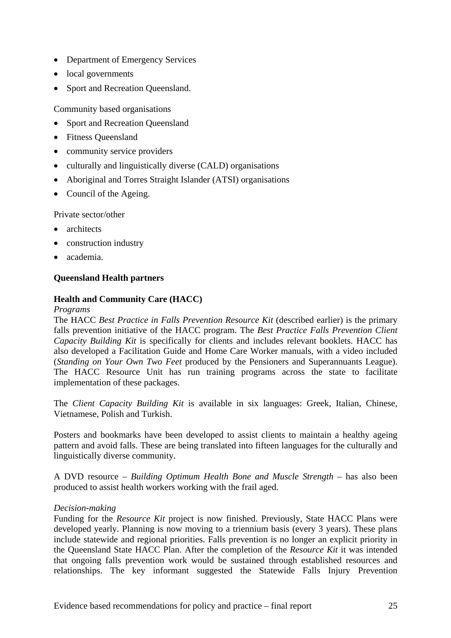- Department of Emergency Services
- local governments
- Sport and Recreation Oueensland.

Community based organisations

- Sport and Recreation Oueensland
- Fitness Queensland
- community service providers
- culturally and linguistically diverse (CALD) organisations
- Aboriginal and Torres Straight Islander (ATSI) organisations
- Council of the Ageing.

Private sector/other

- architects
- construction industry
- academia.

#### **Queensland Health partners**

#### **Health and Community Care (HACC)**

#### *Programs*

The HACC *Best Practice in Falls Prevention Resource Kit* (described earlier) is the primary falls prevention initiative of the HACC program. The *Best Practice Falls Prevention Client Capacity Building Kit* is specifically for clients and includes relevant booklets. HACC has also developed a Facilitation Guide and Home Care Worker manuals, with a video included (*Standing on Your Own Two Feet* produced by the Pensioners and Superannuants League). The HACC Resource Unit has run training programs across the state to facilitate implementation of these packages.

The *Client Capacity Building Kit* is available in six languages: Greek, Italian, Chinese, Vietnamese, Polish and Turkish.

Posters and bookmarks have been developed to assist clients to maintain a healthy ageing pattern and avoid falls. These are being translated into fifteen languages for the culturally and linguistically diverse community.

A DVD resource – *Building Optimum Health Bone and Muscle Strength* – has also been produced to assist health workers working with the frail aged.

#### *Decision-making*

Funding for the *Resource Kit* project is now finished. Previously, State HACC Plans were developed yearly. Planning is now moving to a triennium basis (every 3 years). These plans include statewide and regional priorities. Falls prevention is no longer an explicit priority in the Queensland State HACC Plan. After the completion of the *Resource Kit* it was intended that ongoing falls prevention work would be sustained through established resources and relationships. The key informant suggested the Statewide Falls Injury Prevention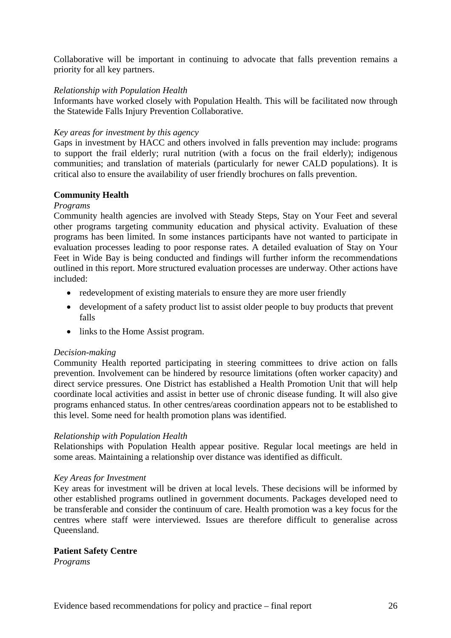Collaborative will be important in continuing to advocate that falls prevention remains a priority for all key partners.

#### *Relationship with Population Health*

Informants have worked closely with Population Health. This will be facilitated now through the Statewide Falls Injury Prevention Collaborative.

#### *Key areas for investment by this agency*

Gaps in investment by HACC and others involved in falls prevention may include: programs to support the frail elderly; rural nutrition (with a focus on the frail elderly); indigenous communities; and translation of materials (particularly for newer CALD populations). It is critical also to ensure the availability of user friendly brochures on falls prevention.

#### **Community Health**

#### *Programs*

Community health agencies are involved with Steady Steps, Stay on Your Feet and several other programs targeting community education and physical activity. Evaluation of these programs has been limited. In some instances participants have not wanted to participate in evaluation processes leading to poor response rates. A detailed evaluation of Stay on Your Feet in Wide Bay is being conducted and findings will further inform the recommendations outlined in this report. More structured evaluation processes are underway. Other actions have included:

- redevelopment of existing materials to ensure they are more user friendly
- development of a safety product list to assist older people to buy products that prevent falls
- links to the Home Assist program.

#### *Decision-making*

Community Health reported participating in steering committees to drive action on falls prevention. Involvement can be hindered by resource limitations (often worker capacity) and direct service pressures. One District has established a Health Promotion Unit that will help coordinate local activities and assist in better use of chronic disease funding. It will also give programs enhanced status. In other centres/areas coordination appears not to be established to this level. Some need for health promotion plans was identified.

#### *Relationship with Population Health*

Relationships with Population Health appear positive. Regular local meetings are held in some areas. Maintaining a relationship over distance was identified as difficult.

#### *Key Areas for Investment*

Key areas for investment will be driven at local levels. These decisions will be informed by other established programs outlined in government documents. Packages developed need to be transferable and consider the continuum of care. Health promotion was a key focus for the centres where staff were interviewed. Issues are therefore difficult to generalise across Queensland.

#### **Patient Safety Centre**

*Programs*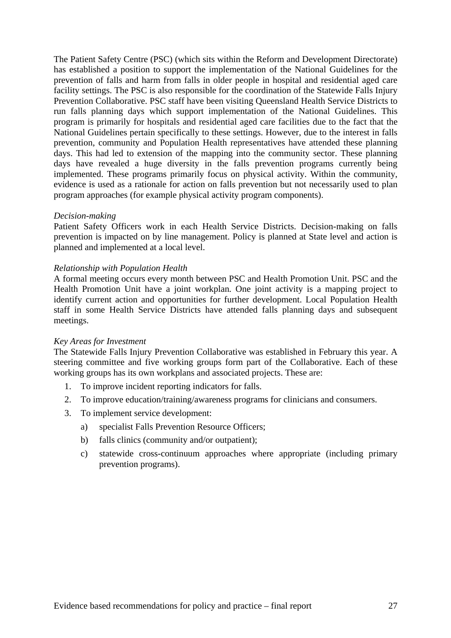The Patient Safety Centre (PSC) (which sits within the Reform and Development Directorate) has established a position to support the implementation of the National Guidelines for the prevention of falls and harm from falls in older people in hospital and residential aged care facility settings. The PSC is also responsible for the coordination of the Statewide Falls Injury Prevention Collaborative. PSC staff have been visiting Queensland Health Service Districts to run falls planning days which support implementation of the National Guidelines. This program is primarily for hospitals and residential aged care facilities due to the fact that the National Guidelines pertain specifically to these settings. However, due to the interest in falls prevention, community and Population Health representatives have attended these planning days. This had led to extension of the mapping into the community sector. These planning days have revealed a huge diversity in the falls prevention programs currently being implemented. These programs primarily focus on physical activity. Within the community, evidence is used as a rationale for action on falls prevention but not necessarily used to plan program approaches (for example physical activity program components).

#### *Decision-making*

Patient Safety Officers work in each Health Service Districts. Decision-making on falls prevention is impacted on by line management. Policy is planned at State level and action is planned and implemented at a local level.

#### *Relationship with Population Health*

A formal meeting occurs every month between PSC and Health Promotion Unit. PSC and the Health Promotion Unit have a joint workplan. One joint activity is a mapping project to identify current action and opportunities for further development. Local Population Health staff in some Health Service Districts have attended falls planning days and subsequent meetings.

#### *Key Areas for Investment*

The Statewide Falls Injury Prevention Collaborative was established in February this year. A steering committee and five working groups form part of the Collaborative. Each of these working groups has its own workplans and associated projects. These are:

- 1. To improve incident reporting indicators for falls.
- 2. To improve education/training/awareness programs for clinicians and consumers.
- 3. To implement service development:
	- a) specialist Falls Prevention Resource Officers;
	- b) falls clinics (community and/or outpatient);
	- c) statewide cross-continuum approaches where appropriate (including primary prevention programs).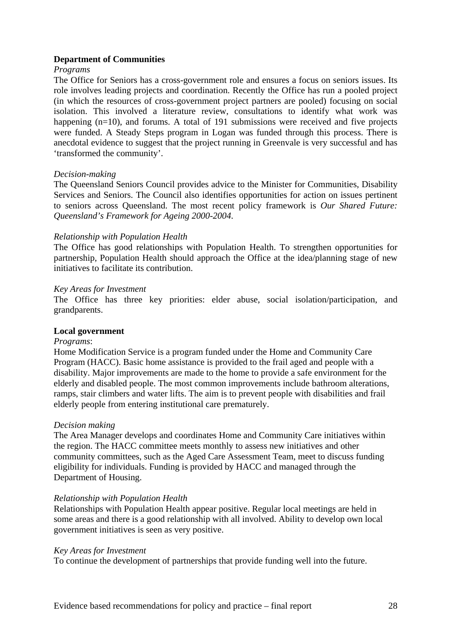#### **Department of Communities**

#### *Programs*

The Office for Seniors has a cross-government role and ensures a focus on seniors issues. Its role involves leading projects and coordination. Recently the Office has run a pooled project (in which the resources of cross-government project partners are pooled) focusing on social isolation. This involved a literature review, consultations to identify what work was happening (n=10), and forums. A total of 191 submissions were received and five projects were funded. A Steady Steps program in Logan was funded through this process. There is anecdotal evidence to suggest that the project running in Greenvale is very successful and has 'transformed the community'.

#### *Decision-making*

The Queensland Seniors Council provides advice to the Minister for Communities, Disability Services and Seniors. The Council also identifies opportunities for action on issues pertinent to seniors across Queensland. The most recent policy framework is *Our Shared Future: Queensland's Framework for Ageing 2000-2004*.

#### *Relationship with Population Health*

The Office has good relationships with Population Health. To strengthen opportunities for partnership, Population Health should approach the Office at the idea/planning stage of new initiatives to facilitate its contribution.

#### *Key Areas for Investment*

The Office has three key priorities: elder abuse, social isolation/participation, and grandparents.

#### **Local government**

#### *Programs*:

Home Modification Service is a program funded under the Home and Community Care Program (HACC). Basic home assistance is provided to the frail aged and people with a disability. Major improvements are made to the home to provide a safe environment for the elderly and disabled people. The most common improvements include bathroom alterations, ramps, stair climbers and water lifts. The aim is to prevent people with disabilities and frail elderly people from entering institutional care prematurely.

#### *Decision making*

The Area Manager develops and coordinates Home and Community Care initiatives within the region. The HACC committee meets monthly to assess new initiatives and other community committees, such as the Aged Care Assessment Team, meet to discuss funding eligibility for individuals. Funding is provided by HACC and managed through the Department of Housing.

#### *Relationship with Population Health*

Relationships with Population Health appear positive. Regular local meetings are held in some areas and there is a good relationship with all involved. Ability to develop own local government initiatives is seen as very positive.

#### *Key Areas for Investment*

To continue the development of partnerships that provide funding well into the future.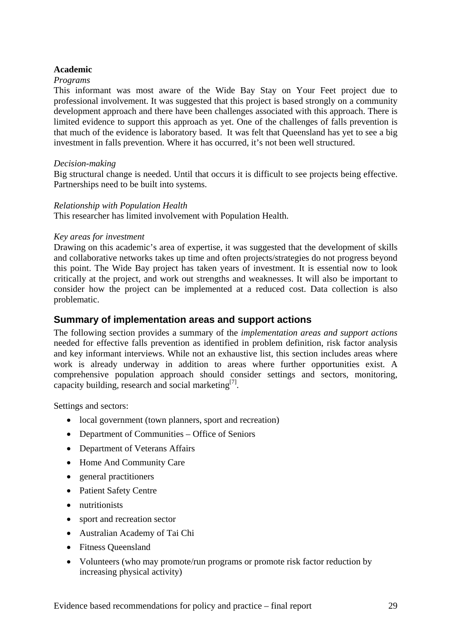#### **Academic**

#### *Programs*

This informant was most aware of the Wide Bay Stay on Your Feet project due to professional involvement. It was suggested that this project is based strongly on a community development approach and there have been challenges associated with this approach. There is limited evidence to support this approach as yet. One of the challenges of falls prevention is that much of the evidence is laboratory based. It was felt that Queensland has yet to see a big investment in falls prevention. Where it has occurred, it's not been well structured.

#### *Decision-making*

Big structural change is needed. Until that occurs it is difficult to see projects being effective. Partnerships need to be built into systems.

#### *Relationship with Population Health*

This researcher has limited involvement with Population Health.

#### *Key areas for investment*

Drawing on this academic's area of expertise, it was suggested that the development of skills and collaborative networks takes up time and often projects/strategies do not progress beyond this point. The Wide Bay project has taken years of investment. It is essential now to look critically at the project, and work out strengths and weaknesses. It will also be important to consider how the project can be implemented at a reduced cost. Data collection is also problematic.

#### **Summary of implementation areas and support actions**

The following section provides a summary of the *implementation areas and support actions*  needed for effective falls prevention as identified in problem definition, risk factor analysis and key informant interviews. While not an exhaustive list, this section includes areas where work is already underway in addition to areas where further opportunities exist. A comprehensive population approach should consider settings and sectors, monitoring, capacity building, research and social marketing<sup>[7]</sup>.

Settings and sectors:

- local government (town planners, sport and recreation)
- Department of Communities Office of Seniors
- Department of Veterans Affairs
- Home And Community Care
- general practitioners
- Patient Safety Centre
- nutritionists
- sport and recreation sector
- Australian Academy of Tai Chi
- Fitness Queensland
- Volunteers (who may promote/run programs or promote risk factor reduction by increasing physical activity)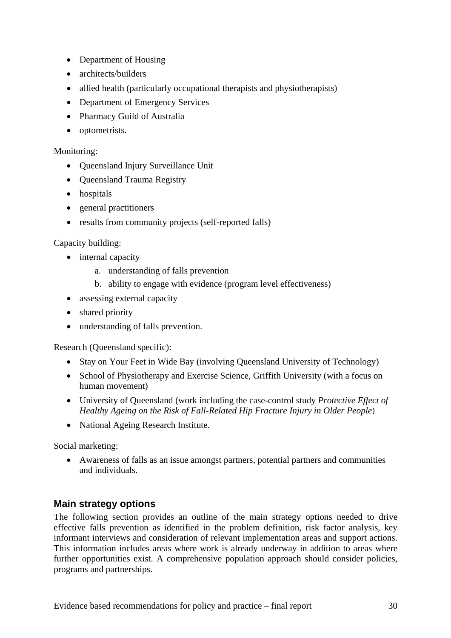- Department of Housing
- architects/builders
- allied health (particularly occupational therapists and physiotherapists)
- Department of Emergency Services
- Pharmacy Guild of Australia
- optometrists.

#### Monitoring:

- Queensland Injury Surveillance Unit
- Queensland Trauma Registry
- hospitals
- general practitioners
- results from community projects (self-reported falls)

#### Capacity building:

- internal capacity
	- a. understanding of falls prevention
	- b. ability to engage with evidence (program level effectiveness)
- assessing external capacity
- shared priority
- understanding of falls prevention.

Research (Queensland specific):

- Stay on Your Feet in Wide Bay (involving Queensland University of Technology)
- School of Physiotherapy and Exercise Science, Griffith University (with a focus on human movement)
- University of Queensland (work including the case-control study *Protective Effect of Healthy Ageing on the Risk of Fall-Related Hip Fracture Injury in Older People*)
- National Ageing Research Institute.

Social marketing:

• Awareness of falls as an issue amongst partners, potential partners and communities and individuals.

### **Main strategy options**

The following section provides an outline of the main strategy options needed to drive effective falls prevention as identified in the problem definition, risk factor analysis, key informant interviews and consideration of relevant implementation areas and support actions. This information includes areas where work is already underway in addition to areas where further opportunities exist. A comprehensive population approach should consider policies, programs and partnerships.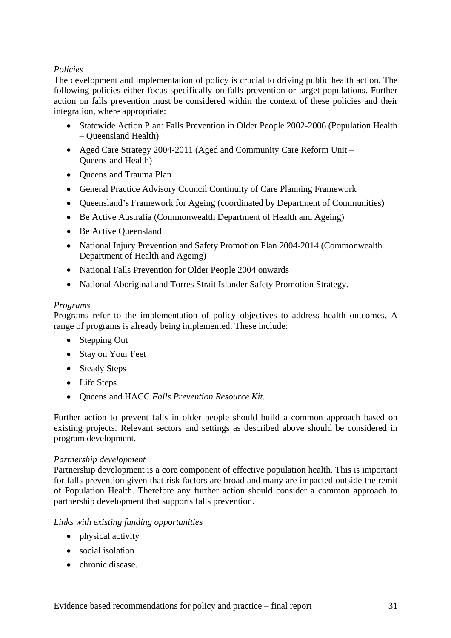#### *Policies*

The development and implementation of policy is crucial to driving public health action. The following policies either focus specifically on falls prevention or target populations. Further action on falls prevention must be considered within the context of these policies and their integration, where appropriate:

- Statewide Action Plan: Falls Prevention in Older People 2002-2006 (Population Health – Queensland Health)
- Aged Care Strategy 2004-2011 (Aged and Community Care Reform Unit Queensland Health)
- Queensland Trauma Plan
- General Practice Advisory Council Continuity of Care Planning Framework
- Queensland's Framework for Ageing (coordinated by Department of Communities)
- Be Active Australia (Commonwealth Department of Health and Ageing)
- Be Active Queensland
- National Injury Prevention and Safety Promotion Plan 2004-2014 (Commonwealth Department of Health and Ageing)
- National Falls Prevention for Older People 2004 onwards
- National Aboriginal and Torres Strait Islander Safety Promotion Strategy.

#### *Programs*

Programs refer to the implementation of policy objectives to address health outcomes. A range of programs is already being implemented. These include:

- Stepping Out
- Stay on Your Feet
- Steady Steps
- Life Steps
- Queensland HACC *Falls Prevention Resource Kit*.

Further action to prevent falls in older people should build a common approach based on existing projects. Relevant sectors and settings as described above should be considered in program development.

#### *Partnership development*

Partnership development is a core component of effective population health. This is important for falls prevention given that risk factors are broad and many are impacted outside the remit of Population Health. Therefore any further action should consider a common approach to partnership development that supports falls prevention.

#### *Links with existing funding opportunities*

- physical activity
- social isolation
- chronic disease.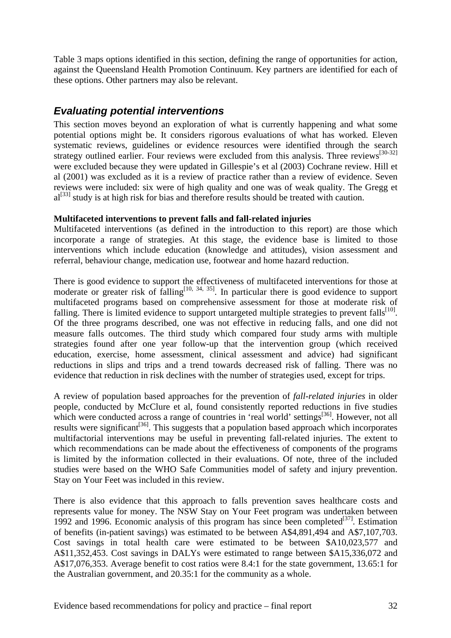Table 3 maps options identified in this section, defining the range of opportunities for action, against the Queensland Health Promotion Continuum. Key partners are identified for each of these options. Other partners may also be relevant.

# *Evaluating potential interventions*

This section moves beyond an exploration of what is currently happening and what some potential options might be. It considers rigorous evaluations of what has worked. Eleven systematic reviews, guidelines or evidence resources were identified through the search strategy outlined earlier. Four reviews were excluded from this analysis. Three reviews<sup>[30-32]</sup> were excluded because they were updated in Gillespie's et al (2003) Cochrane review. Hill et al (2001) was excluded as it is a review of practice rather than a review of evidence. Seven reviews were included: six were of high quality and one was of weak quality. The Gregg et  $al^{[33]}$  study is at high risk for bias and therefore results should be treated with caution.

#### **Multifaceted interventions to prevent falls and fall-related injuries**

Multifaceted interventions (as defined in the introduction to this report) are those which incorporate a range of strategies. At this stage, the evidence base is limited to those interventions which include education (knowledge and attitudes), vision assessment and referral, behaviour change, medication use, footwear and home hazard reduction.

There is good evidence to support the effectiveness of multifaceted interventions for those at moderate or greater risk of falling<sup>[10, 34, 35]</sup>. In particular there is good evidence to support multifaceted programs based on comprehensive assessment for those at moderate risk of falling. There is limited evidence to support untargeted multiple strategies to prevent falls $^{[10]}$ . Of the three programs described, one was not effective in reducing falls, and one did not measure falls outcomes. The third study which compared four study arms with multiple strategies found after one year follow-up that the intervention group (which received education, exercise, home assessment, clinical assessment and advice) had significant reductions in slips and trips and a trend towards decreased risk of falling. There was no evidence that reduction in risk declines with the number of strategies used, except for trips.

A review of population based approaches for the prevention of *fall-related injuries* in older people, conducted by McClure et al, found consistently reported reductions in five studies which were conducted across a range of countries in 'real world' settings<sup>[36]</sup>. However, not all results were significant<sup>[36]</sup>. This suggests that a population based approach which incorporates multifactorial interventions may be useful in preventing fall-related injuries. The extent to which recommendations can be made about the effectiveness of components of the programs is limited by the information collected in their evaluations. Of note, three of the included studies were based on the WHO Safe Communities model of safety and injury prevention. Stay on Your Feet was included in this review.

There is also evidence that this approach to falls prevention saves healthcare costs and represents value for money. The NSW Stay on Your Feet program was undertaken between 1992 and 1996. Economic analysis of this program has since been completed $[37]$ . Estimation of benefits (in-patient savings) was estimated to be between A\$4,891,494 and A\$7,107,703. Cost savings in total health care were estimated to be between \$A10,023,577 and A\$11,352,453. Cost savings in DALYs were estimated to range between \$A15,336,072 and A\$17,076,353. Average benefit to cost ratios were 8.4:1 for the state government, 13.65:1 for the Australian government, and 20.35:1 for the community as a whole.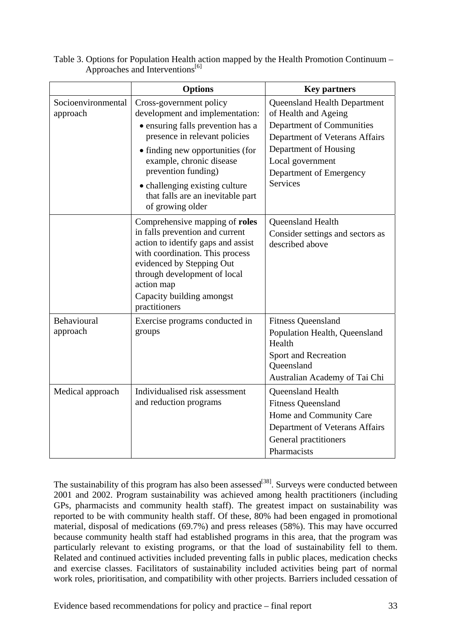|                                | <b>Options</b>                                                                                                                                                                                                                                                             | <b>Key partners</b>                                                                                                                                 |
|--------------------------------|----------------------------------------------------------------------------------------------------------------------------------------------------------------------------------------------------------------------------------------------------------------------------|-----------------------------------------------------------------------------------------------------------------------------------------------------|
| Socioenvironmental<br>approach | Cross-government policy<br>development and implementation:                                                                                                                                                                                                                 | <b>Queensland Health Department</b><br>of Health and Ageing                                                                                         |
|                                | • ensuring falls prevention has a<br>presence in relevant policies                                                                                                                                                                                                         | Department of Communities<br>Department of Veterans Affairs                                                                                         |
|                                | • finding new opportunities (for<br>example, chronic disease<br>prevention funding)                                                                                                                                                                                        | Department of Housing<br>Local government<br>Department of Emergency                                                                                |
|                                | • challenging existing culture<br>that falls are an inevitable part<br>of growing older                                                                                                                                                                                    | <b>Services</b>                                                                                                                                     |
|                                | Comprehensive mapping of <b>roles</b><br>in falls prevention and current<br>action to identify gaps and assist<br>with coordination. This process<br>evidenced by Stepping Out<br>through development of local<br>action map<br>Capacity building amongst<br>practitioners | Queensland Health<br>Consider settings and sectors as<br>described above                                                                            |
| Behavioural<br>approach        | Exercise programs conducted in<br>groups                                                                                                                                                                                                                                   | <b>Fitness Queensland</b><br>Population Health, Queensland<br>Health<br>Sport and Recreation<br>Queensland<br>Australian Academy of Tai Chi         |
| Medical approach               | Individualised risk assessment<br>and reduction programs                                                                                                                                                                                                                   | Queensland Health<br><b>Fitness Queensland</b><br>Home and Community Care<br>Department of Veterans Affairs<br>General practitioners<br>Pharmacists |

Table 3. Options for Population Health action mapped by the Health Promotion Continuum – Approaches and Interventions<sup>[6]</sup>

The sustainability of this program has also been assessed<sup>[38]</sup>. Surveys were conducted between 2001 and 2002. Program sustainability was achieved among health practitioners (including GPs, pharmacists and community health staff). The greatest impact on sustainability was reported to be with community health staff. Of these, 80% had been engaged in promotional material, disposal of medications (69.7%) and press releases (58%). This may have occurred because community health staff had established programs in this area, that the program was particularly relevant to existing programs, or that the load of sustainability fell to them. Related and continued activities included preventing falls in public places, medication checks and exercise classes. Facilitators of sustainability included activities being part of normal work roles, prioritisation, and compatibility with other projects. Barriers included cessation of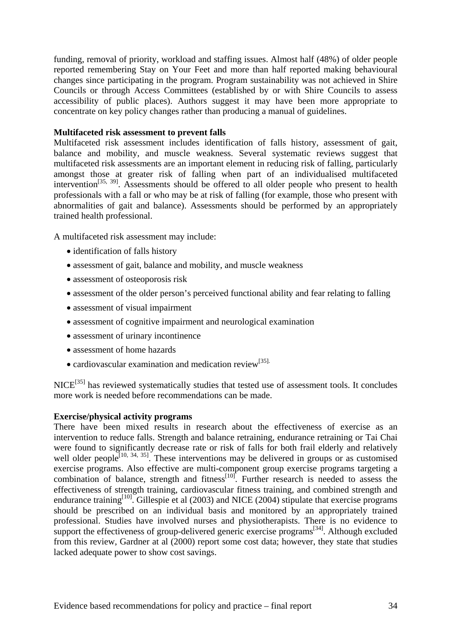funding, removal of priority, workload and staffing issues. Almost half (48%) of older people reported remembering Stay on Your Feet and more than half reported making behavioural changes since participating in the program. Program sustainability was not achieved in Shire Councils or through Access Committees (established by or with Shire Councils to assess accessibility of public places). Authors suggest it may have been more appropriate to concentrate on key policy changes rather than producing a manual of guidelines.

#### **Multifaceted risk assessment to prevent falls**

Multifaceted risk assessment includes identification of falls history, assessment of gait, balance and mobility, and muscle weakness. Several systematic reviews suggest that multifaceted risk assessments are an important element in reducing risk of falling, particularly amongst those at greater risk of falling when part of an individualised multifaceted intervention<sup>[35, 39]</sup>. Assessments should be offered to all older people who present to health professionals with a fall or who may be at risk of falling (for example, those who present with abnormalities of gait and balance). Assessments should be performed by an appropriately trained health professional.

A multifaceted risk assessment may include:

- identification of falls history
- assessment of gait, balance and mobility, and muscle weakness
- assessment of osteoporosis risk
- assessment of the older person's perceived functional ability and fear relating to falling
- assessment of visual impairment
- assessment of cognitive impairment and neurological examination
- assessment of urinary incontinence
- assessment of home hazards
- cardiovascular examination and medication review<sup>[35].</sup>

NICE<sup>[35]</sup> has reviewed systematically studies that tested use of assessment tools. It concludes more work is needed before recommendations can be made.

#### **Exercise/physical activity programs**

There have been mixed results in research about the effectiveness of exercise as an intervention to reduce falls. Strength and balance retraining, endurance retraining or Tai Chai were found to significantly decrease rate or risk of falls for both frail elderly and relatively well older people<sup>[10, 34, 35]</sup>. These interventions may be delivered in groups or as customised exercise programs. Also effective are multi-component group exercise programs targeting a combination of balance, strength and fitness $^{[10]}$ . Further research is needed to assess the effectiveness of strength training, cardiovascular fitness training, and combined strength and endurance training<sup>[10]</sup>. Gillespie et al (2003) and NICE (2004) stipulate that exercise programs should be prescribed on an individual basis and monitored by an appropriately trained professional. Studies have involved nurses and physiotherapists. There is no evidence to support the effectiveness of group-delivered generic exercise programs<sup>[34]</sup>. Although excluded from this review, Gardner at al (2000) report some cost data; however, they state that studies lacked adequate power to show cost savings.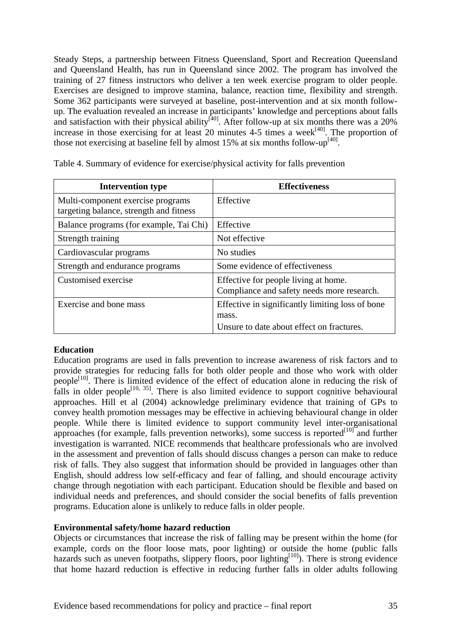Steady Steps, a partnership between Fitness Queensland, Sport and Recreation Queensland and Queensland Health, has run in Queensland since 2002. The program has involved the training of 27 fitness instructors who deliver a ten week exercise program to older people. Exercises are designed to improve stamina, balance, reaction time, flexibility and strength. Some 362 participants were surveyed at baseline, post-intervention and at six month followup. The evaluation revealed an increase in participants' knowledge and perceptions about falls and satisfaction with their physical ability<sup>[40]</sup>. After follow-up at six months there was a 20% increase in those exercising for at least 20 minutes 4-5 times a week<sup>[40]</sup>. The proportion of those not exercising at baseline fell by almost 15% at six months follow-up<sup>[40]</sup>.

| <b>Effectiveness</b>                                                                                   |
|--------------------------------------------------------------------------------------------------------|
| Effective                                                                                              |
| Effective                                                                                              |
| Not effective                                                                                          |
| No studies                                                                                             |
| Some evidence of effectiveness                                                                         |
| Effective for people living at home.<br>Compliance and safety needs more research.                     |
| Effective in significantly limiting loss of bone<br>mass.<br>Unsure to date about effect on fractures. |
|                                                                                                        |

Table 4. Summary of evidence for exercise/physical activity for falls prevention

#### **Education**

Education programs are used in falls prevention to increase awareness of risk factors and to provide strategies for reducing falls for both older people and those who work with older people<sup>[10]</sup>. There is limited evidence of the effect of education alone in reducing the risk of falls in older people<sup>[10, 35]</sup>. There is also limited evidence to support cognitive behavioural approaches. Hill et al (2004) acknowledge preliminary evidence that training of GPs to convey health promotion messages may be effective in achieving behavioural change in older people. While there is limited evidence to support community level inter-organisational approaches (for example, falls prevention networks), some success is reported $[10]$  and further investigation is warranted. NICE recommends that healthcare professionals who are involved in the assessment and prevention of falls should discuss changes a person can make to reduce risk of falls. They also suggest that information should be provided in languages other than English, should address low self-efficacy and fear of falling, and should encourage activity change through negotiation with each participant. Education should be flexible and based on individual needs and preferences, and should consider the social benefits of falls prevention programs. Education alone is unlikely to reduce falls in older people.

#### **Environmental safety/home hazard reduction**

Objects or circumstances that increase the risk of falling may be present within the home (for example, cords on the floor loose mats, poor lighting) or outside the home (public falls hazards such as uneven footpaths, slippery floors, poor lighting<sup>[10]</sup>). There is strong evidence that home hazard reduction is effective in reducing further falls in older adults following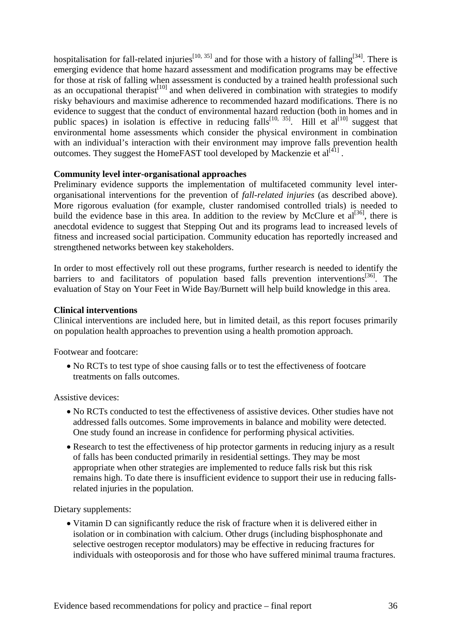hospitalisation for fall-related injuries<sup>[10, 35]</sup> and for those with a history of falling<sup>[34]</sup>. There is emerging evidence that home hazard assessment and modification programs may be effective for those at risk of falling when assessment is conducted by a trained health professional such as an occupational therapist<sup>[10]</sup> and when delivered in combination with strategies to modify risky behaviours and maximise adherence to recommended hazard modifications. There is no evidence to suggest that the conduct of environmental hazard reduction (both in homes and in public spaces) in isolation is effective in reducing falls<sup>[10, 35]</sup>. Hill et al<sup>[10]</sup> suggest that environmental home assessments which consider the physical environment in combination with an individual's interaction with their environment may improve falls prevention health outcomes. They suggest the HomeFAST tool developed by Mackenzie et  $al^{[4]}$ .

#### **Community level inter-organisational approaches**

Preliminary evidence supports the implementation of multifaceted community level interorganisational interventions for the prevention of *fall-related injuries* (as described above). More rigorous evaluation (for example, cluster randomised controlled trials) is needed to build the evidence base in this area. In addition to the review by McClure et  $al^{[36]}$ , there is anecdotal evidence to suggest that Stepping Out and its programs lead to increased levels of fitness and increased social participation. Community education has reportedly increased and strengthened networks between key stakeholders.

In order to most effectively roll out these programs, further research is needed to identify the barriers to and facilitators of population based falls prevention interventions<sup>[36]</sup>. The evaluation of Stay on Your Feet in Wide Bay/Burnett will help build knowledge in this area.

#### **Clinical interventions**

Clinical interventions are included here, but in limited detail, as this report focuses primarily on population health approaches to prevention using a health promotion approach.

Footwear and footcare:

• No RCTs to test type of shoe causing falls or to test the effectiveness of footcare treatments on falls outcomes.

Assistive devices:

- No RCTs conducted to test the effectiveness of assistive devices. Other studies have not addressed falls outcomes. Some improvements in balance and mobility were detected. One study found an increase in confidence for performing physical activities.
- Research to test the effectiveness of hip protector garments in reducing injury as a result of falls has been conducted primarily in residential settings. They may be most appropriate when other strategies are implemented to reduce falls risk but this risk remains high. To date there is insufficient evidence to support their use in reducing fallsrelated injuries in the population.

Dietary supplements:

• Vitamin D can significantly reduce the risk of fracture when it is delivered either in isolation or in combination with calcium. Other drugs (including bisphosphonate and selective oestrogen receptor modulators) may be effective in reducing fractures for individuals with osteoporosis and for those who have suffered minimal trauma fractures.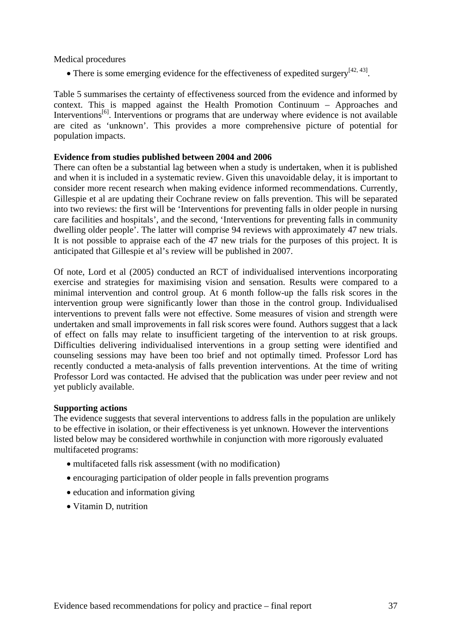Medical procedures

• There is some emerging evidence for the effectiveness of expedited surgery $[42, 43]$ .

Table 5 summarises the certainty of effectiveness sourced from the evidence and informed by context. This is mapped against the Health Promotion Continuum – Approaches and Interventions<sup>[6]</sup>. Interventions or programs that are underway where evidence is not available are cited as 'unknown'. This provides a more comprehensive picture of potential for population impacts.

### **Evidence from studies published between 2004 and 2006**

There can often be a substantial lag between when a study is undertaken, when it is published and when it is included in a systematic review. Given this unavoidable delay, it is important to consider more recent research when making evidence informed recommendations. Currently, Gillespie et al are updating their Cochrane review on falls prevention. This will be separated into two reviews: the first will be 'Interventions for preventing falls in older people in nursing care facilities and hospitals', and the second, 'Interventions for preventing falls in community dwelling older people'. The latter will comprise 94 reviews with approximately 47 new trials. It is not possible to appraise each of the 47 new trials for the purposes of this project. It is anticipated that Gillespie et al's review will be published in 2007.

Of note, Lord et al (2005) conducted an RCT of individualised interventions incorporating exercise and strategies for maximising vision and sensation. Results were compared to a minimal intervention and control group. At 6 month follow-up the falls risk scores in the intervention group were significantly lower than those in the control group. Individualised interventions to prevent falls were not effective. Some measures of vision and strength were undertaken and small improvements in fall risk scores were found. Authors suggest that a lack of effect on falls may relate to insufficient targeting of the intervention to at risk groups. Difficulties delivering individualised interventions in a group setting were identified and counseling sessions may have been too brief and not optimally timed. Professor Lord has recently conducted a meta-analysis of falls prevention interventions. At the time of writing Professor Lord was contacted. He advised that the publication was under peer review and not yet publicly available.

### **Supporting actions**

The evidence suggests that several interventions to address falls in the population are unlikely to be effective in isolation, or their effectiveness is yet unknown. However the interventions listed below may be considered worthwhile in conjunction with more rigorously evaluated multifaceted programs:

- multifaceted falls risk assessment (with no modification)
- encouraging participation of older people in falls prevention programs
- education and information giving
- Vitamin D, nutrition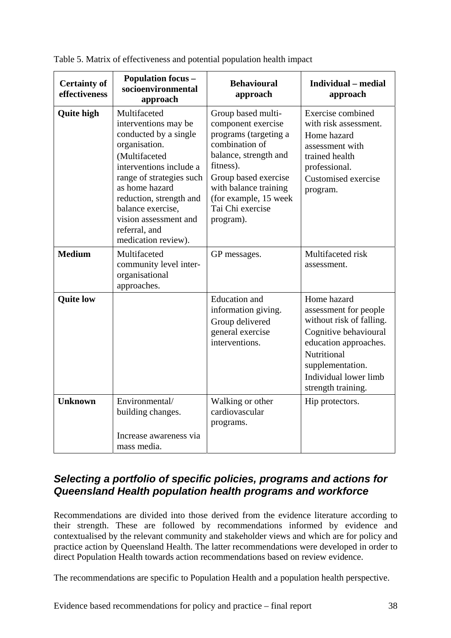| <b>Certainty of</b><br>effectiveness | <b>Population focus -</b><br>socioenvironmental<br>approach                                                                                                                                                                                                                               | <b>Behavioural</b><br>approach                                                                                                                                                                                                       | <b>Individual</b> – medial<br>approach                                                                                                                                                               |
|--------------------------------------|-------------------------------------------------------------------------------------------------------------------------------------------------------------------------------------------------------------------------------------------------------------------------------------------|--------------------------------------------------------------------------------------------------------------------------------------------------------------------------------------------------------------------------------------|------------------------------------------------------------------------------------------------------------------------------------------------------------------------------------------------------|
| <b>Quite high</b>                    | Multifaceted<br>interventions may be<br>conducted by a single<br>organisation.<br>(Multifaceted<br>interventions include a<br>range of strategies such<br>as home hazard<br>reduction, strength and<br>balance exercise,<br>vision assessment and<br>referral, and<br>medication review). | Group based multi-<br>component exercise<br>programs (targeting a<br>combination of<br>balance, strength and<br>fitness).<br>Group based exercise<br>with balance training<br>(for example, 15 week<br>Tai Chi exercise<br>program). | Exercise combined<br>with risk assessment.<br>Home hazard<br>assessment with<br>trained health<br>professional.<br>Customised exercise<br>program.                                                   |
| <b>Medium</b>                        | Multifaceted<br>community level inter-<br>organisational<br>approaches.                                                                                                                                                                                                                   | GP messages.                                                                                                                                                                                                                         | Multifaceted risk<br>assessment.                                                                                                                                                                     |
| <b>Quite low</b>                     |                                                                                                                                                                                                                                                                                           | <b>Education</b> and<br>information giving.<br>Group delivered<br>general exercise<br>interventions.                                                                                                                                 | Home hazard<br>assessment for people<br>without risk of falling.<br>Cognitive behavioural<br>education approaches.<br>Nutritional<br>supplementation.<br>Individual lower limb<br>strength training. |
| <b>Unknown</b>                       | Environmental/<br>building changes.<br>Increase awareness via<br>mass media.                                                                                                                                                                                                              | Walking or other<br>cardiovascular<br>programs.                                                                                                                                                                                      | Hip protectors.                                                                                                                                                                                      |

Table 5. Matrix of effectiveness and potential population health impact

# *Selecting a portfolio of specific policies, programs and actions for Queensland Health population health programs and workforce*

Recommendations are divided into those derived from the evidence literature according to their strength. These are followed by recommendations informed by evidence and contextualised by the relevant community and stakeholder views and which are for policy and practice action by Queensland Health. The latter recommendations were developed in order to direct Population Health towards action recommendations based on review evidence.

The recommendations are specific to Population Health and a population health perspective.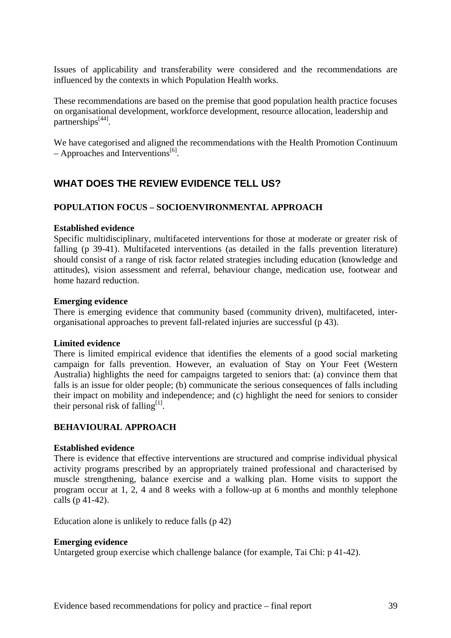Issues of applicability and transferability were considered and the recommendations are influenced by the contexts in which Population Health works.

These recommendations are based on the premise that good population health practice focuses on organisational development, workforce development, resource allocation, leadership and partnerships<sup>[44]</sup>.

We have categorised and aligned the recommendations with the Health Promotion Continuum – Approaches and Interventions<sup>[6]</sup>.

# **WHAT DOES THE REVIEW EVIDENCE TELL US?**

#### **POPULATION FOCUS – SOCIOENVIRONMENTAL APPROACH**

#### **Established evidence**

Specific multidisciplinary, multifaceted interventions for those at moderate or greater risk of falling (p 39-41). Multifaceted interventions (as detailed in the falls prevention literature) should consist of a range of risk factor related strategies including education (knowledge and attitudes), vision assessment and referral, behaviour change, medication use, footwear and home hazard reduction.

#### **Emerging evidence**

There is emerging evidence that community based (community driven), multifaceted, interorganisational approaches to prevent fall-related injuries are successful (p 43).

#### **Limited evidence**

There is limited empirical evidence that identifies the elements of a good social marketing campaign for falls prevention. However, an evaluation of Stay on Your Feet (Western Australia) highlights the need for campaigns targeted to seniors that: (a) convince them that falls is an issue for older people; (b) communicate the serious consequences of falls including their impact on mobility and independence; and (c) highlight the need for seniors to consider their personal risk of falling<sup>[1]</sup>.

## **BEHAVIOURAL APPROACH**

#### **Established evidence**

There is evidence that effective interventions are structured and comprise individual physical activity programs prescribed by an appropriately trained professional and characterised by muscle strengthening, balance exercise and a walking plan. Home visits to support the program occur at 1, 2, 4 and 8 weeks with a follow-up at 6 months and monthly telephone calls (p 41-42).

Education alone is unlikely to reduce falls (p 42)

#### **Emerging evidence**

Untargeted group exercise which challenge balance (for example, Tai Chi: p 41-42).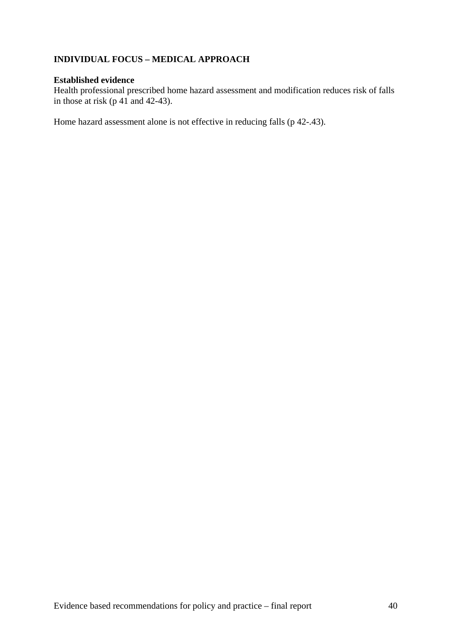# **INDIVIDUAL FOCUS – MEDICAL APPROACH**

## **Established evidence**

Health professional prescribed home hazard assessment and modification reduces risk of falls in those at risk (p 41 and 42-43).

Home hazard assessment alone is not effective in reducing falls (p 42-.43).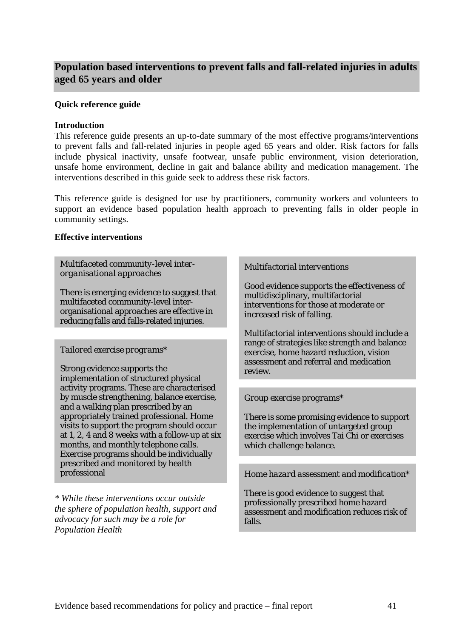# **Population based interventions to prevent falls and fall-related injuries in adults aged 65 years and older**

### **Quick reference guide**

### **Introduction**

This reference guide presents an up-to-date summary of the most effective programs/interventions to prevent falls and fall-related injuries in people aged 65 years and older. Risk factors for falls include physical inactivity, unsafe footwear, unsafe public environment, vision deterioration, unsafe home environment, decline in gait and balance ability and medication management. The interventions described in this guide seek to address these risk factors.

This reference guide is designed for use by practitioners, community workers and volunteers to support an evidence based population health approach to preventing falls in older people in community settings.

## **Effective interventions**

*Multifaceted community-level interorganisational approaches* 

There is emerging evidence to suggest that multifaceted community-level interorganisational approaches are effective in reducing falls and falls-related injuries.

### *Tailored exercise programs\**

Strong evidence supports the implementation of structured physical activity programs. These are characterised by muscle strengthening, balance exercise, and a walking plan prescribed by an appropriately trained professional. Home visits to support the program should occur at 1, 2, 4 and 8 weeks with a follow-up at six months, and monthly telephone calls. Exercise programs should be individually prescribed and monitored by health

*\* While these interventions occur outside the sphere of population health, support and advocacy for such may be a role for Population Health* 

#### *Multifactorial interventions*

Good evidence supports the effectiveness of multidisciplinary, multifactorial interventions for those at moderate or increased risk of falling.

Multifactorial interventions should include a range of strategies like strength and balance exercise, home hazard reduction, vision assessment and referral and medication review.

### *Group exercise programs\**

There is some promising evidence to support the implementation of untargeted group exercise which involves Tai Chi or exercises which challenge balance.

# professional *Home hazard assessment and modification\**

There is good evidence to suggest that professionally prescribed home hazard assessment and modification reduces risk of falls.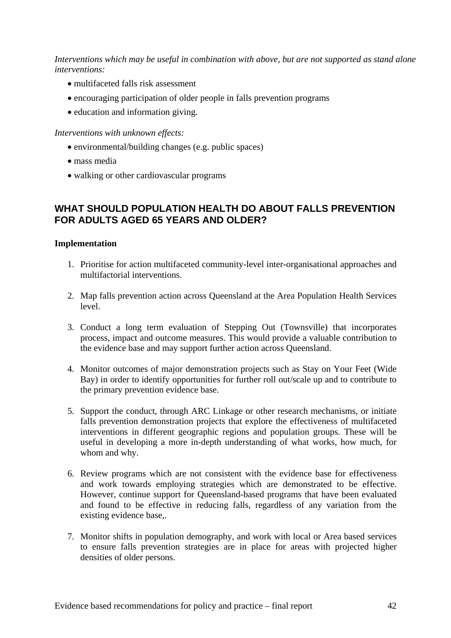*Interventions which may be useful in combination with above, but are not supported as stand alone interventions:* 

- multifaceted falls risk assessment
- encouraging participation of older people in falls prevention programs
- education and information giving.

### *Interventions with unknown effects:*

- environmental/building changes (e.g. public spaces)
- mass media
- walking or other cardiovascular programs

# **WHAT SHOULD POPULATION HEALTH DO ABOUT FALLS PREVENTION FOR ADULTS AGED 65 YEARS AND OLDER?**

## **Implementation**

- 1. Prioritise for action multifaceted community-level inter-organisational approaches and multifactorial interventions.
- 2. Map falls prevention action across Queensland at the Area Population Health Services level.
- 3. Conduct a long term evaluation of Stepping Out (Townsville) that incorporates process, impact and outcome measures. This would provide a valuable contribution to the evidence base and may support further action across Queensland.
- 4. Monitor outcomes of major demonstration projects such as Stay on Your Feet (Wide Bay) in order to identify opportunities for further roll out/scale up and to contribute to the primary prevention evidence base.
- 5. Support the conduct, through ARC Linkage or other research mechanisms, or initiate falls prevention demonstration projects that explore the effectiveness of multifaceted interventions in different geographic regions and population groups. These will be useful in developing a more in-depth understanding of what works, how much, for whom and why.
- 6. Review programs which are not consistent with the evidence base for effectiveness and work towards employing strategies which are demonstrated to be effective. However, continue support for Queensland-based programs that have been evaluated and found to be effective in reducing falls, regardless of any variation from the existing evidence base,.
- 7. Monitor shifts in population demography, and work with local or Area based services to ensure falls prevention strategies are in place for areas with projected higher densities of older persons.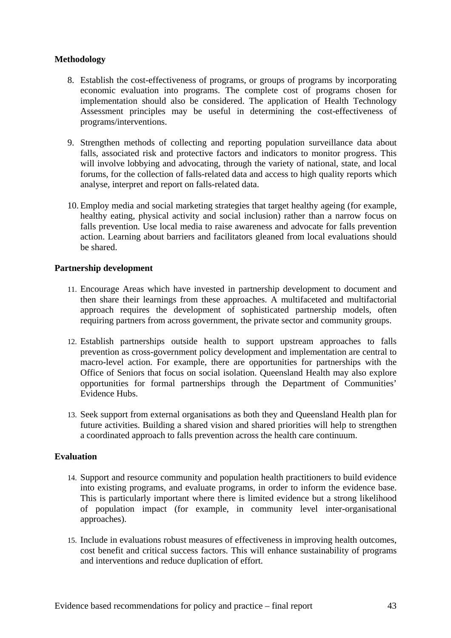# **Methodology**

- 8. Establish the cost-effectiveness of programs, or groups of programs by incorporating economic evaluation into programs. The complete cost of programs chosen for implementation should also be considered. The application of Health Technology Assessment principles may be useful in determining the cost-effectiveness of programs/interventions.
- 9. Strengthen methods of collecting and reporting population surveillance data about falls, associated risk and protective factors and indicators to monitor progress. This will involve lobbying and advocating, through the variety of national, state, and local forums, for the collection of falls-related data and access to high quality reports which analyse, interpret and report on falls-related data.
- 10. Employ media and social marketing strategies that target healthy ageing (for example, healthy eating, physical activity and social inclusion) rather than a narrow focus on falls prevention. Use local media to raise awareness and advocate for falls prevention action. Learning about barriers and facilitators gleaned from local evaluations should be shared.

## **Partnership development**

- 11. Encourage Areas which have invested in partnership development to document and then share their learnings from these approaches. A multifaceted and multifactorial approach requires the development of sophisticated partnership models, often requiring partners from across government, the private sector and community groups.
- 12. Establish partnerships outside health to support upstream approaches to falls prevention as cross-government policy development and implementation are central to macro-level action. For example, there are opportunities for partnerships with the Office of Seniors that focus on social isolation. Queensland Health may also explore opportunities for formal partnerships through the Department of Communities' Evidence Hubs.
- 13. Seek support from external organisations as both they and Queensland Health plan for future activities. Building a shared vision and shared priorities will help to strengthen a coordinated approach to falls prevention across the health care continuum.

## **Evaluation**

- 14. Support and resource community and population health practitioners to build evidence into existing programs, and evaluate programs, in order to inform the evidence base. This is particularly important where there is limited evidence but a strong likelihood of population impact (for example, in community level inter-organisational approaches).
- 15. Include in evaluations robust measures of effectiveness in improving health outcomes, cost benefit and critical success factors. This will enhance sustainability of programs and interventions and reduce duplication of effort.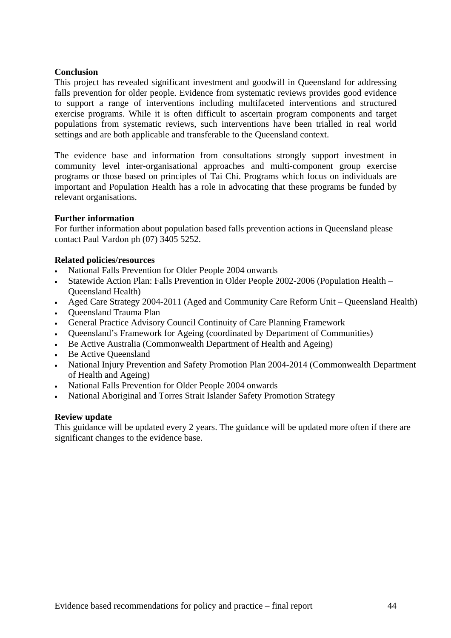### **Conclusion**

This project has revealed significant investment and goodwill in Queensland for addressing falls prevention for older people. Evidence from systematic reviews provides good evidence to support a range of interventions including multifaceted interventions and structured exercise programs. While it is often difficult to ascertain program components and target populations from systematic reviews, such interventions have been trialled in real world settings and are both applicable and transferable to the Queensland context.

The evidence base and information from consultations strongly support investment in community level inter-organisational approaches and multi-component group exercise programs or those based on principles of Tai Chi. Programs which focus on individuals are important and Population Health has a role in advocating that these programs be funded by relevant organisations.

### **Further information**

For further information about population based falls prevention actions in Queensland please contact Paul Vardon ph (07) 3405 5252.

### **Related policies/resources**

- National Falls Prevention for Older People 2004 onwards
- Statewide Action Plan: Falls Prevention in Older People 2002-2006 (Population Health Queensland Health)
- Aged Care Strategy 2004-2011 (Aged and Community Care Reform Unit Queensland Health)
- Queensland Trauma Plan
- General Practice Advisory Council Continuity of Care Planning Framework
- Queensland's Framework for Ageing (coordinated by Department of Communities)
- Be Active Australia (Commonwealth Department of Health and Ageing)
- Be Active Oueensland
- National Injury Prevention and Safety Promotion Plan 2004-2014 (Commonwealth Department of Health and Ageing)
- National Falls Prevention for Older People 2004 onwards
- National Aboriginal and Torres Strait Islander Safety Promotion Strategy

### **Review update**

This guidance will be updated every 2 years. The guidance will be updated more often if there are significant changes to the evidence base.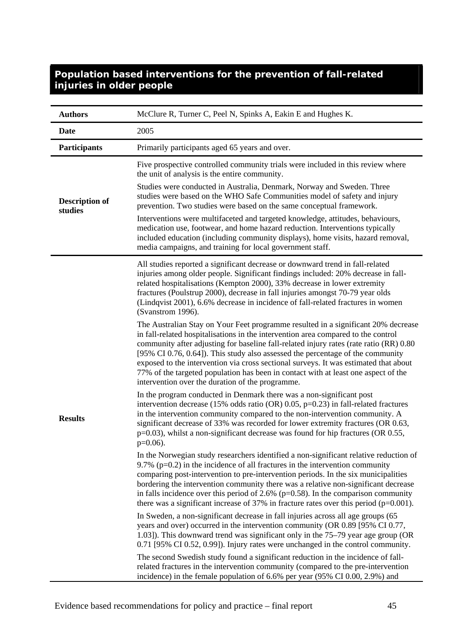| <b>Authors</b>                   | McClure R, Turner C, Peel N, Spinks A, Eakin E and Hughes K.                                                                                                                                                                                                                                                                                                                                                                                                                                                                                                                                                                                                                                                                                                                                                                                                                                                                                                                |
|----------------------------------|-----------------------------------------------------------------------------------------------------------------------------------------------------------------------------------------------------------------------------------------------------------------------------------------------------------------------------------------------------------------------------------------------------------------------------------------------------------------------------------------------------------------------------------------------------------------------------------------------------------------------------------------------------------------------------------------------------------------------------------------------------------------------------------------------------------------------------------------------------------------------------------------------------------------------------------------------------------------------------|
| <b>Date</b>                      | 2005                                                                                                                                                                                                                                                                                                                                                                                                                                                                                                                                                                                                                                                                                                                                                                                                                                                                                                                                                                        |
| <b>Participants</b>              | Primarily participants aged 65 years and over.                                                                                                                                                                                                                                                                                                                                                                                                                                                                                                                                                                                                                                                                                                                                                                                                                                                                                                                              |
| <b>Description of</b><br>studies | Five prospective controlled community trials were included in this review where<br>the unit of analysis is the entire community.<br>Studies were conducted in Australia, Denmark, Norway and Sweden. Three<br>studies were based on the WHO Safe Communities model of safety and injury<br>prevention. Two studies were based on the same conceptual framework.<br>Interventions were multifaceted and targeted knowledge, attitudes, behaviours,<br>medication use, footwear, and home hazard reduction. Interventions typically<br>included education (including community displays), home visits, hazard removal,<br>media campaigns, and training for local government staff.                                                                                                                                                                                                                                                                                           |
|                                  | All studies reported a significant decrease or downward trend in fall-related<br>injuries among older people. Significant findings included: 20% decrease in fall-<br>related hospitalisations (Kempton 2000), 33% decrease in lower extremity<br>fractures (Poulstrup 2000), decrease in fall injuries amongst 70-79 year olds<br>(Lindqvist 2001), 6.6% decrease in incidence of fall-related fractures in women<br>(Svanstrom 1996).<br>The Australian Stay on Your Feet programme resulted in a significant 20% decrease<br>in fall-related hospitalisations in the intervention area compared to the control<br>community after adjusting for baseline fall-related injury rates (rate ratio (RR) 0.80<br>[95% CI 0.76, 0.64]). This study also assessed the percentage of the community<br>exposed to the intervention via cross sectional surveys. It was estimated that about<br>77% of the targeted population has been in contact with at least one aspect of the |
| <b>Results</b>                   | intervention over the duration of the programme.<br>In the program conducted in Denmark there was a non-significant post<br>intervention decrease (15% odds ratio (OR) $0.05$ , p=0.23) in fall-related fractures<br>in the intervention community compared to the non-intervention community. A<br>significant decrease of 33% was recorded for lower extremity fractures (OR 0.63,<br>$p=0.03$ ), whilst a non-significant decrease was found for hip fractures (OR 0.55,<br>$p=0.06$ ).                                                                                                                                                                                                                                                                                                                                                                                                                                                                                  |
|                                  | In the Norwegian study researchers identified a non-significant relative reduction of<br>9.7% ( $p=0.2$ ) in the incidence of all fractures in the intervention community<br>comparing post-intervention to pre-intervention periods. In the six municipalities<br>bordering the intervention community there was a relative non-significant decrease<br>in falls incidence over this period of 2.6% ( $p=0.58$ ). In the comparison community<br>there was a significant increase of 37% in fracture rates over this period ( $p=0.001$ ).                                                                                                                                                                                                                                                                                                                                                                                                                                 |
|                                  | In Sweden, a non-significant decrease in fall injuries across all age groups (65<br>years and over) occurred in the intervention community (OR 0.89 [95% CI 0.77,<br>1.03]). This downward trend was significant only in the 75–79 year age group (OR<br>$0.71$ [95% CI 0.52, 0.99]). Injury rates were unchanged in the control community.                                                                                                                                                                                                                                                                                                                                                                                                                                                                                                                                                                                                                                 |
|                                  | The second Swedish study found a significant reduction in the incidence of fall-<br>related fractures in the intervention community (compared to the pre-intervention<br>incidence) in the female population of 6.6% per year (95% CI 0.00, 2.9%) and                                                                                                                                                                                                                                                                                                                                                                                                                                                                                                                                                                                                                                                                                                                       |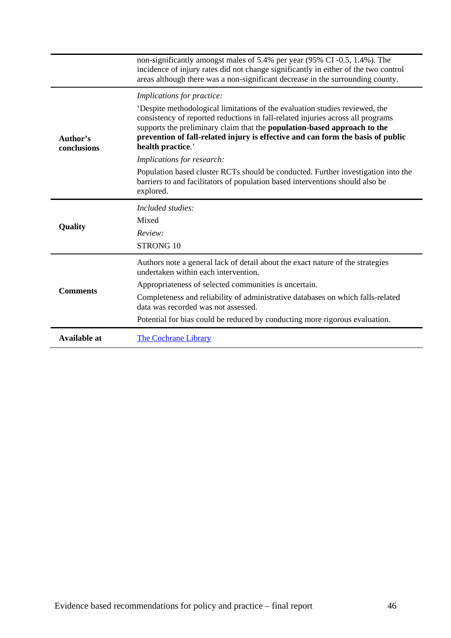|                         | non-significantly amongst males of 5.4% per year (95% CI -0.5, 1.4%). The<br>incidence of injury rates did not change significantly in either of the two control<br>areas although there was a non-significant decrease in the surrounding county.                                                                                                       |
|-------------------------|----------------------------------------------------------------------------------------------------------------------------------------------------------------------------------------------------------------------------------------------------------------------------------------------------------------------------------------------------------|
|                         | Implications for practice:                                                                                                                                                                                                                                                                                                                               |
| Author's<br>conclusions | Despite methodological limitations of the evaluation studies reviewed, the<br>consistency of reported reductions in fall-related injuries across all programs<br>supports the preliminary claim that the <b>population-based approach to the</b><br>prevention of fall-related injury is effective and can form the basis of public<br>health practice.' |
|                         | Implications for research:                                                                                                                                                                                                                                                                                                                               |
|                         | Population based cluster RCTs should be conducted. Further investigation into the<br>barriers to and facilitators of population based interventions should also be<br>explored.                                                                                                                                                                          |
|                         |                                                                                                                                                                                                                                                                                                                                                          |
|                         | Included studies:                                                                                                                                                                                                                                                                                                                                        |
|                         | Mixed                                                                                                                                                                                                                                                                                                                                                    |
| Quality                 | Review:                                                                                                                                                                                                                                                                                                                                                  |
|                         | STRONG 10                                                                                                                                                                                                                                                                                                                                                |
|                         | Authors note a general lack of detail about the exact nature of the strategies<br>undertaken within each intervention.                                                                                                                                                                                                                                   |
|                         | Appropriateness of selected communities is uncertain.                                                                                                                                                                                                                                                                                                    |
| <b>Comments</b>         | Completeness and reliability of administrative databases on which falls-related<br>data was recorded was not assessed.                                                                                                                                                                                                                                   |
|                         | Potential for bias could be reduced by conducting more rigorous evaluation.                                                                                                                                                                                                                                                                              |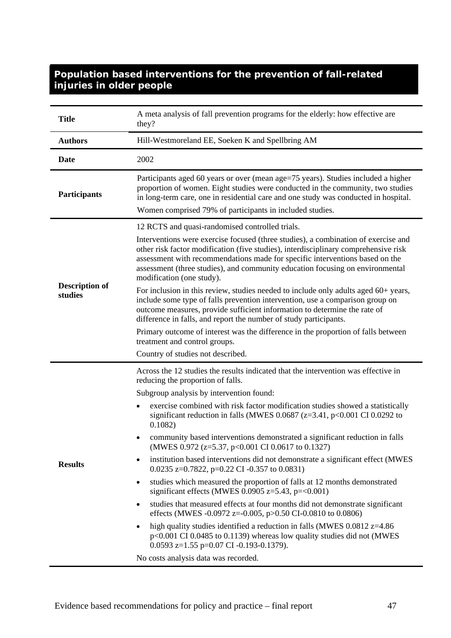| <b>Title</b>                     | A meta analysis of fall prevention programs for the elderly: how effective are<br>they?                                                                                                                                                                                                                                                                                 |
|----------------------------------|-------------------------------------------------------------------------------------------------------------------------------------------------------------------------------------------------------------------------------------------------------------------------------------------------------------------------------------------------------------------------|
| <b>Authors</b>                   | Hill-Westmoreland EE, Soeken K and Spellbring AM                                                                                                                                                                                                                                                                                                                        |
| Date                             | 2002                                                                                                                                                                                                                                                                                                                                                                    |
| <b>Participants</b>              | Participants aged 60 years or over (mean age=75 years). Studies included a higher<br>proportion of women. Eight studies were conducted in the community, two studies<br>in long-term care, one in residential care and one study was conducted in hospital.<br>Women comprised 79% of participants in included studies.                                                 |
|                                  | 12 RCTS and quasi-randomised controlled trials.                                                                                                                                                                                                                                                                                                                         |
|                                  | Interventions were exercise focused (three studies), a combination of exercise and<br>other risk factor modification (five studies), interdisciplinary comprehensive risk<br>assessment with recommendations made for specific interventions based on the<br>assessment (three studies), and community education focusing on environmental<br>modification (one study). |
| <b>Description of</b><br>studies | For inclusion in this review, studies needed to include only adults aged 60+ years,<br>include some type of falls prevention intervention, use a comparison group on<br>outcome measures, provide sufficient information to determine the rate of<br>difference in falls, and report the number of study participants.                                                  |
|                                  | Primary outcome of interest was the difference in the proportion of falls between<br>treatment and control groups.                                                                                                                                                                                                                                                      |
|                                  | Country of studies not described.                                                                                                                                                                                                                                                                                                                                       |
|                                  | Across the 12 studies the results indicated that the intervention was effective in<br>reducing the proportion of falls.                                                                                                                                                                                                                                                 |
|                                  | Subgroup analysis by intervention found:                                                                                                                                                                                                                                                                                                                                |
|                                  | exercise combined with risk factor modification studies showed a statistically<br>significant reduction in falls (MWES $0.0687$ (z=3.41, p<0.001 CI 0.0292 to<br>0.1082)                                                                                                                                                                                                |
|                                  | community based interventions demonstrated a significant reduction in falls<br>(MWES 0.972 (z=5.37, p<0.001 CI 0.0617 to 0.1327)                                                                                                                                                                                                                                        |
| <b>Results</b>                   | institution based interventions did not demonstrate a significant effect (MWES<br>$\bullet$<br>0.0235 z=0.7822, p=0.22 CI -0.357 to 0.0831)                                                                                                                                                                                                                             |
|                                  | studies which measured the proportion of falls at 12 months demonstrated<br>$\bullet$<br>significant effects (MWES 0.0905 $z=5.43$ , p=<0.001)                                                                                                                                                                                                                          |
|                                  | studies that measured effects at four months did not demonstrate significant<br>$\bullet$<br>effects (MWES -0.0972 z=-0.005, p>0.50 CI-0.0810 to 0.0806)                                                                                                                                                                                                                |
|                                  | high quality studies identified a reduction in falls (MWES $0.0812$ z=4.86<br>$\bullet$<br>$p<0.001$ CI 0.0485 to 0.1139) whereas low quality studies did not (MWES<br>0.0593 z= $1.55$ p=0.07 CI -0.193-0.1379).                                                                                                                                                       |
|                                  | No costs analysis data was recorded.                                                                                                                                                                                                                                                                                                                                    |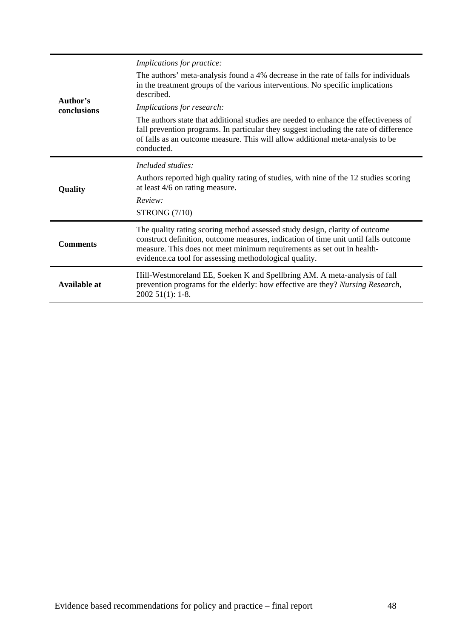|                         | <i>Implications for practice:</i>                                                                                                                                                                                                                                                                      |
|-------------------------|--------------------------------------------------------------------------------------------------------------------------------------------------------------------------------------------------------------------------------------------------------------------------------------------------------|
|                         | The authors' meta-analysis found a 4% decrease in the rate of falls for individuals<br>in the treatment groups of the various interventions. No specific implications<br>described.                                                                                                                    |
| Author's<br>conclusions | Implications for research:                                                                                                                                                                                                                                                                             |
|                         | The authors state that additional studies are needed to enhance the effectiveness of<br>fall prevention programs. In particular they suggest including the rate of difference<br>of falls as an outcome measure. This will allow additional meta-analysis to be<br>conducted.                          |
|                         | Included studies:                                                                                                                                                                                                                                                                                      |
| Quality                 | Authors reported high quality rating of studies, with nine of the 12 studies scoring<br>at least 4/6 on rating measure.                                                                                                                                                                                |
|                         | Review:                                                                                                                                                                                                                                                                                                |
|                         | <b>STRONG (7/10)</b>                                                                                                                                                                                                                                                                                   |
| <b>Comments</b>         | The quality rating scoring method assessed study design, clarity of outcome<br>construct definition, outcome measures, indication of time unit until falls outcome<br>measure. This does not meet minimum requirements as set out in health-<br>evidence.ca tool for assessing methodological quality. |
| <b>Available at</b>     | Hill-Westmoreland EE, Soeken K and Spellbring AM. A meta-analysis of fall<br>prevention programs for the elderly: how effective are they? Nursing Research,<br>$200251(1): 1-8.$                                                                                                                       |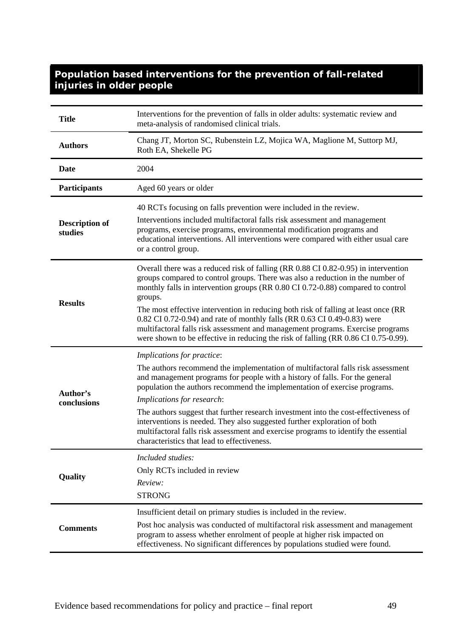| <b>Title</b>                     | Interventions for the prevention of falls in older adults: systematic review and<br>meta-analysis of randomised clinical trials.                                                                                                                                                                                                                                                                                                                                                                                                                                                                                 |
|----------------------------------|------------------------------------------------------------------------------------------------------------------------------------------------------------------------------------------------------------------------------------------------------------------------------------------------------------------------------------------------------------------------------------------------------------------------------------------------------------------------------------------------------------------------------------------------------------------------------------------------------------------|
| <b>Authors</b>                   | Chang JT, Morton SC, Rubenstein LZ, Mojica WA, Maglione M, Suttorp MJ,<br>Roth EA, Shekelle PG                                                                                                                                                                                                                                                                                                                                                                                                                                                                                                                   |
| <b>Date</b>                      | 2004                                                                                                                                                                                                                                                                                                                                                                                                                                                                                                                                                                                                             |
| <b>Participants</b>              | Aged 60 years or older                                                                                                                                                                                                                                                                                                                                                                                                                                                                                                                                                                                           |
| <b>Description of</b><br>studies | 40 RCTs focusing on falls prevention were included in the review.<br>Interventions included multifactoral falls risk assessment and management<br>programs, exercise programs, environmental modification programs and<br>educational interventions. All interventions were compared with either usual care<br>or a control group.                                                                                                                                                                                                                                                                               |
| <b>Results</b>                   | Overall there was a reduced risk of falling (RR 0.88 CI 0.82-0.95) in intervention<br>groups compared to control groups. There was also a reduction in the number of<br>monthly falls in intervention groups (RR 0.80 CI 0.72-0.88) compared to control<br>groups.<br>The most effective intervention in reducing both risk of falling at least once (RR<br>0.82 CI 0.72-0.94) and rate of monthly falls (RR 0.63 CI 0.49-0.83) were<br>multifactoral falls risk assessment and management programs. Exercise programs<br>were shown to be effective in reducing the risk of falling (RR 0.86 CI 0.75-0.99).     |
| Author's<br>conclusions          | Implications for practice:<br>The authors recommend the implementation of multifactoral falls risk assessment<br>and management programs for people with a history of falls. For the general<br>population the authors recommend the implementation of exercise programs.<br>Implications for research:<br>The authors suggest that further research investment into the cost-effectiveness of<br>interventions is needed. They also suggested further exploration of both<br>multifactoral falls risk assessment and exercise programs to identify the essential<br>characteristics that lead to effectiveness. |
| Quality                          | Included studies:<br>Only RCTs included in review<br>Review:<br><b>STRONG</b>                                                                                                                                                                                                                                                                                                                                                                                                                                                                                                                                    |
| <b>Comments</b>                  | Insufficient detail on primary studies is included in the review.<br>Post hoc analysis was conducted of multifactoral risk assessment and management<br>program to assess whether enrolment of people at higher risk impacted on<br>effectiveness. No significant differences by populations studied were found.                                                                                                                                                                                                                                                                                                 |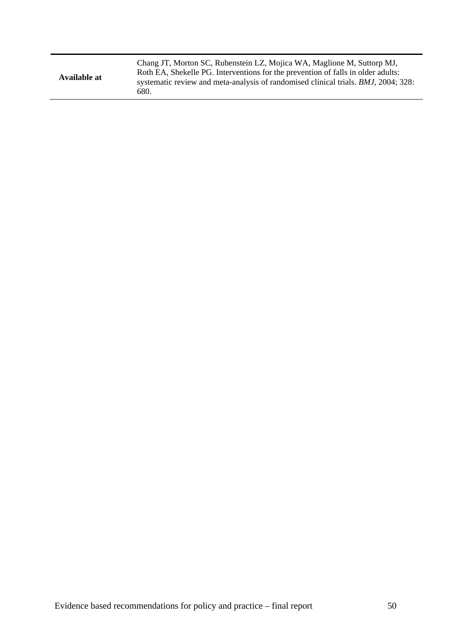| Available at | Chang JT, Morton SC, Rubenstein LZ, Mojica WA, Maglione M, Suttorp MJ,<br>Roth EA, Shekelle PG. Interventions for the prevention of falls in older adults:<br>systematic review and meta-analysis of randomised clinical trials. <i>BMJ</i> , 2004; 328:<br>680. |
|--------------|------------------------------------------------------------------------------------------------------------------------------------------------------------------------------------------------------------------------------------------------------------------|
|--------------|------------------------------------------------------------------------------------------------------------------------------------------------------------------------------------------------------------------------------------------------------------------|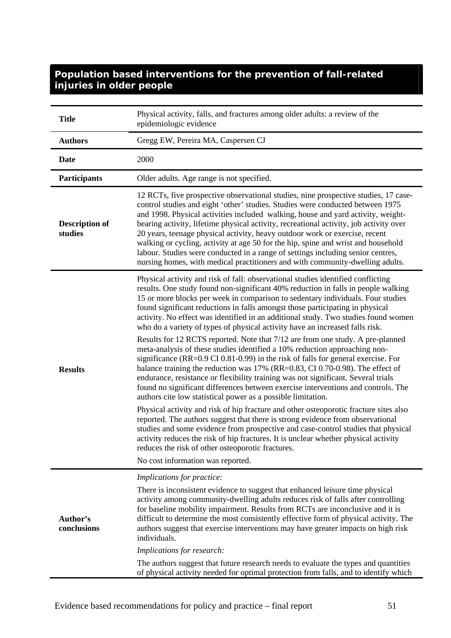| <b>Title</b>                     | Physical activity, falls, and fractures among older adults: a review of the<br>epidemiologic evidence                                                                                                                                                                                                                                                                                                                                                                                                                                                                                                                                                                                                                                                                                                                                                                                                                                                                                                                                                                                                                                                                                                                                                                                                                                                                                                                                                                                                                                            |
|----------------------------------|--------------------------------------------------------------------------------------------------------------------------------------------------------------------------------------------------------------------------------------------------------------------------------------------------------------------------------------------------------------------------------------------------------------------------------------------------------------------------------------------------------------------------------------------------------------------------------------------------------------------------------------------------------------------------------------------------------------------------------------------------------------------------------------------------------------------------------------------------------------------------------------------------------------------------------------------------------------------------------------------------------------------------------------------------------------------------------------------------------------------------------------------------------------------------------------------------------------------------------------------------------------------------------------------------------------------------------------------------------------------------------------------------------------------------------------------------------------------------------------------------------------------------------------------------|
| <b>Authors</b>                   | Gregg EW, Pereira MA, Caspersen CJ                                                                                                                                                                                                                                                                                                                                                                                                                                                                                                                                                                                                                                                                                                                                                                                                                                                                                                                                                                                                                                                                                                                                                                                                                                                                                                                                                                                                                                                                                                               |
| Date                             | 2000                                                                                                                                                                                                                                                                                                                                                                                                                                                                                                                                                                                                                                                                                                                                                                                                                                                                                                                                                                                                                                                                                                                                                                                                                                                                                                                                                                                                                                                                                                                                             |
| <b>Participants</b>              | Older adults. Age range is not specified.                                                                                                                                                                                                                                                                                                                                                                                                                                                                                                                                                                                                                                                                                                                                                                                                                                                                                                                                                                                                                                                                                                                                                                                                                                                                                                                                                                                                                                                                                                        |
| <b>Description of</b><br>studies | 12 RCTs, five prospective observational studies, nine prospective studies, 17 case-<br>control studies and eight 'other' studies. Studies were conducted between 1975<br>and 1998. Physical activities included walking, house and yard activity, weight-<br>bearing activity, lifetime physical activity, recreational activity, job activity over<br>20 years, teenage physical activity, heavy outdoor work or exercise, recent<br>walking or cycling, activity at age 50 for the hip, spine and wrist and household<br>labour. Studies were conducted in a range of settings including senior centres,<br>nursing homes, with medical practitioners and with community-dwelling adults.                                                                                                                                                                                                                                                                                                                                                                                                                                                                                                                                                                                                                                                                                                                                                                                                                                                      |
| <b>Results</b>                   | Physical activity and risk of fall: observational studies identified conflicting<br>results. One study found non-significant 40% reduction in falls in people walking<br>15 or more blocks per week in comparison to sedentary individuals. Four studies<br>found significant reductions in falls amongst those participating in physical<br>activity. No effect was identified in an additional study. Two studies found women<br>who do a variety of types of physical activity have an increased falls risk.<br>Results for 12 RCTS reported. Note that 7/12 are from one study. A pre-planned<br>meta-analysis of these studies identified a 10% reduction approaching non-<br>significance (RR=0.9 CI 0.81-0.99) in the risk of falls for general exercise. For<br>balance training the reduction was 17% (RR=0.83, CI 0.70-0.98). The effect of<br>endurance, resistance or flexibility training was not significant. Several trials<br>found no significant differences between exercise interventions and controls. The<br>authors cite low statistical power as a possible limitation.<br>Physical activity and risk of hip fracture and other osteoporotic fracture sites also<br>reported. The authors suggest that there is strong evidence from observational<br>studies and some evidence from prospective and case-control studies that physical<br>activity reduces the risk of hip fractures. It is unclear whether physical activity<br>reduces the risk of other osteoporotic fractures.<br>No cost information was reported. |
| Author's<br>conclusions          | Implications for practice:<br>There is inconsistent evidence to suggest that enhanced leisure time physical<br>activity among community-dwelling adults reduces risk of falls after controlling<br>for baseline mobility impairment. Results from RCTs are inconclusive and it is<br>difficult to determine the most consistently effective form of physical activity. The<br>authors suggest that exercise interventions may have greater impacts on high risk<br>individuals.<br>Implications for research:<br>The authors suggest that future research needs to evaluate the types and quantities<br>of physical activity needed for optimal protection from falls, and to identify which                                                                                                                                                                                                                                                                                                                                                                                                                                                                                                                                                                                                                                                                                                                                                                                                                                                     |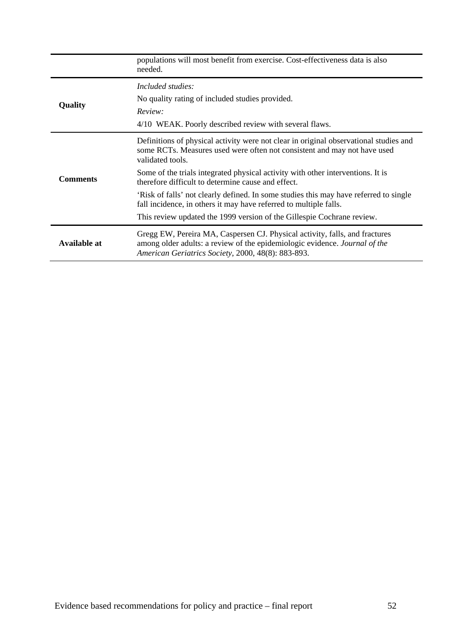|                 | populations will most benefit from exercise. Cost-effectiveness data is also<br>needed.                                                                                                                         |
|-----------------|-----------------------------------------------------------------------------------------------------------------------------------------------------------------------------------------------------------------|
|                 | Included studies:                                                                                                                                                                                               |
| Quality         | No quality rating of included studies provided.                                                                                                                                                                 |
|                 | Review:<br>4/10 WEAK. Poorly described review with several flaws.                                                                                                                                               |
|                 |                                                                                                                                                                                                                 |
|                 | Definitions of physical activity were not clear in original observational studies and<br>some RCTs. Measures used were often not consistent and may not have used<br>validated tools.                           |
| <b>Comments</b> | Some of the trials integrated physical activity with other interventions. It is<br>therefore difficult to determine cause and effect.                                                                           |
|                 | 'Risk of falls' not clearly defined. In some studies this may have referred to single<br>fall incidence, in others it may have referred to multiple falls.                                                      |
|                 | This review updated the 1999 version of the Gillespie Cochrane review.                                                                                                                                          |
| Available at    | Gregg EW, Pereira MA, Caspersen CJ. Physical activity, falls, and fractures<br>among older adults: a review of the epidemiologic evidence. Journal of the<br>American Geriatrics Society, 2000, 48(8): 883-893. |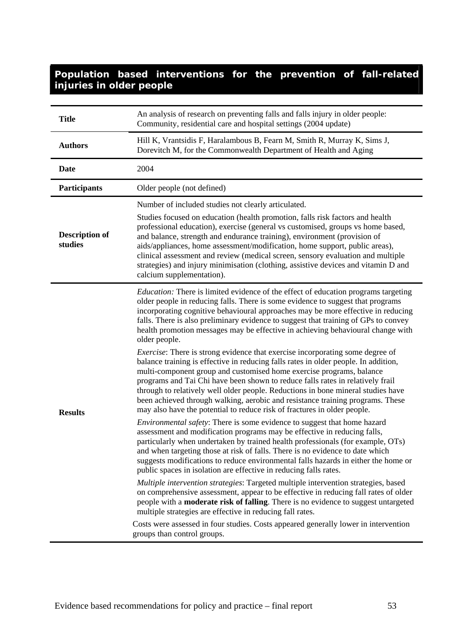| <b>Title</b>                     | An analysis of research on preventing falls and falls injury in older people:<br>Community, residential care and hospital settings (2004 update)                                                                                                                                                                                                                                                                                                                                                                                                                                                                                                                                                                                                                                                                                                                                                                                                                                                                                                                                                                                                                                                                                                                                                                                                                                                                                                                                                                                                                                                                                                                                                                                                                                                                                                                                                                                                                                                                    |
|----------------------------------|---------------------------------------------------------------------------------------------------------------------------------------------------------------------------------------------------------------------------------------------------------------------------------------------------------------------------------------------------------------------------------------------------------------------------------------------------------------------------------------------------------------------------------------------------------------------------------------------------------------------------------------------------------------------------------------------------------------------------------------------------------------------------------------------------------------------------------------------------------------------------------------------------------------------------------------------------------------------------------------------------------------------------------------------------------------------------------------------------------------------------------------------------------------------------------------------------------------------------------------------------------------------------------------------------------------------------------------------------------------------------------------------------------------------------------------------------------------------------------------------------------------------------------------------------------------------------------------------------------------------------------------------------------------------------------------------------------------------------------------------------------------------------------------------------------------------------------------------------------------------------------------------------------------------------------------------------------------------------------------------------------------------|
| <b>Authors</b>                   | Hill K, Vrantsidis F, Haralambous B, Fearn M, Smith R, Murray K, Sims J,<br>Dorevitch M, for the Commonwealth Department of Health and Aging                                                                                                                                                                                                                                                                                                                                                                                                                                                                                                                                                                                                                                                                                                                                                                                                                                                                                                                                                                                                                                                                                                                                                                                                                                                                                                                                                                                                                                                                                                                                                                                                                                                                                                                                                                                                                                                                        |
| <b>Date</b>                      | 2004                                                                                                                                                                                                                                                                                                                                                                                                                                                                                                                                                                                                                                                                                                                                                                                                                                                                                                                                                                                                                                                                                                                                                                                                                                                                                                                                                                                                                                                                                                                                                                                                                                                                                                                                                                                                                                                                                                                                                                                                                |
| Participants                     | Older people (not defined)                                                                                                                                                                                                                                                                                                                                                                                                                                                                                                                                                                                                                                                                                                                                                                                                                                                                                                                                                                                                                                                                                                                                                                                                                                                                                                                                                                                                                                                                                                                                                                                                                                                                                                                                                                                                                                                                                                                                                                                          |
| <b>Description of</b><br>studies | Number of included studies not clearly articulated.<br>Studies focused on education (health promotion, falls risk factors and health<br>professional education), exercise (general vs customised, groups vs home based,<br>and balance, strength and endurance training), environment (provision of<br>aids/appliances, home assessment/modification, home support, public areas),<br>clinical assessment and review (medical screen, sensory evaluation and multiple<br>strategies) and injury minimisation (clothing, assistive devices and vitamin D and<br>calcium supplementation).                                                                                                                                                                                                                                                                                                                                                                                                                                                                                                                                                                                                                                                                                                                                                                                                                                                                                                                                                                                                                                                                                                                                                                                                                                                                                                                                                                                                                            |
| <b>Results</b>                   | <i>Education:</i> There is limited evidence of the effect of education programs targeting<br>older people in reducing falls. There is some evidence to suggest that programs<br>incorporating cognitive behavioural approaches may be more effective in reducing<br>falls. There is also preliminary evidence to suggest that training of GPs to convey<br>health promotion messages may be effective in achieving behavioural change with<br>older people.<br><i>Exercise:</i> There is strong evidence that exercise incorporating some degree of<br>balance training is effective in reducing falls rates in older people. In addition,<br>multi-component group and customised home exercise programs, balance<br>programs and Tai Chi have been shown to reduce falls rates in relatively frail<br>through to relatively well older people. Reductions in bone mineral studies have<br>been achieved through walking, aerobic and resistance training programs. These<br>may also have the potential to reduce risk of fractures in older people.<br><i>Environmental safety</i> : There is some evidence to suggest that home hazard<br>assessment and modification programs may be effective in reducing falls,<br>particularly when undertaken by trained health professionals (for example, OTs)<br>and when targeting those at risk of falls. There is no evidence to date which<br>suggests modifications to reduce environmental falls hazards in either the home or<br>public spaces in isolation are effective in reducing falls rates.<br>Multiple intervention strategies: Targeted multiple intervention strategies, based<br>on comprehensive assessment, appear to be effective in reducing fall rates of older<br>people with a <b>moderate risk of falling</b> . There is no evidence to suggest untargeted<br>multiple strategies are effective in reducing fall rates.<br>Costs were assessed in four studies. Costs appeared generally lower in intervention<br>groups than control groups. |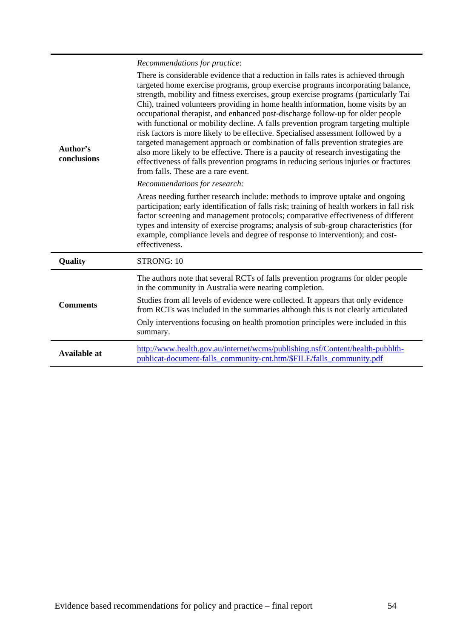# *Recommendations for practice*:

| Author's<br>conclusions | There is considerable evidence that a reduction in falls rates is achieved through<br>targeted home exercise programs, group exercise programs incorporating balance,<br>strength, mobility and fitness exercises, group exercise programs (particularly Tai<br>Chi), trained volunteers providing in home health information, home visits by an<br>occupational therapist, and enhanced post-discharge follow-up for older people<br>with functional or mobility decline. A falls prevention program targeting multiple<br>risk factors is more likely to be effective. Specialised assessment followed by a<br>targeted management approach or combination of falls prevention strategies are<br>also more likely to be effective. There is a paucity of research investigating the<br>effectiveness of falls prevention programs in reducing serious injuries or fractures<br>from falls. These are a rare event. |
|-------------------------|----------------------------------------------------------------------------------------------------------------------------------------------------------------------------------------------------------------------------------------------------------------------------------------------------------------------------------------------------------------------------------------------------------------------------------------------------------------------------------------------------------------------------------------------------------------------------------------------------------------------------------------------------------------------------------------------------------------------------------------------------------------------------------------------------------------------------------------------------------------------------------------------------------------------|
|                         | Recommendations for research:                                                                                                                                                                                                                                                                                                                                                                                                                                                                                                                                                                                                                                                                                                                                                                                                                                                                                        |
|                         | Areas needing further research include: methods to improve uptake and ongoing<br>participation; early identification of falls risk; training of health workers in fall risk<br>factor screening and management protocols; comparative effectiveness of different<br>types and intensity of exercise programs; analysis of sub-group characteristics (for<br>example, compliance levels and degree of response to intervention); and cost-<br>effectiveness.                                                                                                                                                                                                                                                                                                                                                                                                                                                          |
| Quality                 | STRONG: 10                                                                                                                                                                                                                                                                                                                                                                                                                                                                                                                                                                                                                                                                                                                                                                                                                                                                                                           |
|                         | The authors note that several RCTs of falls prevention programs for older people<br>in the community in Australia were nearing completion.                                                                                                                                                                                                                                                                                                                                                                                                                                                                                                                                                                                                                                                                                                                                                                           |
| <b>Comments</b>         | Studies from all levels of evidence were collected. It appears that only evidence<br>from RCTs was included in the summaries although this is not clearly articulated                                                                                                                                                                                                                                                                                                                                                                                                                                                                                                                                                                                                                                                                                                                                                |
|                         | Only interventions focusing on health promotion principles were included in this<br>summary.                                                                                                                                                                                                                                                                                                                                                                                                                                                                                                                                                                                                                                                                                                                                                                                                                         |
| <b>Available at</b>     | http://www.health.gov.au/internet/wcms/publishing.nsf/Content/health-pubhlth-<br>publicat-document-falls_community-cnt.htm/\$FILE/falls_community.pdf                                                                                                                                                                                                                                                                                                                                                                                                                                                                                                                                                                                                                                                                                                                                                                |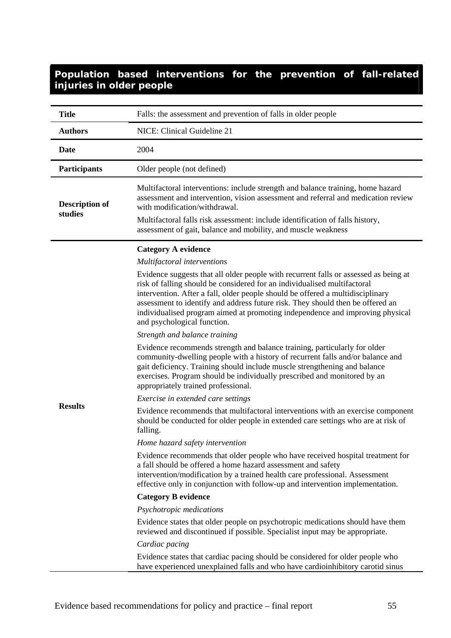| <b>Title</b>                     | Falls: the assessment and prevention of falls in older people                                                                                                                                                                                                                                                                                                                                                                                                                                                                                                                                                                                                                                                                                                                                                                                                                                                                                                                                                                                                                                                                                                                                                                                                                                                                                                                                                                                                                                                                                                                                                                                                                                                               |
|----------------------------------|-----------------------------------------------------------------------------------------------------------------------------------------------------------------------------------------------------------------------------------------------------------------------------------------------------------------------------------------------------------------------------------------------------------------------------------------------------------------------------------------------------------------------------------------------------------------------------------------------------------------------------------------------------------------------------------------------------------------------------------------------------------------------------------------------------------------------------------------------------------------------------------------------------------------------------------------------------------------------------------------------------------------------------------------------------------------------------------------------------------------------------------------------------------------------------------------------------------------------------------------------------------------------------------------------------------------------------------------------------------------------------------------------------------------------------------------------------------------------------------------------------------------------------------------------------------------------------------------------------------------------------------------------------------------------------------------------------------------------------|
| <b>Authors</b>                   | NICE: Clinical Guideline 21                                                                                                                                                                                                                                                                                                                                                                                                                                                                                                                                                                                                                                                                                                                                                                                                                                                                                                                                                                                                                                                                                                                                                                                                                                                                                                                                                                                                                                                                                                                                                                                                                                                                                                 |
| Date                             | 2004                                                                                                                                                                                                                                                                                                                                                                                                                                                                                                                                                                                                                                                                                                                                                                                                                                                                                                                                                                                                                                                                                                                                                                                                                                                                                                                                                                                                                                                                                                                                                                                                                                                                                                                        |
| <b>Participants</b>              | Older people (not defined)                                                                                                                                                                                                                                                                                                                                                                                                                                                                                                                                                                                                                                                                                                                                                                                                                                                                                                                                                                                                                                                                                                                                                                                                                                                                                                                                                                                                                                                                                                                                                                                                                                                                                                  |
| <b>Description of</b><br>studies | Multifactoral interventions: include strength and balance training, home hazard<br>assessment and intervention, vision assessment and referral and medication review<br>with modification/withdrawal.<br>Multifactoral falls risk assessment: include identification of falls history,<br>assessment of gait, balance and mobility, and muscle weakness                                                                                                                                                                                                                                                                                                                                                                                                                                                                                                                                                                                                                                                                                                                                                                                                                                                                                                                                                                                                                                                                                                                                                                                                                                                                                                                                                                     |
| <b>Results</b>                   | <b>Category A evidence</b><br>Multifactoral interventions<br>Evidence suggests that all older people with recurrent falls or assessed as being at<br>risk of falling should be considered for an individualised multifactoral<br>intervention. After a fall, older people should be offered a multidisciplinary<br>assessment to identify and address future risk. They should then be offered an<br>individualised program aimed at promoting independence and improving physical<br>and psychological function.<br>Strength and balance training<br>Evidence recommends strength and balance training, particularly for older<br>community-dwelling people with a history of recurrent falls and/or balance and<br>gait deficiency. Training should include muscle strengthening and balance<br>exercises. Program should be individually prescribed and monitored by an<br>appropriately trained professional.<br>Exercise in extended care settings<br>Evidence recommends that multifactoral interventions with an exercise component<br>should be conducted for older people in extended care settings who are at risk of<br>falling.<br>Home hazard safety intervention<br>Evidence recommends that older people who have received hospital treatment for<br>a fall should be offered a home hazard assessment and safety<br>intervention/modification by a trained health care professional. Assessment<br>effective only in conjunction with follow-up and intervention implementation.<br><b>Category B evidence</b><br>Psychotropic medications<br>Evidence states that older people on psychotropic medications should have them<br>reviewed and discontinued if possible. Specialist input may be appropriate. |
|                                  | Cardiac pacing<br>Evidence states that cardiac pacing should be considered for older people who<br>have experienced unexplained falls and who have cardioinhibitory carotid sinus                                                                                                                                                                                                                                                                                                                                                                                                                                                                                                                                                                                                                                                                                                                                                                                                                                                                                                                                                                                                                                                                                                                                                                                                                                                                                                                                                                                                                                                                                                                                           |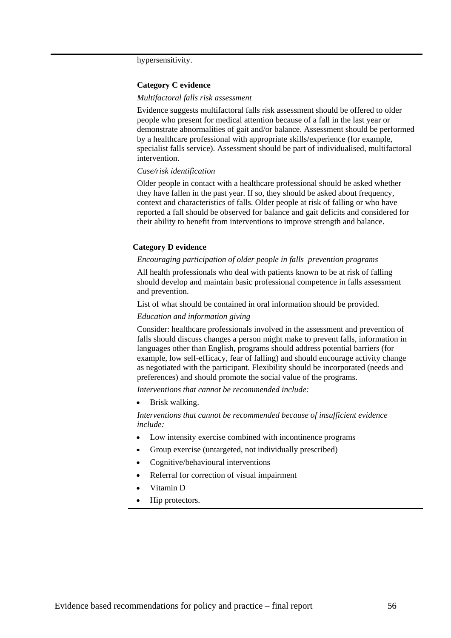hypersensitivity.

#### **Category C evidence**

#### *Multifactoral falls risk assessment*

Evidence suggests multifactoral falls risk assessment should be offered to older people who present for medical attention because of a fall in the last year or demonstrate abnormalities of gait and/or balance. Assessment should be performed by a healthcare professional with appropriate skills/experience (for example, specialist falls service). Assessment should be part of individualised, multifactoral intervention.

#### *Case/risk identification*

Older people in contact with a healthcare professional should be asked whether they have fallen in the past year. If so, they should be asked about frequency, context and characteristics of falls. Older people at risk of falling or who have reported a fall should be observed for balance and gait deficits and considered for their ability to benefit from interventions to improve strength and balance.

#### **Category D evidence**

#### *Encouraging participation of older people in falls prevention programs*

All health professionals who deal with patients known to be at risk of falling should develop and maintain basic professional competence in falls assessment and prevention.

List of what should be contained in oral information should be provided.

#### *Education and information giving*

Consider: healthcare professionals involved in the assessment and prevention of falls should discuss changes a person might make to prevent falls, information in languages other than English, programs should address potential barriers (for example, low self-efficacy, fear of falling) and should encourage activity change as negotiated with the participant. Flexibility should be incorporated (needs and preferences) and should promote the social value of the programs.

*Interventions that cannot be recommended include:* 

• Brisk walking.

*Interventions that cannot be recommended because of insufficient evidence include:* 

- Low intensity exercise combined with incontinence programs
- Group exercise (untargeted, not individually prescribed)
- Cognitive/behavioural interventions
- Referral for correction of visual impairment
- Vitamin D
- Hip protectors.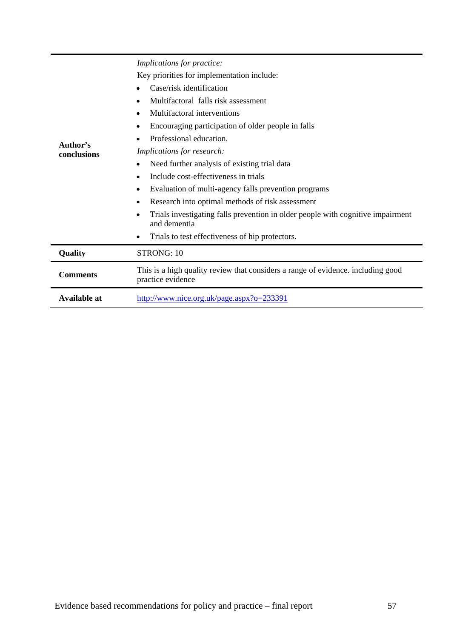|                     | Implications for practice:                                                                            |  |  |
|---------------------|-------------------------------------------------------------------------------------------------------|--|--|
|                     | Key priorities for implementation include:                                                            |  |  |
|                     | Case/risk identification                                                                              |  |  |
|                     | Multifactoral falls risk assessment                                                                   |  |  |
|                     | Multifactoral interventions                                                                           |  |  |
|                     | Encouraging participation of older people in falls                                                    |  |  |
| Author's            | Professional education.                                                                               |  |  |
| conclusions         | Implications for research:                                                                            |  |  |
|                     | Need further analysis of existing trial data                                                          |  |  |
|                     | Include cost-effectiveness in trials                                                                  |  |  |
|                     | Evaluation of multi-agency falls prevention programs                                                  |  |  |
|                     | Research into optimal methods of risk assessment                                                      |  |  |
|                     | Trials investigating falls prevention in older people with cognitive impairment<br>and dementia       |  |  |
|                     | Trials to test effectiveness of hip protectors.                                                       |  |  |
| Quality             | STRONG: 10                                                                                            |  |  |
| <b>Comments</b>     | This is a high quality review that considers a range of evidence. including good<br>practice evidence |  |  |
| <b>Available at</b> | http://www.nice.org.uk/page.aspx?o=233391                                                             |  |  |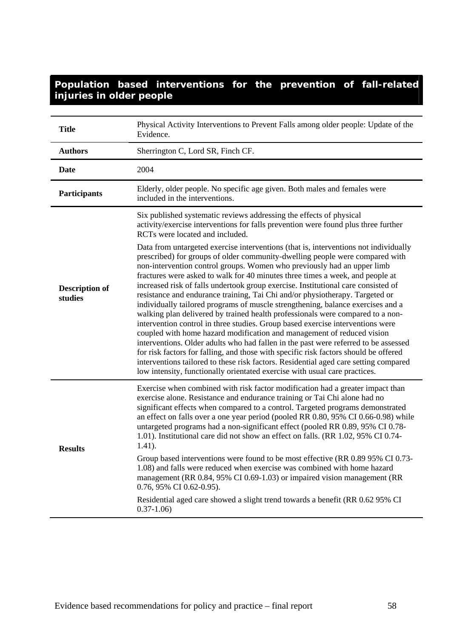| <b>Title</b>                     | Physical Activity Interventions to Prevent Falls among older people: Update of the<br>Evidence.                                                                                                                                                                                                                                                                                                                                                                                                                                                                                                                                                                                                                                                                                                                                                                                                                                                                                                                                                                                                                                                                                             |
|----------------------------------|---------------------------------------------------------------------------------------------------------------------------------------------------------------------------------------------------------------------------------------------------------------------------------------------------------------------------------------------------------------------------------------------------------------------------------------------------------------------------------------------------------------------------------------------------------------------------------------------------------------------------------------------------------------------------------------------------------------------------------------------------------------------------------------------------------------------------------------------------------------------------------------------------------------------------------------------------------------------------------------------------------------------------------------------------------------------------------------------------------------------------------------------------------------------------------------------|
| <b>Authors</b>                   | Sherrington C, Lord SR, Finch CF.                                                                                                                                                                                                                                                                                                                                                                                                                                                                                                                                                                                                                                                                                                                                                                                                                                                                                                                                                                                                                                                                                                                                                           |
| <b>Date</b>                      | 2004                                                                                                                                                                                                                                                                                                                                                                                                                                                                                                                                                                                                                                                                                                                                                                                                                                                                                                                                                                                                                                                                                                                                                                                        |
| <b>Participants</b>              | Elderly, older people. No specific age given. Both males and females were<br>included in the interventions.                                                                                                                                                                                                                                                                                                                                                                                                                                                                                                                                                                                                                                                                                                                                                                                                                                                                                                                                                                                                                                                                                 |
|                                  | Six published systematic reviews addressing the effects of physical<br>activity/exercise interventions for falls prevention were found plus three further<br>RCTs were located and included.                                                                                                                                                                                                                                                                                                                                                                                                                                                                                                                                                                                                                                                                                                                                                                                                                                                                                                                                                                                                |
| <b>Description of</b><br>studies | Data from untargeted exercise interventions (that is, interventions not individually<br>prescribed) for groups of older community-dwelling people were compared with<br>non-intervention control groups. Women who previously had an upper limb<br>fractures were asked to walk for 40 minutes three times a week, and people at<br>increased risk of falls undertook group exercise. Institutional care consisted of<br>resistance and endurance training, Tai Chi and/or physiotherapy. Targeted or<br>individually tailored programs of muscle strengthening, balance exercises and a<br>walking plan delivered by trained health professionals were compared to a non-<br>intervention control in three studies. Group based exercise interventions were<br>coupled with home hazard modification and management of reduced vision<br>interventions. Older adults who had fallen in the past were referred to be assessed<br>for risk factors for falling, and those with specific risk factors should be offered<br>interventions tailored to these risk factors. Residential aged care setting compared<br>low intensity, functionally orientated exercise with usual care practices. |
| <b>Results</b>                   | Exercise when combined with risk factor modification had a greater impact than<br>exercise alone. Resistance and endurance training or Tai Chi alone had no<br>significant effects when compared to a control. Targeted programs demonstrated<br>an effect on falls over a one year period (pooled RR 0.80, 95% CI 0.66-0.98) while<br>untargeted programs had a non-significant effect (pooled RR 0.89, 95% CI 0.78-<br>1.01). Institutional care did not show an effect on falls. (RR 1.02, 95% CI 0.74-<br>$1.41$ ).<br>Group based interventions were found to be most effective (RR 0.89 95% CI 0.73-<br>1.08) and falls were reduced when exercise was combined with home hazard<br>management (RR 0.84, 95% CI 0.69-1.03) or impaired vision management (RR                                                                                                                                                                                                                                                                                                                                                                                                                          |
|                                  | 0.76, 95% CI 0.62-0.95).<br>Residential aged care showed a slight trend towards a benefit (RR 0.62 95% CI<br>$0.37 - 1.06$                                                                                                                                                                                                                                                                                                                                                                                                                                                                                                                                                                                                                                                                                                                                                                                                                                                                                                                                                                                                                                                                  |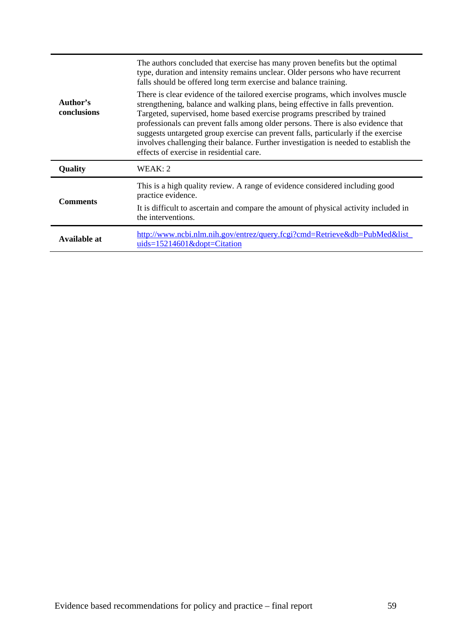| Author's<br>conclusions | The authors concluded that exercise has many proven benefits but the optimal<br>type, duration and intensity remains unclear. Older persons who have recurrent<br>falls should be offered long term exercise and balance training.<br>There is clear evidence of the tailored exercise programs, which involves muscle<br>strengthening, balance and walking plans, being effective in falls prevention.<br>Targeted, supervised, home based exercise programs prescribed by trained<br>professionals can prevent falls among older persons. There is also evidence that<br>suggests untargeted group exercise can prevent falls, particularly if the exercise<br>involves challenging their balance. Further investigation is needed to establish the<br>effects of exercise in residential care. |  |
|-------------------------|----------------------------------------------------------------------------------------------------------------------------------------------------------------------------------------------------------------------------------------------------------------------------------------------------------------------------------------------------------------------------------------------------------------------------------------------------------------------------------------------------------------------------------------------------------------------------------------------------------------------------------------------------------------------------------------------------------------------------------------------------------------------------------------------------|--|
| Quality                 | WEAK: 2                                                                                                                                                                                                                                                                                                                                                                                                                                                                                                                                                                                                                                                                                                                                                                                            |  |
| <b>Comments</b>         | This is a high quality review. A range of evidence considered including good<br>practice evidence.<br>It is difficult to ascertain and compare the amount of physical activity included in<br>the interventions.                                                                                                                                                                                                                                                                                                                                                                                                                                                                                                                                                                                   |  |
| Available at            | http://www.ncbi.nlm.nih.gov/entrez/query.fcgi?cmd=Retrieve&db=PubMed&list_<br>$uids = 15214601 \&$ dopt=Citation                                                                                                                                                                                                                                                                                                                                                                                                                                                                                                                                                                                                                                                                                   |  |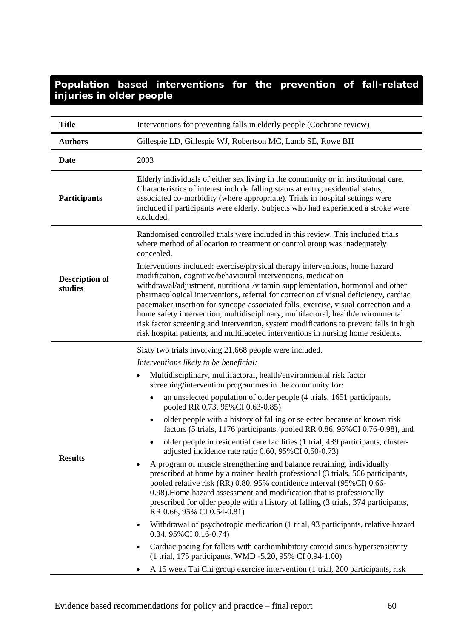| <b>Title</b>                     | Interventions for preventing falls in elderly people (Cochrane review)                                                                                                                                                                                                                                                                                                                                                                                                                                                                                                                                                                                                           |  |  |
|----------------------------------|----------------------------------------------------------------------------------------------------------------------------------------------------------------------------------------------------------------------------------------------------------------------------------------------------------------------------------------------------------------------------------------------------------------------------------------------------------------------------------------------------------------------------------------------------------------------------------------------------------------------------------------------------------------------------------|--|--|
| <b>Authors</b>                   | Gillespie LD, Gillespie WJ, Robertson MC, Lamb SE, Rowe BH                                                                                                                                                                                                                                                                                                                                                                                                                                                                                                                                                                                                                       |  |  |
| <b>Date</b>                      | 2003                                                                                                                                                                                                                                                                                                                                                                                                                                                                                                                                                                                                                                                                             |  |  |
| <b>Participants</b>              | Elderly individuals of either sex living in the community or in institutional care.<br>Characteristics of interest include falling status at entry, residential status,<br>associated co-morbidity (where appropriate). Trials in hospital settings were<br>included if participants were elderly. Subjects who had experienced a stroke were<br>excluded.                                                                                                                                                                                                                                                                                                                       |  |  |
|                                  | Randomised controlled trials were included in this review. This included trials<br>where method of allocation to treatment or control group was inadequately<br>concealed.                                                                                                                                                                                                                                                                                                                                                                                                                                                                                                       |  |  |
| <b>Description of</b><br>studies | Interventions included: exercise/physical therapy interventions, home hazard<br>modification, cognitive/behavioural interventions, medication<br>withdrawal/adjustment, nutritional/vitamin supplementation, hormonal and other<br>pharmacological interventions, referral for correction of visual deficiency, cardiac<br>pacemaker insertion for syncope-associated falls, exercise, visual correction and a<br>home safety intervention, multidisciplinary, multifactoral, health/environmental<br>risk factor screening and intervention, system modifications to prevent falls in high<br>risk hospital patients, and multifaceted interventions in nursing home residents. |  |  |
|                                  | Sixty two trials involving 21,668 people were included.                                                                                                                                                                                                                                                                                                                                                                                                                                                                                                                                                                                                                          |  |  |
|                                  | Interventions likely to be beneficial:                                                                                                                                                                                                                                                                                                                                                                                                                                                                                                                                                                                                                                           |  |  |
|                                  | Multidisciplinary, multifactoral, health/environmental risk factor<br>screening/intervention programmes in the community for:                                                                                                                                                                                                                                                                                                                                                                                                                                                                                                                                                    |  |  |
|                                  | an unselected population of older people (4 trials, 1651 participants,<br>$\bullet$<br>pooled RR 0.73, 95%CI 0.63-0.85)                                                                                                                                                                                                                                                                                                                                                                                                                                                                                                                                                          |  |  |
|                                  | older people with a history of falling or selected because of known risk<br>factors (5 trials, 1176 participants, pooled RR 0.86, 95%CI 0.76-0.98), and                                                                                                                                                                                                                                                                                                                                                                                                                                                                                                                          |  |  |
| <b>Results</b>                   | older people in residential care facilities (1 trial, 439 participants, cluster-<br>adjusted incidence rate ratio 0.60, 95% CI 0.50-0.73)                                                                                                                                                                                                                                                                                                                                                                                                                                                                                                                                        |  |  |
|                                  | A program of muscle strengthening and balance retraining, individually<br>prescribed at home by a trained health professional (3 trials, 566 participants,<br>pooled relative risk (RR) 0.80, 95% confidence interval (95%CI) 0.66-<br>0.98). Home hazard assessment and modification that is professionally<br>prescribed for older people with a history of falling (3 trials, 374 participants,<br>RR 0.66, 95% CI 0.54-0.81)                                                                                                                                                                                                                                                 |  |  |
|                                  | Withdrawal of psychotropic medication (1 trial, 93 participants, relative hazard<br>$\bullet$<br>0.34, 95% CI 0.16-0.74)                                                                                                                                                                                                                                                                                                                                                                                                                                                                                                                                                         |  |  |
|                                  | Cardiac pacing for fallers with cardioinhibitory carotid sinus hypersensitivity<br>$\bullet$<br>(1 trial, 175 participants, WMD -5.20, 95% CI 0.94-1.00)                                                                                                                                                                                                                                                                                                                                                                                                                                                                                                                         |  |  |
|                                  | A 15 week Tai Chi group exercise intervention (1 trial, 200 participants, risk                                                                                                                                                                                                                                                                                                                                                                                                                                                                                                                                                                                                   |  |  |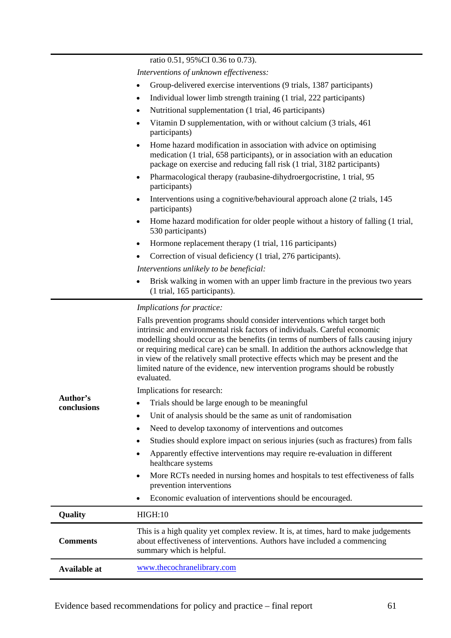ratio 0.51, 95%CI 0.36 to 0.73).

*Interventions of unknown effectiveness:* 

- Group-delivered exercise interventions (9 trials, 1387 participants)
- Individual lower limb strength training (1 trial, 222 participants)
	- Nutritional supplementation (1 trial, 46 participants)
	- Vitamin D supplementation, with or without calcium (3 trials, 461 participants)
- Home hazard modification in association with advice on optimising medication (1 trial, 658 participants), or in association with an education package on exercise and reducing fall risk (1 trial, 3182 participants)
- Pharmacological therapy (raubasine-dihydroergocristine, 1 trial, 95 participants)
- Interventions using a cognitive/behavioural approach alone (2 trials, 145 participants)
- Home hazard modification for older people without a history of falling (1 trial, 530 participants)
- Hormone replacement therapy (1 trial, 116 participants)
- Correction of visual deficiency (1 trial, 276 participants).

*Interventions unlikely to be beneficial:* 

• Brisk walking in women with an upper limb fracture in the previous two years (1 trial, 165 participants).

#### *Implications for practice:*

| Author's<br>conclusions | Falls prevention programs should consider interventions which target both<br>intrinsic and environmental risk factors of individuals. Careful economic<br>modelling should occur as the benefits (in terms of numbers of falls causing injury<br>or requiring medical care) can be small. In addition the authors acknowledge that<br>in view of the relatively small protective effects which may be present and the<br>limited nature of the evidence, new intervention programs should be robustly<br>evaluated.<br>Implications for research:<br>Trials should be large enough to be meaningful<br>Unit of analysis should be the same as unit of randomisation<br>٠<br>Need to develop taxonomy of interventions and outcomes<br>٠<br>Studies should explore impact on serious injuries (such as fractures) from falls<br>Apparently effective interventions may require re-evaluation in different<br>٠<br>healthcare systems<br>More RCTs needed in nursing homes and hospitals to test effectiveness of falls<br>٠<br>prevention interventions<br>Economic evaluation of interventions should be encouraged. |  |
|-------------------------|----------------------------------------------------------------------------------------------------------------------------------------------------------------------------------------------------------------------------------------------------------------------------------------------------------------------------------------------------------------------------------------------------------------------------------------------------------------------------------------------------------------------------------------------------------------------------------------------------------------------------------------------------------------------------------------------------------------------------------------------------------------------------------------------------------------------------------------------------------------------------------------------------------------------------------------------------------------------------------------------------------------------------------------------------------------------------------------------------------------------|--|
| Quality                 | HIGH:10                                                                                                                                                                                                                                                                                                                                                                                                                                                                                                                                                                                                                                                                                                                                                                                                                                                                                                                                                                                                                                                                                                              |  |
| <b>Comments</b>         | This is a high quality yet complex review. It is, at times, hard to make judgements<br>about effectiveness of interventions. Authors have included a commencing<br>summary which is helpful.                                                                                                                                                                                                                                                                                                                                                                                                                                                                                                                                                                                                                                                                                                                                                                                                                                                                                                                         |  |
| <b>Available at</b>     | www.thecochranelibrary.com                                                                                                                                                                                                                                                                                                                                                                                                                                                                                                                                                                                                                                                                                                                                                                                                                                                                                                                                                                                                                                                                                           |  |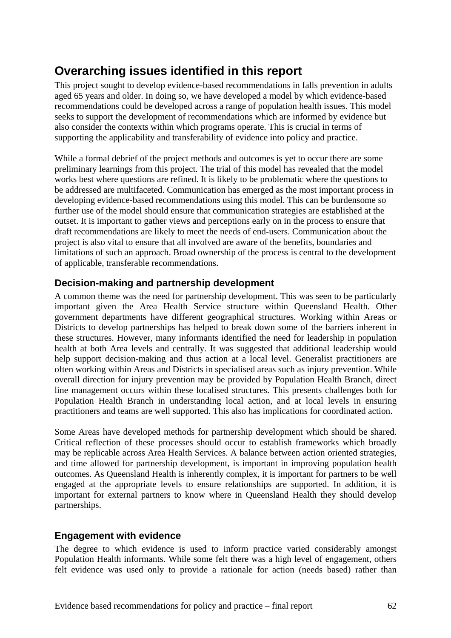# **Overarching issues identified in this report**

This project sought to develop evidence-based recommendations in falls prevention in adults aged 65 years and older. In doing so, we have developed a model by which evidence-based recommendations could be developed across a range of population health issues. This model seeks to support the development of recommendations which are informed by evidence but also consider the contexts within which programs operate. This is crucial in terms of supporting the applicability and transferability of evidence into policy and practice.

While a formal debrief of the project methods and outcomes is yet to occur there are some preliminary learnings from this project. The trial of this model has revealed that the model works best where questions are refined. It is likely to be problematic where the questions to be addressed are multifaceted. Communication has emerged as the most important process in developing evidence-based recommendations using this model. This can be burdensome so further use of the model should ensure that communication strategies are established at the outset. It is important to gather views and perceptions early on in the process to ensure that draft recommendations are likely to meet the needs of end-users. Communication about the project is also vital to ensure that all involved are aware of the benefits, boundaries and limitations of such an approach. Broad ownership of the process is central to the development of applicable, transferable recommendations.

# **Decision-making and partnership development**

A common theme was the need for partnership development. This was seen to be particularly important given the Area Health Service structure within Queensland Health. Other government departments have different geographical structures. Working within Areas or Districts to develop partnerships has helped to break down some of the barriers inherent in these structures. However, many informants identified the need for leadership in population health at both Area levels and centrally. It was suggested that additional leadership would help support decision-making and thus action at a local level. Generalist practitioners are often working within Areas and Districts in specialised areas such as injury prevention. While overall direction for injury prevention may be provided by Population Health Branch, direct line management occurs within these localised structures. This presents challenges both for Population Health Branch in understanding local action, and at local levels in ensuring practitioners and teams are well supported. This also has implications for coordinated action.

Some Areas have developed methods for partnership development which should be shared. Critical reflection of these processes should occur to establish frameworks which broadly may be replicable across Area Health Services. A balance between action oriented strategies, and time allowed for partnership development, is important in improving population health outcomes. As Queensland Health is inherently complex, it is important for partners to be well engaged at the appropriate levels to ensure relationships are supported. In addition, it is important for external partners to know where in Queensland Health they should develop partnerships.

# **Engagement with evidence**

The degree to which evidence is used to inform practice varied considerably amongst Population Health informants. While some felt there was a high level of engagement, others felt evidence was used only to provide a rationale for action (needs based) rather than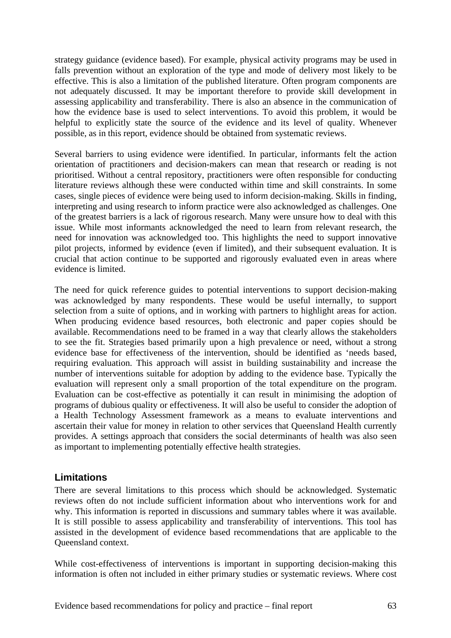strategy guidance (evidence based). For example, physical activity programs may be used in falls prevention without an exploration of the type and mode of delivery most likely to be effective. This is also a limitation of the published literature. Often program components are not adequately discussed. It may be important therefore to provide skill development in assessing applicability and transferability. There is also an absence in the communication of how the evidence base is used to select interventions. To avoid this problem, it would be helpful to explicitly state the source of the evidence and its level of quality. Whenever possible, as in this report, evidence should be obtained from systematic reviews.

Several barriers to using evidence were identified. In particular, informants felt the action orientation of practitioners and decision-makers can mean that research or reading is not prioritised. Without a central repository, practitioners were often responsible for conducting literature reviews although these were conducted within time and skill constraints. In some cases, single pieces of evidence were being used to inform decision-making. Skills in finding, interpreting and using research to inform practice were also acknowledged as challenges. One of the greatest barriers is a lack of rigorous research. Many were unsure how to deal with this issue. While most informants acknowledged the need to learn from relevant research, the need for innovation was acknowledged too. This highlights the need to support innovative pilot projects, informed by evidence (even if limited), and their subsequent evaluation. It is crucial that action continue to be supported and rigorously evaluated even in areas where evidence is limited.

The need for quick reference guides to potential interventions to support decision-making was acknowledged by many respondents. These would be useful internally, to support selection from a suite of options, and in working with partners to highlight areas for action. When producing evidence based resources, both electronic and paper copies should be available. Recommendations need to be framed in a way that clearly allows the stakeholders to see the fit. Strategies based primarily upon a high prevalence or need, without a strong evidence base for effectiveness of the intervention, should be identified as 'needs based, requiring evaluation. This approach will assist in building sustainability and increase the number of interventions suitable for adoption by adding to the evidence base. Typically the evaluation will represent only a small proportion of the total expenditure on the program. Evaluation can be cost-effective as potentially it can result in minimising the adoption of programs of dubious quality or effectiveness. It will also be useful to consider the adoption of a Health Technology Assessment framework as a means to evaluate interventions and ascertain their value for money in relation to other services that Queensland Health currently provides. A settings approach that considers the social determinants of health was also seen as important to implementing potentially effective health strategies.

## **Limitations**

There are several limitations to this process which should be acknowledged. Systematic reviews often do not include sufficient information about who interventions work for and why. This information is reported in discussions and summary tables where it was available. It is still possible to assess applicability and transferability of interventions. This tool has assisted in the development of evidence based recommendations that are applicable to the Queensland context.

While cost-effectiveness of interventions is important in supporting decision-making this information is often not included in either primary studies or systematic reviews. Where cost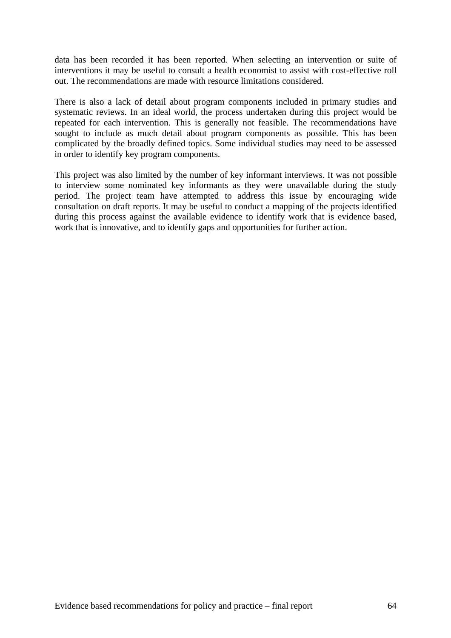data has been recorded it has been reported. When selecting an intervention or suite of interventions it may be useful to consult a health economist to assist with cost-effective roll out. The recommendations are made with resource limitations considered.

There is also a lack of detail about program components included in primary studies and systematic reviews. In an ideal world, the process undertaken during this project would be repeated for each intervention. This is generally not feasible. The recommendations have sought to include as much detail about program components as possible. This has been complicated by the broadly defined topics. Some individual studies may need to be assessed in order to identify key program components.

This project was also limited by the number of key informant interviews. It was not possible to interview some nominated key informants as they were unavailable during the study period. The project team have attempted to address this issue by encouraging wide consultation on draft reports. It may be useful to conduct a mapping of the projects identified during this process against the available evidence to identify work that is evidence based, work that is innovative, and to identify gaps and opportunities for further action.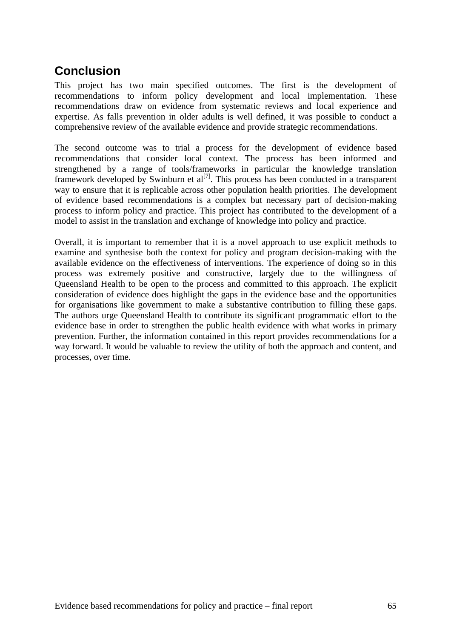# **Conclusion**

This project has two main specified outcomes. The first is the development of recommendations to inform policy development and local implementation. These recommendations draw on evidence from systematic reviews and local experience and expertise. As falls prevention in older adults is well defined, it was possible to conduct a comprehensive review of the available evidence and provide strategic recommendations.

The second outcome was to trial a process for the development of evidence based recommendations that consider local context. The process has been informed and strengthened by a range of tools/frameworks in particular the knowledge translation framework developed by Swinburn et  $al^{[7]}$ . This process has been conducted in a transparent way to ensure that it is replicable across other population health priorities. The development of evidence based recommendations is a complex but necessary part of decision-making process to inform policy and practice. This project has contributed to the development of a model to assist in the translation and exchange of knowledge into policy and practice.

Overall, it is important to remember that it is a novel approach to use explicit methods to examine and synthesise both the context for policy and program decision-making with the available evidence on the effectiveness of interventions. The experience of doing so in this process was extremely positive and constructive, largely due to the willingness of Queensland Health to be open to the process and committed to this approach. The explicit consideration of evidence does highlight the gaps in the evidence base and the opportunities for organisations like government to make a substantive contribution to filling these gaps. The authors urge Queensland Health to contribute its significant programmatic effort to the evidence base in order to strengthen the public health evidence with what works in primary prevention. Further, the information contained in this report provides recommendations for a way forward. It would be valuable to review the utility of both the approach and content, and processes, over time.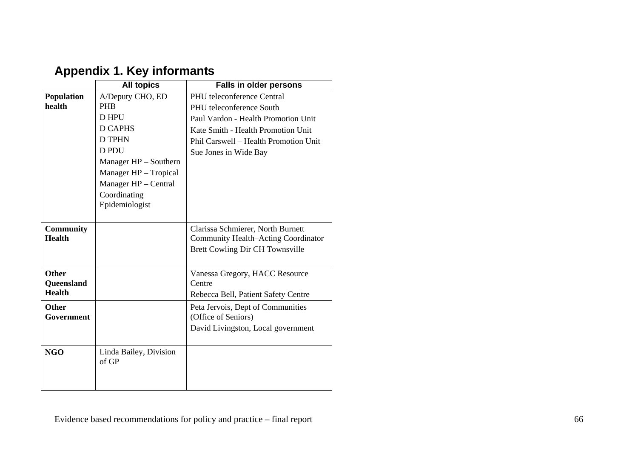|                                             | <b>All topics</b>                                                                                                                                                                               | <b>Falls in older persons</b>                                                                                                                                                                         |
|---------------------------------------------|-------------------------------------------------------------------------------------------------------------------------------------------------------------------------------------------------|-------------------------------------------------------------------------------------------------------------------------------------------------------------------------------------------------------|
| Population<br>health                        | A/Deputy CHO, ED<br><b>PHB</b><br>D HPU<br><b>D CAPHS</b><br><b>D TPHN</b><br>D PDU<br>Manager HP - Southern<br>Manager HP - Tropical<br>Manager HP - Central<br>Coordinating<br>Epidemiologist | PHU teleconference Central<br>PHU teleconference South<br>Paul Vardon - Health Promotion Unit<br>Kate Smith - Health Promotion Unit<br>Phil Carswell - Health Promotion Unit<br>Sue Jones in Wide Bay |
| <b>Community</b><br><b>Health</b>           |                                                                                                                                                                                                 | Clarissa Schmierer, North Burnett<br><b>Community Health-Acting Coordinator</b><br>Brett Cowling Dir CH Townsville                                                                                    |
| <b>Other</b><br>Queensland<br><b>Health</b> |                                                                                                                                                                                                 | Vanessa Gregory, HACC Resource<br>Centre<br>Rebecca Bell, Patient Safety Centre                                                                                                                       |
| <b>Other</b><br>Government                  |                                                                                                                                                                                                 | Peta Jervois, Dept of Communities<br>(Office of Seniors)<br>David Livingston, Local government                                                                                                        |
| <b>NGO</b>                                  | Linda Bailey, Division<br>of GP                                                                                                                                                                 |                                                                                                                                                                                                       |

# **Appendix 1. Key informants**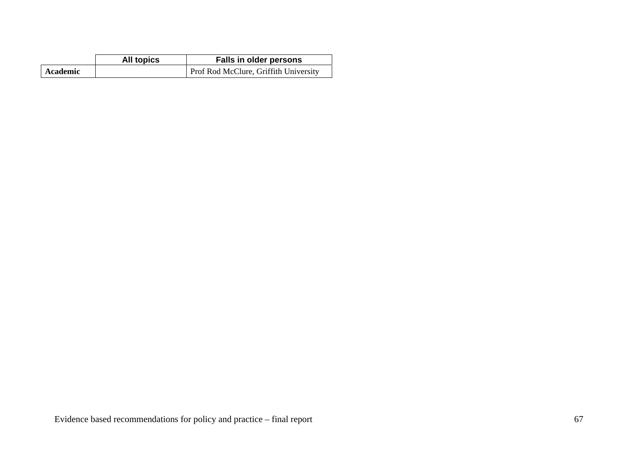|          | All topics | Falls in older persons                |
|----------|------------|---------------------------------------|
| Academic |            | Prof Rod McClure, Griffith University |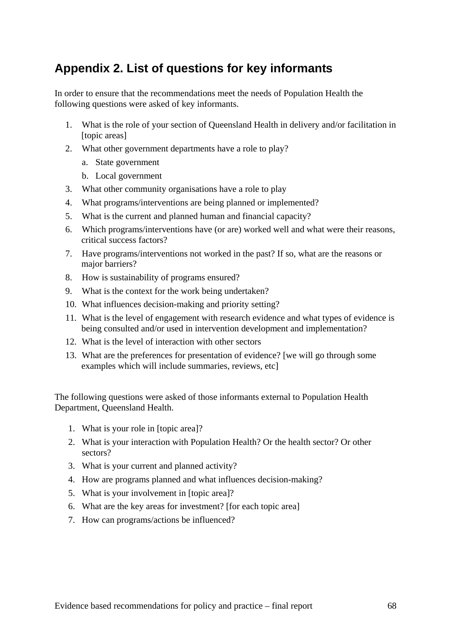# **Appendix 2. List of questions for key informants**

In order to ensure that the recommendations meet the needs of Population Health the following questions were asked of key informants.

- 1. What is the role of your section of Queensland Health in delivery and/or facilitation in [topic areas]
- 2. What other government departments have a role to play?
	- a. State government
	- b. Local government
- 3. What other community organisations have a role to play
- 4. What programs/interventions are being planned or implemented?
- 5. What is the current and planned human and financial capacity?
- 6. Which programs/interventions have (or are) worked well and what were their reasons, critical success factors?
- 7. Have programs/interventions not worked in the past? If so, what are the reasons or major barriers?
- 8. How is sustainability of programs ensured?
- 9. What is the context for the work being undertaken?
- 10. What influences decision-making and priority setting?
- 11. What is the level of engagement with research evidence and what types of evidence is being consulted and/or used in intervention development and implementation?
- 12. What is the level of interaction with other sectors
- 13. What are the preferences for presentation of evidence? [we will go through some examples which will include summaries, reviews, etc]

The following questions were asked of those informants external to Population Health Department, Queensland Health.

- 1. What is your role in [topic area]?
- 2. What is your interaction with Population Health? Or the health sector? Or other sectors?
- 3. What is your current and planned activity?
- 4. How are programs planned and what influences decision-making?
- 5. What is your involvement in [topic area]?
- 6. What are the key areas for investment? [for each topic area]
- 7. How can programs/actions be influenced?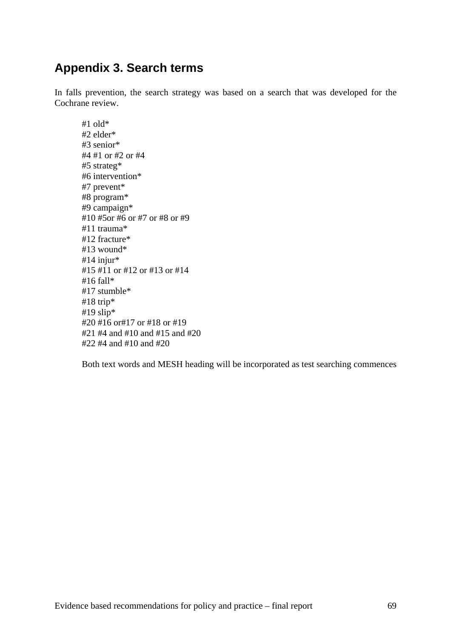# **Appendix 3. Search terms**

In falls prevention, the search strategy was based on a search that was developed for the Cochrane review.

#1 old\* #2 elder\* #3 senior\* #4 #1 or #2 or #4 #5 strateg\* #6 intervention\* #7 prevent\* #8 program\* #9 campaign\* #10 #5or #6 or #7 or #8 or #9 #11 trauma\* #12 fracture\* #13 wound\* #14 injur\* #15 #11 or #12 or #13 or #14 #16 fall\* #17 stumble\* #18 trip\* #19 slip $*$ #20 #16 or#17 or #18 or #19 #21 #4 and #10 and #15 and #20 #22 #4 and #10 and #20

Both text words and MESH heading will be incorporated as test searching commences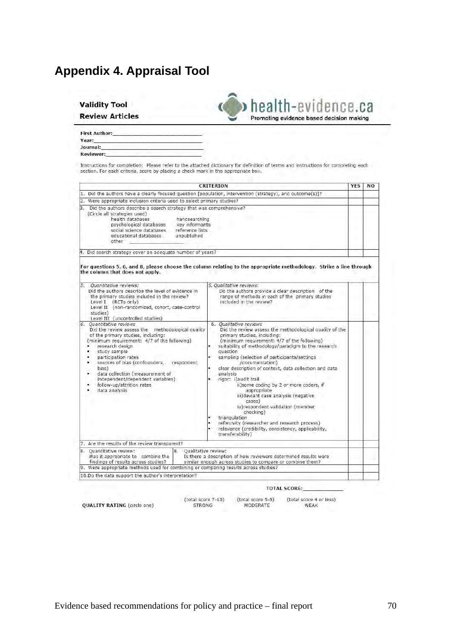# **Appendix 4. Appraisal Tool**

| <b>Validity Tool</b> |                        |
|----------------------|------------------------|
|                      | <b>Review Articles</b> |



| <b>First Author:</b> |  |
|----------------------|--|
| Year:                |  |
| Journal:             |  |
| Reviewer:            |  |

Instructions for completion: Please refer to the attached dictionary for definition of terms and instructions for completing each<br>section. For each criteria, score by placing a check mark in the appropriate box.

| <b>CRITERION</b>                                                                                                                                                                                                                                                                                                                                                                                                    |                                                                                                                                                                                                                                                                                                                                                                                                                                                                                                                                                                                                                                                                                                                                  | <b>YES</b> | <b>NO</b> |
|---------------------------------------------------------------------------------------------------------------------------------------------------------------------------------------------------------------------------------------------------------------------------------------------------------------------------------------------------------------------------------------------------------------------|----------------------------------------------------------------------------------------------------------------------------------------------------------------------------------------------------------------------------------------------------------------------------------------------------------------------------------------------------------------------------------------------------------------------------------------------------------------------------------------------------------------------------------------------------------------------------------------------------------------------------------------------------------------------------------------------------------------------------------|------------|-----------|
| 1. Did the authors have a clearly focused question [population, intervention (strategy), and outcome(s)]?                                                                                                                                                                                                                                                                                                           |                                                                                                                                                                                                                                                                                                                                                                                                                                                                                                                                                                                                                                                                                                                                  |            |           |
| 2. Were appropriate inclusion criteria used to select primary studies?                                                                                                                                                                                                                                                                                                                                              |                                                                                                                                                                                                                                                                                                                                                                                                                                                                                                                                                                                                                                                                                                                                  |            |           |
| 3. Did the authors describe a search strategy that was comprehensive?<br>(Circle all strategies used)<br>health databases<br>handsearching<br>key informants<br>psychological catabases<br>social science databases<br>reference lists<br>educational databases<br>unpublished<br>other                                                                                                                             |                                                                                                                                                                                                                                                                                                                                                                                                                                                                                                                                                                                                                                                                                                                                  |            |           |
| 4. Did search strategy cover an adequate number of years?                                                                                                                                                                                                                                                                                                                                                           |                                                                                                                                                                                                                                                                                                                                                                                                                                                                                                                                                                                                                                                                                                                                  |            |           |
| the column that does not apply.                                                                                                                                                                                                                                                                                                                                                                                     | For questions 5, 6, and 8, please choose the column relating to the appropriate methodology. Strike a line through                                                                                                                                                                                                                                                                                                                                                                                                                                                                                                                                                                                                               |            |           |
| 5. Ouantitative reviews:<br>Did the authors describe the level of evidence in<br>the primary studies included in the review?<br>Level I (RCTs only)<br>Level II (non-randomized, cohort, case-control<br>studies)<br>Level III (uncontrolled studies)                                                                                                                                                               | 5. Qualitative reviews:<br>Do the authors provide a clear description of the<br>range of methods in each of the primary studies<br>included in the review?                                                                                                                                                                                                                                                                                                                                                                                                                                                                                                                                                                       |            |           |
| 6. Quantitative reviews<br>Did the review assess the methodological quality<br>of the primary studies, including:<br>(minimum requirement: 4/7 of the following)<br>research design<br>٠<br>study sample<br>٠<br>participation rates<br>۰<br>sources of bias (confounders, respondent<br>bias)<br>data collection (measurement of<br>independent/dependent variables)<br>follow-up/attrition rates<br>data analysis | 6. Oualitative reviews<br>Did the review assess the methodological quality of the<br>primary studies, including:<br>(minimum requirement: 4/7 of the following)<br>suitability of methodology/paradigm to the research<br>question<br>×<br>sampling (selection of participants/settings<br>/documentation)<br>clear description of context, data collection and data<br>analysis<br>rigor: i)audit trail<br>ii)some coding by 2 or more coders, if<br>appropriate<br>iii) deviant case analysis (negative<br>cases)<br>iv)respondent validation (member<br>checking)<br>triangulation<br>×<br>reflexivity (researcher and research process)<br>٠<br>٠<br>relevance (credibility, consistency, applicability,<br>transferability) |            |           |
| 7. Are the results of the review transparent?                                                                                                                                                                                                                                                                                                                                                                       |                                                                                                                                                                                                                                                                                                                                                                                                                                                                                                                                                                                                                                                                                                                                  |            |           |
| <b>8. Ouantitative review:</b><br>8. Qualitative review:<br>Was it appropriate to combine the<br>findings of results across studies?<br>9. Were appropriate methods used for combining or comparing results across studies?                                                                                                                                                                                         | Is there a description of how reviewers determined results were<br>similar enough across studies to compare or combine them?                                                                                                                                                                                                                                                                                                                                                                                                                                                                                                                                                                                                     |            |           |
|                                                                                                                                                                                                                                                                                                                                                                                                                     |                                                                                                                                                                                                                                                                                                                                                                                                                                                                                                                                                                                                                                                                                                                                  |            |           |

QUALITY RATING (circle one)

**TOTAL SCORE:** 

(total score 7-10) (total score 5-6) (total score 4 or less) **STRONG** MODERATE WEAK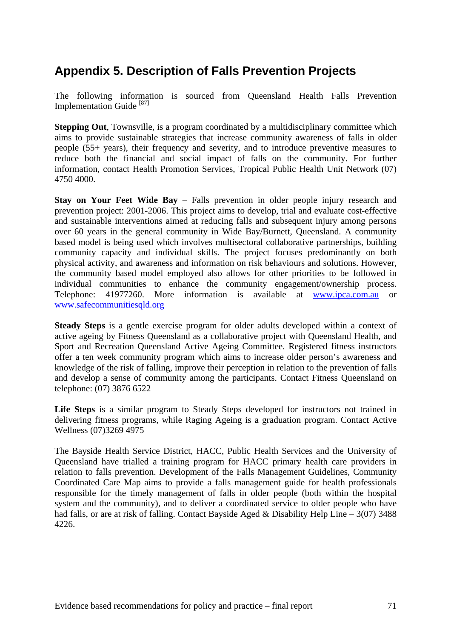# **Appendix 5. Description of Falls Prevention Projects**

The following information is sourced from Queensland Health Falls Prevention Implementation Guide [87]

**Stepping Out.** Townsville, is a program coordinated by a multidisciplinary committee which aims to provide sustainable strategies that increase community awareness of falls in older people (55+ years), their frequency and severity, and to introduce preventive measures to reduce both the financial and social impact of falls on the community. For further information, contact Health Promotion Services, Tropical Public Health Unit Network (07) 4750 4000.

**Stay on Your Feet Wide Bay** – Falls prevention in older people injury research and prevention project: 2001-2006. This project aims to develop, trial and evaluate cost-effective and sustainable interventions aimed at reducing falls and subsequent injury among persons over 60 years in the general community in Wide Bay/Burnett, Queensland. A community based model is being used which involves multisectoral collaborative partnerships, building community capacity and individual skills. The project focuses predominantly on both physical activity, and awareness and information on risk behaviours and solutions. However, the community based model employed also allows for other priorities to be followed in individual communities to enhance the community engagement/ownership process. Telephone: 41977260. More information is available at www.ipca.com.au or www.safecommunitiesqld.org

**Steady Steps** is a gentle exercise program for older adults developed within a context of active ageing by Fitness Queensland as a collaborative project with Queensland Health, and Sport and Recreation Queensland Active Ageing Committee. Registered fitness instructors offer a ten week community program which aims to increase older person's awareness and knowledge of the risk of falling, improve their perception in relation to the prevention of falls and develop a sense of community among the participants. Contact Fitness Queensland on telephone: (07) 3876 6522

**Life Steps** is a similar program to Steady Steps developed for instructors not trained in delivering fitness programs, while Raging Ageing is a graduation program. Contact Active Wellness (07)3269 4975

The Bayside Health Service District, HACC, Public Health Services and the University of Queensland have trialled a training program for HACC primary health care providers in relation to falls prevention. Development of the Falls Management Guidelines, Community Coordinated Care Map aims to provide a falls management guide for health professionals responsible for the timely management of falls in older people (both within the hospital system and the community), and to deliver a coordinated service to older people who have had falls, or are at risk of falling. Contact Bayside Aged & Disability Help Line – 3(07) 3488 4226.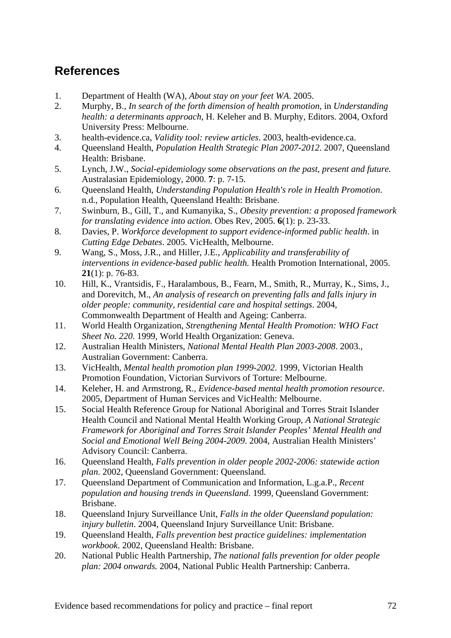# **References**

- 1. Department of Health (WA), *About stay on your feet WA*. 2005.
- 2. Murphy, B., *In search of the forth dimension of health promotion*, in *Understanding health: a determinants approach*, H. Keleher and B. Murphy, Editors. 2004, Oxford University Press: Melbourne.
- 3. health-evidence.ca, *Validity tool: review articles*. 2003, health-evidence.ca.
- 4. Queensland Health, *Population Health Strategic Plan 2007-2012*. 2007, Queensland Health: Brisbane.
- 5. Lynch, J.W., *Social-epidemiology some observations on the past, present and future.* Australasian Epidemiology, 2000. **7**: p. 7-15.
- 6. Queensland Health, *Understanding Population Health's role in Health Promotion*. n.d., Population Health, Queensland Health: Brisbane.
- 7. Swinburn, B., Gill, T., and Kumanyika, S., *Obesity prevention: a proposed framework for translating evidence into action.* Obes Rev, 2005. **6**(1): p. 23-33.
- 8. Davies, P. *Workforce development to support evidence-informed public health*. in *Cutting Edge Debates*. 2005. VicHealth, Melbourne.
- 9. Wang, S., Moss, J.R., and Hiller, J.E., *Applicability and transferability of interventions in evidence-based public health.* Health Promotion International, 2005. **21**(1): p. 76-83.
- 10. Hill, K., Vrantsidis, F., Haralambous, B., Fearn, M., Smith, R., Murray, K., Sims, J., and Dorevitch, M., *An analysis of research on preventing falls and falls injury in older people: community, residential care and hospital settings*. 2004, Commonwealth Department of Health and Ageing: Canberra.
- 11. World Health Organization, *Strengthening Mental Health Promotion: WHO Fact Sheet No. 220*. 1999, World Health Organization: Geneva.
- 12. Australian Health Ministers, *National Mental Health Plan 2003-2008*. 2003., Australian Government: Canberra.
- 13. VicHealth, *Mental health promotion plan 1999-2002*. 1999, Victorian Health Promotion Foundation, Victorian Survivors of Torture: Melbourne.
- 14. Keleher, H. and Armstrong, R., *Evidence-based mental health promotion resource*. 2005, Department of Human Services and VicHealth: Melbourne.
- 15. Social Health Reference Group for National Aboriginal and Torres Strait Islander Health Council and National Mental Health Working Group, *A National Strategic Framework for Aboriginal and Torres Strait Islander Peoples' Mental Health and Social and Emotional Well Being 2004-2009*. 2004, Australian Health Ministers' Advisory Council: Canberra.
- 16. Queensland Health, *Falls prevention in older people 2002-2006: statewide action plan*. 2002, Queensland Government: Queensland.
- 17. Queensland Department of Communication and Information, L.g.a.P., *Recent population and housing trends in Queensland*. 1999, Queensland Government: Brisbane.
- 18. Queensland Injury Surveillance Unit, *Falls in the older Queensland population: injury bulletin*. 2004, Queensland Injury Surveillance Unit: Brisbane.
- 19. Queensland Health, *Falls prevention best practice guidelines: implementation workbook*. 2002, Queensland Health: Brisbane.
- 20. National Public Health Partnership, *The national falls prevention for older people plan: 2004 onwards.* 2004, National Public Health Partnership: Canberra.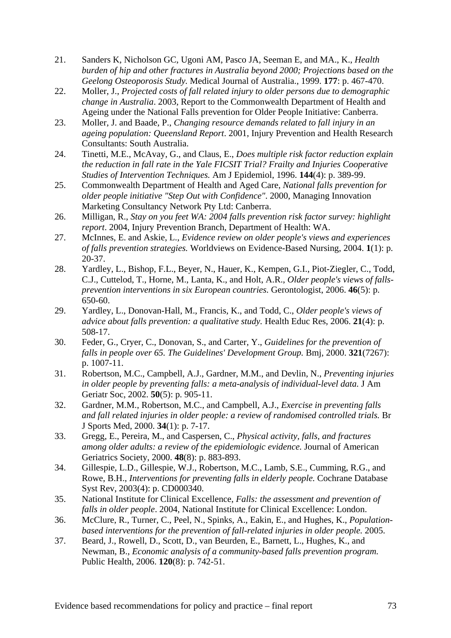- 21. Sanders K, Nicholson GC, Ugoni AM, Pasco JA, Seeman E, and MA., K., *Health burden of hip and other fractures in Australia beyond 2000; Projections based on the Geelong Osteoporosis Study.* Medical Journal of Australia., 1999. **177**: p. 467-470.
- 22. Moller, J., *Projected costs of fall related injury to older persons due to demographic change in Australia*. 2003, Report to the Commonwealth Department of Health and Ageing under the National Falls prevention for Older People Initiative: Canberra.
- 23. Moller, J. and Baade, P., *Changing resource demands related to fall injury in an ageing population: Queensland Report*. 2001, Injury Prevention and Health Research Consultants: South Australia.
- 24. Tinetti, M.E., McAvay, G., and Claus, E., *Does multiple risk factor reduction explain the reduction in fall rate in the Yale FICSIT Trial? Frailty and Injuries Cooperative Studies of Intervention Techniques.* Am J Epidemiol, 1996. **144**(4): p. 389-99.
- 25. Commonwealth Department of Health and Aged Care, *National falls prevention for older people initiative "Step Out with Confidence"*. 2000, Managing Innovation Marketing Consultancy Network Pty Ltd: Canberra.
- 26. Milligan, R., *Stay on you feet WA: 2004 falls prevention risk factor survey: highlight report*. 2004, Injury Prevention Branch, Department of Health: WA.
- 27. McInnes, E. and Askie, L., *Evidence review on older people's views and experiences of falls prevention strategies.* Worldviews on Evidence-Based Nursing, 2004. **1**(1): p. 20-37.
- 28. Yardley, L., Bishop, F.L., Beyer, N., Hauer, K., Kempen, G.I., Piot-Ziegler, C., Todd, C.J., Cuttelod, T., Horne, M., Lanta, K., and Holt, A.R., *Older people's views of fallsprevention interventions in six European countries.* Gerontologist, 2006. **46**(5): p. 650-60.
- 29. Yardley, L., Donovan-Hall, M., Francis, K., and Todd, C., *Older people's views of advice about falls prevention: a qualitative study.* Health Educ Res, 2006. **21**(4): p. 508-17.
- 30. Feder, G., Cryer, C., Donovan, S., and Carter, Y., *Guidelines for the prevention of falls in people over 65. The Guidelines' Development Group.* Bmj, 2000. **321**(7267): p. 1007-11.
- 31. Robertson, M.C., Campbell, A.J., Gardner, M.M., and Devlin, N., *Preventing injuries in older people by preventing falls: a meta-analysis of individual-level data.* J Am Geriatr Soc, 2002. **50**(5): p. 905-11.
- 32. Gardner, M.M., Robertson, M.C., and Campbell, A.J., *Exercise in preventing falls and fall related injuries in older people: a review of randomised controlled trials.* Br J Sports Med, 2000. **34**(1): p. 7-17.
- 33. Gregg, E., Pereira, M., and Caspersen, C., *Physical activity, falls, and fractures among older adults: a review of the epidemiologic evidence.* Journal of American Geriatrics Society, 2000. **48**(8): p. 883-893.
- 34. Gillespie, L.D., Gillespie, W.J., Robertson, M.C., Lamb, S.E., Cumming, R.G., and Rowe, B.H., *Interventions for preventing falls in elderly people.* Cochrane Database Syst Rev, 2003(4): p. CD000340.
- 35. National Institute for Clinical Excellence, *Falls: the assessment and prevention of falls in older people*. 2004, National Institute for Clinical Excellence: London.
- 36. McClure, R., Turner, C., Peel, N., Spinks, A., Eakin, E., and Hughes, K., *Populationbased interventions for the prevention of fall-related injuries in older people.* 2005.
- 37. Beard, J., Rowell, D., Scott, D., van Beurden, E., Barnett, L., Hughes, K., and Newman, B., *Economic analysis of a community-based falls prevention program.* Public Health, 2006. **120**(8): p. 742-51.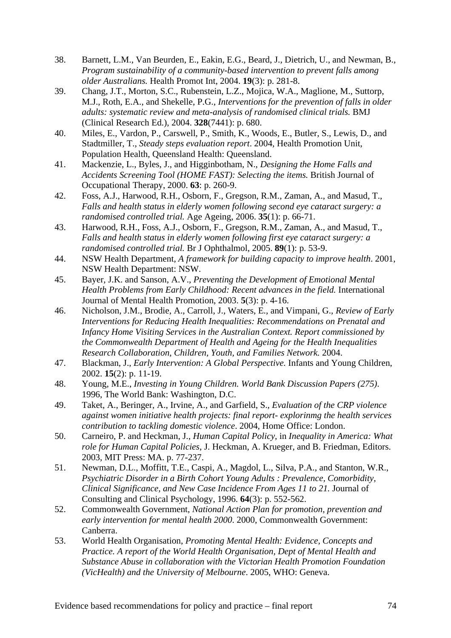- 38. Barnett, L.M., Van Beurden, E., Eakin, E.G., Beard, J., Dietrich, U., and Newman, B., *Program sustainability of a community-based intervention to prevent falls among older Australians.* Health Promot Int, 2004. **19**(3): p. 281-8.
- 39. Chang, J.T., Morton, S.C., Rubenstein, L.Z., Mojica, W.A., Maglione, M., Suttorp, M.J., Roth, E.A., and Shekelle, P.G., *Interventions for the prevention of falls in older adults: systematic review and meta-analysis of randomised clinical trials.* BMJ (Clinical Research Ed.), 2004. **328**(7441): p. 680.
- 40. Miles, E., Vardon, P., Carswell, P., Smith, K., Woods, E., Butler, S., Lewis, D., and Stadtmiller, T., *Steady steps evaluation report*. 2004, Health Promotion Unit, Population Health, Queensland Health: Queensland.
- 41. Mackenzie, L., Byles, J., and Higginbotham, N., *Designing the Home Falls and Accidents Screening Tool (HOME FAST): Selecting the items.* British Journal of Occupational Therapy, 2000. **63**: p. 260-9.
- 42. Foss, A.J., Harwood, R.H., Osborn, F., Gregson, R.M., Zaman, A., and Masud, T., *Falls and health status in elderly women following second eye cataract surgery: a randomised controlled trial.* Age Ageing, 2006. **35**(1): p. 66-71.
- 43. Harwood, R.H., Foss, A.J., Osborn, F., Gregson, R.M., Zaman, A., and Masud, T., *Falls and health status in elderly women following first eye cataract surgery: a randomised controlled trial.* Br J Ophthalmol, 2005. **89**(1): p. 53-9.
- 44. NSW Health Department, *A framework for building capacity to improve health*. 2001, NSW Health Department: NSW.
- 45. Bayer, J.K. and Sanson, A.V., *Preventing the Development of Emotional Mental Health Problems from Early Childhood: Recent advances in the field.* International Journal of Mental Health Promotion, 2003. **5**(3): p. 4-16.
- 46. Nicholson, J.M., Brodie, A., Carroll, J., Waters, E., and Vimpani, G., *Review of Early Interventions for Reducing Health Inequalities: Recommendations on Prenatal and Infancy Home Visiting Services in the Australian Context. Report commissioned by the Commonwealth Department of Health and Ageing for the Health Inequalities Research Collaboration, Children, Youth, and Families Network.* 2004.
- 47. Blackman, J., *Early Intervention: A Global Perspective.* Infants and Young Children, 2002. **15**(2): p. 11-19.
- 48. Young, M.E., *Investing in Young Children. World Bank Discussion Papers (275)*. 1996, The World Bank: Washington, D.C.
- 49. Taket, A., Beringer, A., Irvine, A., and Garfield, S., *Evaluation of the CRP violence against women initiative health projects: final report- explorinmg the health services contribution to tackling domestic violence*. 2004, Home Office: London.
- 50. Carneiro, P. and Heckman, J., *Human Capital Policy*, in *Inequality in America: What role for Human Capital Policies*, J. Heckman, A. Krueger, and B. Friedman, Editors. 2003, MIT Press: MA. p. 77-237.
- 51. Newman, D.L., Moffitt, T.E., Caspi, A., Magdol, L., Silva, P.A., and Stanton, W.R., *Psychiatric Disorder in a Birth Cohort Young Adults : Prevalence, Comorbidity, Clinical Significance, and New Case Incidence From Ages 11 to 21.* Journal of Consulting and Clinical Psychology, 1996. **64**(3): p. 552-562.
- 52. Commonwealth Government, *National Action Plan for promotion, prevention and early intervention for mental health 2000*. 2000, Commonwealth Government: Canberra.
- 53. World Health Organisation, *Promoting Mental Health: Evidence, Concepts and Practice. A report of the World Health Organisation, Dept of Mental Health and Substance Abuse in collaboration with the Victorian Health Promotion Foundation (VicHealth) and the University of Melbourne*. 2005, WHO: Geneva.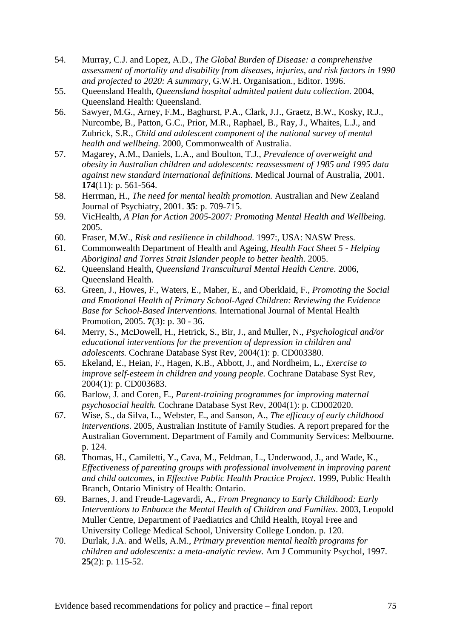- 54. Murray, C.J. and Lopez, A.D., *The Global Burden of Disease: a comprehensive assessment of mortality and disability from diseases, injuries, and risk factors in 1990 and projected to 2020: A summary*, G.W.H. Organisation., Editor. 1996.
- 55. Queensland Health, *Queensland hospital admitted patient data collection*. 2004, Queensland Health: Queensland.
- 56. Sawyer, M.G., Arney, F.M., Baghurst, P.A., Clark, J.J., Graetz, B.W., Kosky, R.J., Nurcombe, B., Patton, G.C., Prior, M.R., Raphael, B., Ray, J., Whaites, L.J., and Zubrick, S.R., *Child and adolescent component of the national survey of mental health and wellbeing.* 2000, Commonwealth of Australia.
- 57. Magarey, A.M., Daniels, L.A., and Boulton, T.J., *Prevalence of overweight and obesity in Australian children and adolescents: reassessment of 1985 and 1995 data against new standard international definitions.* Medical Journal of Australia, 2001. **174**(11): p. 561-564.
- 58. Herrman, H., *The need for mental health promotion.* Australian and New Zealand Journal of Psychiatry, 2001. **35**: p. 709-715.
- 59. VicHealth, *A Plan for Action 2005-2007: Promoting Mental Health and Wellbeing.* 2005.
- 60. Fraser, M.W., *Risk and resilience in childhood.* 1997:, USA: NASW Press.
- 61. Commonwealth Department of Health and Ageing, *Health Fact Sheet 5 Helping Aboriginal and Torres Strait Islander people to better health*. 2005.
- 62. Queensland Health, *Queensland Transcultural Mental Health Centre*. 2006, Queensland Health.
- 63. Green, J., Howes, F., Waters, E., Maher, E., and Oberklaid, F., *Promoting the Social and Emotional Health of Primary School-Aged Children: Reviewing the Evidence Base for School-Based Interventions.* International Journal of Mental Health Promotion, 2005. **7**(3): p. 30 - 36.
- 64. Merry, S., McDowell, H., Hetrick, S., Bir, J., and Muller, N., *Psychological and/or educational interventions for the prevention of depression in children and adolescents.* Cochrane Database Syst Rev, 2004(1): p. CD003380.
- 65. Ekeland, E., Heian, F., Hagen, K.B., Abbott, J., and Nordheim, L., *Exercise to improve self-esteem in children and young people.* Cochrane Database Syst Rev, 2004(1): p. CD003683.
- 66. Barlow, J. and Coren, E., *Parent-training programmes for improving maternal psychosocial health.* Cochrane Database Syst Rev, 2004(1): p. CD002020.
- 67. Wise, S., da Silva, L., Webster, E., and Sanson, A., *The efficacy of early childhood interventions*. 2005, Australian Institute of Family Studies. A report prepared for the Australian Government. Department of Family and Community Services: Melbourne. p. 124.
- 68. Thomas, H., Camiletti, Y., Cava, M., Feldman, L., Underwood, J., and Wade, K., *Effectiveness of parenting groups with professional involvement in improving parent and child outcomes*, in *Effective Public Health Practice Project*. 1999, Public Health Branch, Ontario Ministry of Health: Ontario.
- 69. Barnes, J. and Freude-Lagevardi, A., *From Pregnancy to Early Childhood: Early Interventions to Enhance the Mental Health of Children and Families*. 2003, Leopold Muller Centre, Department of Paediatrics and Child Health, Royal Free and University College Medical School, University College London. p. 120.
- 70. Durlak, J.A. and Wells, A.M., *Primary prevention mental health programs for children and adolescents: a meta-analytic review.* Am J Community Psychol, 1997. **25**(2): p. 115-52.